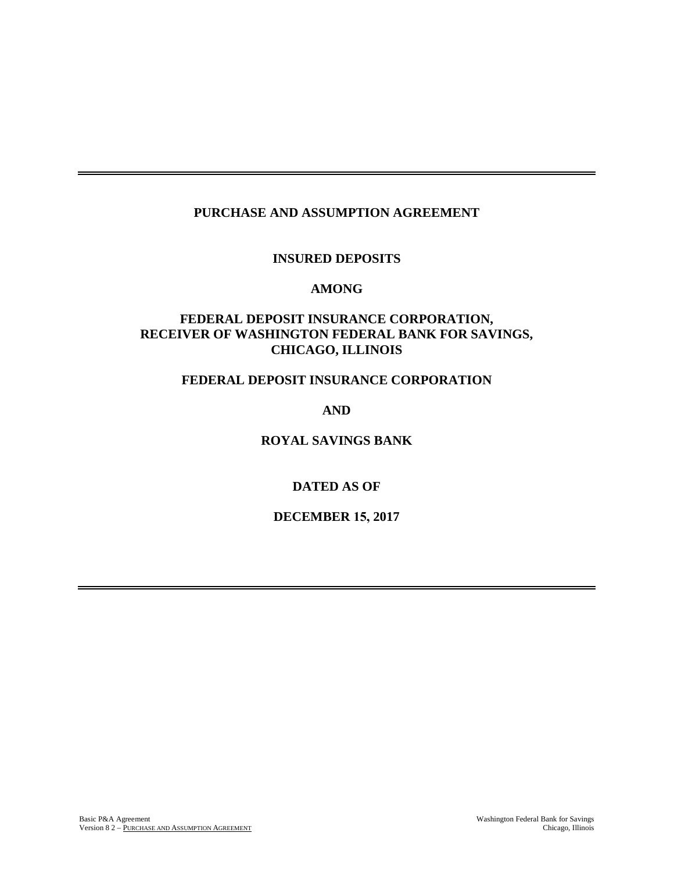## **PURCHASE AND ASSUMPTION AGREEMENT**

### **INSURED DEPOSITS**

#### **AMONG**

## **FEDERAL DEPOSIT INSURANCE CORPORATION, RECEIVER OF WASHINGTON FEDERAL BANK FOR SAVINGS, CHICAGO, ILLINOIS**

### **FEDERAL DEPOSIT INSURANCE CORPORATION**

**AND**

**ROYAL SAVINGS BANK**

## **DATED AS OF**

**DECEMBER 15, 2017**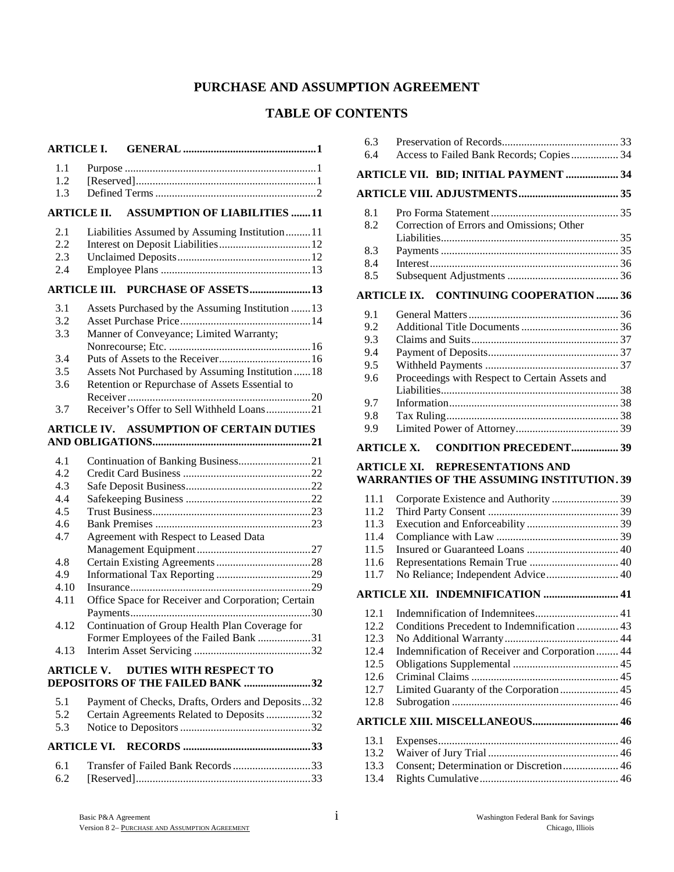# **PURCHASE AND ASSUMPTION AGREEMENT**

## **TABLE OF CONTENTS**

| <b>ARTICLE I.</b>  |                                                                                          |
|--------------------|------------------------------------------------------------------------------------------|
| 1.1                |                                                                                          |
| 1.2                |                                                                                          |
| 1.3                |                                                                                          |
| <b>ARTICLE II.</b> | <b>ASSUMPTION OF LIABILITIES 11</b>                                                      |
| 2.1                | Liabilities Assumed by Assuming Institution 11                                           |
| 2.2                |                                                                                          |
| 2.3<br>2.4         |                                                                                          |
|                    | PURCHASE OF ASSETS13<br>ARTICLE III.                                                     |
| 3.1                | Assets Purchased by the Assuming Institution  13                                         |
| 3.2                |                                                                                          |
| 3.3                | Manner of Conveyance; Limited Warranty;                                                  |
| 3.4                |                                                                                          |
| 3.5                | Assets Not Purchased by Assuming Institution  18                                         |
| 3.6                | Retention or Repurchase of Assets Essential to                                           |
|                    |                                                                                          |
| 3.7                | Receiver's Offer to Sell Withheld Loans21                                                |
|                    | <b>ARTICLE IV. ASSUMPTION OF CERTAIN DUTIES</b>                                          |
|                    |                                                                                          |
| 4.1                | Continuation of Banking Business21                                                       |
| 4.2                |                                                                                          |
| 4.3                |                                                                                          |
| 4.4                |                                                                                          |
| 4.5<br>4.6         |                                                                                          |
| 4.7                | Agreement with Respect to Leased Data                                                    |
|                    |                                                                                          |
| 4.8                |                                                                                          |
| 4.9                |                                                                                          |
| 4.10               |                                                                                          |
| 4.11               | Office Space for Receiver and Corporation; Certain                                       |
|                    |                                                                                          |
| 4.12               | Continuation of Group Health Plan Coverage for<br>Former Employees of the Failed Bank 31 |
| 4.13               |                                                                                          |
| <b>ARTICLE V.</b>  | <b>DUTIES WITH RESPECT TO</b>                                                            |
|                    | DEPOSITORS OF THE FAILED BANK 32                                                         |
| 5.1                | Payment of Checks, Drafts, Orders and Deposits32                                         |
| 5.2                | Certain Agreements Related to Deposits 32                                                |
| 5.3                |                                                                                          |
|                    | <b>ARTICLE VI.</b>                                                                       |
| 6.1                | Transfer of Failed Bank Records 33                                                       |
| 6.2                |                                                                                          |

| 6.3                                                |                                                   |  |  |  |
|----------------------------------------------------|---------------------------------------------------|--|--|--|
| 6.4                                                | Access to Failed Bank Records; Copies 34          |  |  |  |
|                                                    | ARTICLE VII. BID; INITIAL PAYMENT  34             |  |  |  |
|                                                    |                                                   |  |  |  |
| 8.1                                                |                                                   |  |  |  |
| 8.2                                                | Correction of Errors and Omissions; Other         |  |  |  |
|                                                    |                                                   |  |  |  |
| 8.3                                                |                                                   |  |  |  |
| 8.4                                                |                                                   |  |  |  |
| 8.5                                                |                                                   |  |  |  |
|                                                    | <b>ARTICLE IX. CONTINUING COOPERATION  36</b>     |  |  |  |
| 9.1                                                |                                                   |  |  |  |
| 9.2                                                |                                                   |  |  |  |
| 9.3                                                |                                                   |  |  |  |
| 9.4                                                |                                                   |  |  |  |
| 9.5                                                |                                                   |  |  |  |
| 9.6                                                | Proceedings with Respect to Certain Assets and    |  |  |  |
|                                                    |                                                   |  |  |  |
| 9.7                                                |                                                   |  |  |  |
| 9.8<br>9.9                                         |                                                   |  |  |  |
|                                                    |                                                   |  |  |  |
| <b>CONDITION PRECEDENT 39</b><br><b>ARTICLE X.</b> |                                                   |  |  |  |
|                                                    |                                                   |  |  |  |
|                                                    | <b>ARTICLE XI.</b><br><b>REPRESENTATIONS AND</b>  |  |  |  |
|                                                    | <b>WARRANTIES OF THE ASSUMING INSTITUTION. 39</b> |  |  |  |
| 11.1                                               |                                                   |  |  |  |
| 11.2                                               |                                                   |  |  |  |
| 11.3                                               |                                                   |  |  |  |
| 11.4                                               |                                                   |  |  |  |
| 11.5                                               |                                                   |  |  |  |
| 11.6                                               |                                                   |  |  |  |
| 11.7                                               | No Reliance; Independent Advice 40                |  |  |  |
|                                                    | <b>ARTICLE XII. INDEMNIFICATION  41</b>           |  |  |  |
| 12.1                                               |                                                   |  |  |  |
| 12.2 <sub>1</sub>                                  |                                                   |  |  |  |
| 12.3                                               |                                                   |  |  |  |
| 12.4                                               | Indemnification of Receiver and Corporation  44   |  |  |  |
| 12.5                                               |                                                   |  |  |  |
| 12.6                                               |                                                   |  |  |  |
| 12.7                                               | Limited Guaranty of the Corporation  45           |  |  |  |
| 12.8                                               |                                                   |  |  |  |
|                                                    | <b>ARTICLE XIII. MISCELLANEOUS 46</b>             |  |  |  |
| 13.1                                               |                                                   |  |  |  |
| 13.2                                               | Consent; Determination or Discretion 46           |  |  |  |

13.4 Rights Cumulative.................................................. 46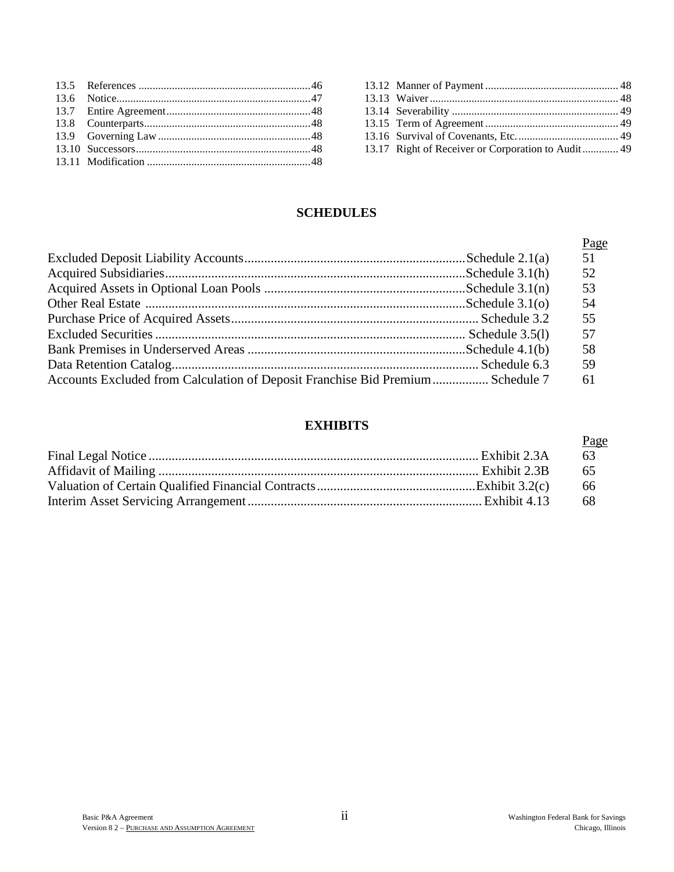| 13.17 Right of Receiver or Corporation to Audit 49 |  |
|----------------------------------------------------|--|

# **SCHEDULES**

|                                                                                | Page |
|--------------------------------------------------------------------------------|------|
|                                                                                | 51   |
|                                                                                | 52   |
|                                                                                | 53   |
|                                                                                | 54   |
|                                                                                | 55   |
|                                                                                | 57   |
|                                                                                | 58   |
|                                                                                | 59   |
| Accounts Excluded from Calculation of Deposit Franchise Bid Premium Schedule 7 | 61   |

# **EXHIBITS**

| Page |
|------|
| 63   |
| -65  |
| -66  |
| -68  |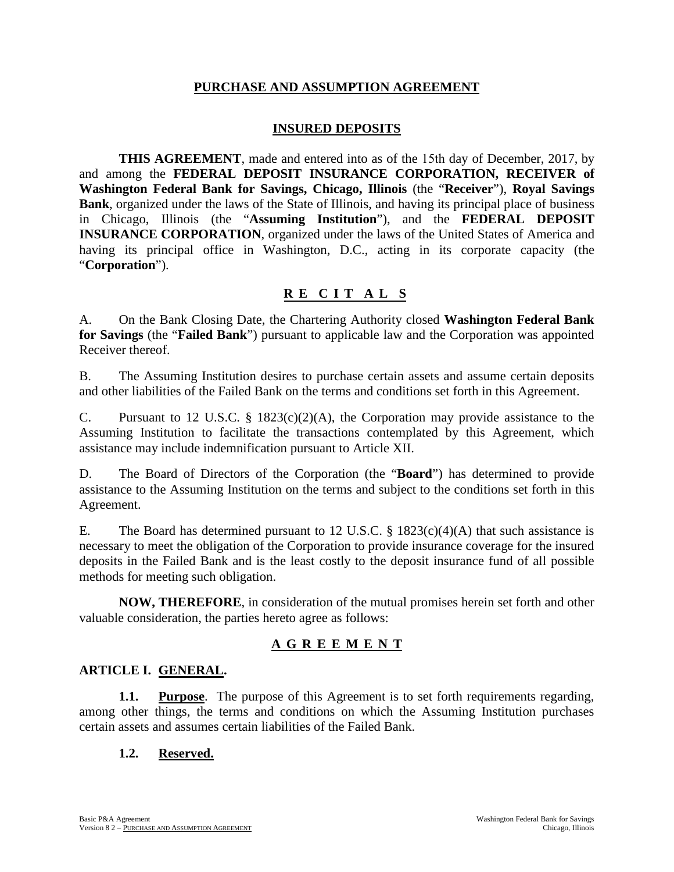#### **PURCHASE AND ASSUMPTION AGREEMENT**

## **INSURED DEPOSITS**

**THIS AGREEMENT**, made and entered into as of the 15th day of December, 2017, by and among the **FEDERAL DEPOSIT INSURANCE CORPORATION, RECEIVER of Washington Federal Bank for Savings, Chicago, Illinois** (the "**Receiver**"), **Royal Savings Bank**, organized under the laws of the State of Illinois, and having its principal place of business in Chicago, Illinois (the "**Assuming Institution**"), and the **FEDERAL DEPOSIT INSURANCE CORPORATION**, organized under the laws of the United States of America and having its principal office in Washington, D.C., acting in its corporate capacity (the "**Corporation**").

# **R E CIT A L S**

A. On the Bank Closing Date, the Chartering Authority closed **Washington Federal Bank for Savings** (the "**Failed Bank**") pursuant to applicable law and the Corporation was appointed Receiver thereof.

B. The Assuming Institution desires to purchase certain assets and assume certain deposits and other liabilities of the Failed Bank on the terms and conditions set forth in this Agreement.

C. Pursuant to 12 U.S.C. § 1823(c)(2)(A), the Corporation may provide assistance to the Assuming Institution to facilitate the transactions contemplated by this Agreement, which assistance may include indemnification pursuant to Article XII.

D. The Board of Directors of the Corporation (the "**Board**") has determined to provide assistance to the Assuming Institution on the terms and subject to the conditions set forth in this Agreement.

E. The Board has determined pursuant to 12 U.S.C. § 1823(c)(4)(A) that such assistance is necessary to meet the obligation of the Corporation to provide insurance coverage for the insured deposits in the Failed Bank and is the least costly to the deposit insurance fund of all possible methods for meeting such obligation.

**NOW, THEREFORE**, in consideration of the mutual promises herein set forth and other valuable consideration, the parties hereto agree as follows:

# **AGREEMEN T**

#### **ARTICLE I. GENERAL.**

**1.1. Purpose**. The purpose of this Agreement is to set forth requirements regarding, among other things, the terms and conditions on which the Assuming Institution purchases certain assets and assumes certain liabilities of the Failed Bank.

#### **1.2. Reserved.**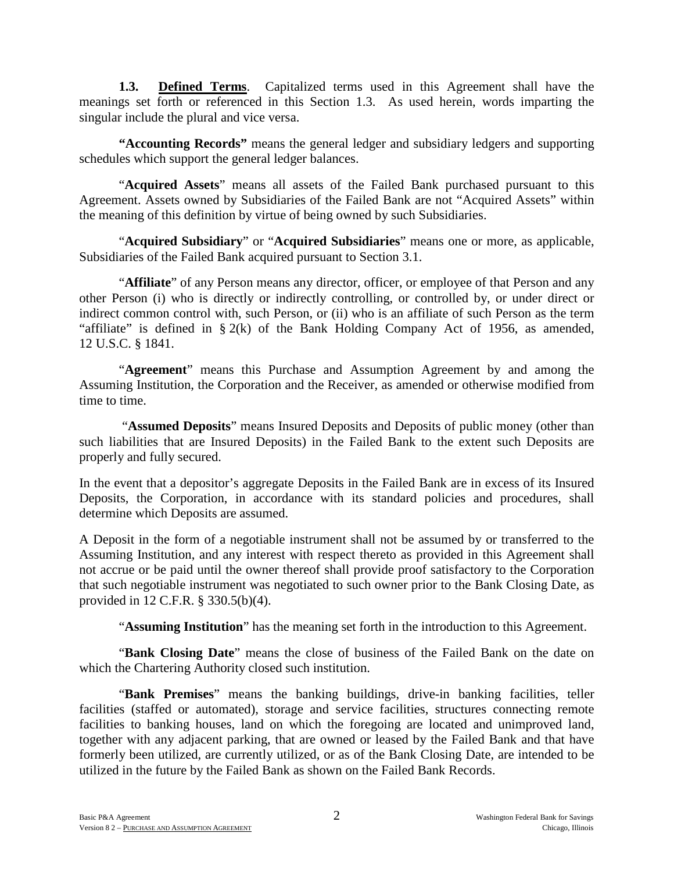**1.3. Defined Terms**. Capitalized terms used in this Agreement shall have the meanings set forth or referenced in this Section 1.3. As used herein, words imparting the singular include the plural and vice versa.

**"Accounting Records"** means the general ledger and subsidiary ledgers and supporting schedules which support the general ledger balances.

"**Acquired Assets**" means all assets of the Failed Bank purchased pursuant to this Agreement. Assets owned by Subsidiaries of the Failed Bank are not "Acquired Assets" within the meaning of this definition by virtue of being owned by such Subsidiaries.

"**Acquired Subsidiary**" or "**Acquired Subsidiaries**" means one or more, as applicable, Subsidiaries of the Failed Bank acquired pursuant to Section 3.1.

"**Affiliate**" of any Person means any director, officer, or employee of that Person and any other Person (i) who is directly or indirectly controlling, or controlled by, or under direct or indirect common control with, such Person, or (ii) who is an affiliate of such Person as the term "affiliate" is defined in  $\S 2(k)$  of the Bank Holding Company Act of 1956, as amended, 12 U.S.C. § 1841.

"**Agreement**" means this Purchase and Assumption Agreement by and among the Assuming Institution, the Corporation and the Receiver, as amended or otherwise modified from time to time.

"**Assumed Deposits**" means Insured Deposits and Deposits of public money (other than such liabilities that are Insured Deposits) in the Failed Bank to the extent such Deposits are properly and fully secured.

In the event that a depositor's aggregate Deposits in the Failed Bank are in excess of its Insured Deposits, the Corporation, in accordance with its standard policies and procedures, shall determine which Deposits are assumed.

A Deposit in the form of a negotiable instrument shall not be assumed by or transferred to the Assuming Institution, and any interest with respect thereto as provided in this Agreement shall not accrue or be paid until the owner thereof shall provide proof satisfactory to the Corporation that such negotiable instrument was negotiated to such owner prior to the Bank Closing Date, as provided in 12 C.F.R. § 330.5(b)(4).

"**Assuming Institution**" has the meaning set forth in the introduction to this Agreement.

"**Bank Closing Date**" means the close of business of the Failed Bank on the date on which the Chartering Authority closed such institution.

"**Bank Premises**" means the banking buildings, drive-in banking facilities, teller facilities (staffed or automated), storage and service facilities, structures connecting remote facilities to banking houses, land on which the foregoing are located and unimproved land, together with any adjacent parking, that are owned or leased by the Failed Bank and that have formerly been utilized, are currently utilized, or as of the Bank Closing Date, are intended to be utilized in the future by the Failed Bank as shown on the Failed Bank Records.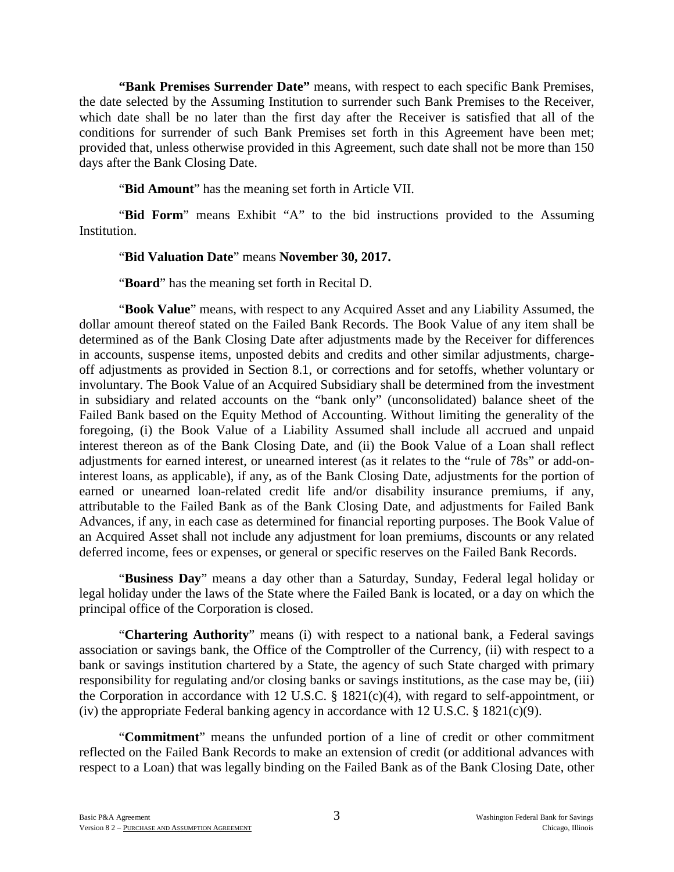**"Bank Premises Surrender Date"** means, with respect to each specific Bank Premises, the date selected by the Assuming Institution to surrender such Bank Premises to the Receiver, which date shall be no later than the first day after the Receiver is satisfied that all of the conditions for surrender of such Bank Premises set forth in this Agreement have been met; provided that, unless otherwise provided in this Agreement, such date shall not be more than 150 days after the Bank Closing Date.

"**Bid Amount**" has the meaning set forth in Article VII.

"**Bid Form**" means Exhibit "A" to the bid instructions provided to the Assuming Institution.

#### "**Bid Valuation Date**" means **November 30, 2017.**

"**Board**" has the meaning set forth in Recital D.

"**Book Value**" means, with respect to any Acquired Asset and any Liability Assumed, the dollar amount thereof stated on the Failed Bank Records. The Book Value of any item shall be determined as of the Bank Closing Date after adjustments made by the Receiver for differences in accounts, suspense items, unposted debits and credits and other similar adjustments, chargeoff adjustments as provided in Section 8.1, or corrections and for setoffs, whether voluntary or involuntary. The Book Value of an Acquired Subsidiary shall be determined from the investment in subsidiary and related accounts on the "bank only" (unconsolidated) balance sheet of the Failed Bank based on the Equity Method of Accounting. Without limiting the generality of the foregoing, (i) the Book Value of a Liability Assumed shall include all accrued and unpaid interest thereon as of the Bank Closing Date, and (ii) the Book Value of a Loan shall reflect adjustments for earned interest, or unearned interest (as it relates to the "rule of 78s" or add-oninterest loans, as applicable), if any, as of the Bank Closing Date, adjustments for the portion of earned or unearned loan-related credit life and/or disability insurance premiums, if any, attributable to the Failed Bank as of the Bank Closing Date, and adjustments for Failed Bank Advances, if any, in each case as determined for financial reporting purposes. The Book Value of an Acquired Asset shall not include any adjustment for loan premiums, discounts or any related deferred income, fees or expenses, or general or specific reserves on the Failed Bank Records.

"**Business Day**" means a day other than a Saturday, Sunday, Federal legal holiday or legal holiday under the laws of the State where the Failed Bank is located, or a day on which the principal office of the Corporation is closed.

"**Chartering Authority**" means (i) with respect to a national bank, a Federal savings association or savings bank, the Office of the Comptroller of the Currency, (ii) with respect to a bank or savings institution chartered by a State, the agency of such State charged with primary responsibility for regulating and/or closing banks or savings institutions, as the case may be, (iii) the Corporation in accordance with 12 U.S.C. § 1821(c)(4), with regard to self-appointment, or (iv) the appropriate Federal banking agency in accordance with 12 U.S.C. § 1821(c)(9).

"**Commitment**" means the unfunded portion of a line of credit or other commitment reflected on the Failed Bank Records to make an extension of credit (or additional advances with respect to a Loan) that was legally binding on the Failed Bank as of the Bank Closing Date, other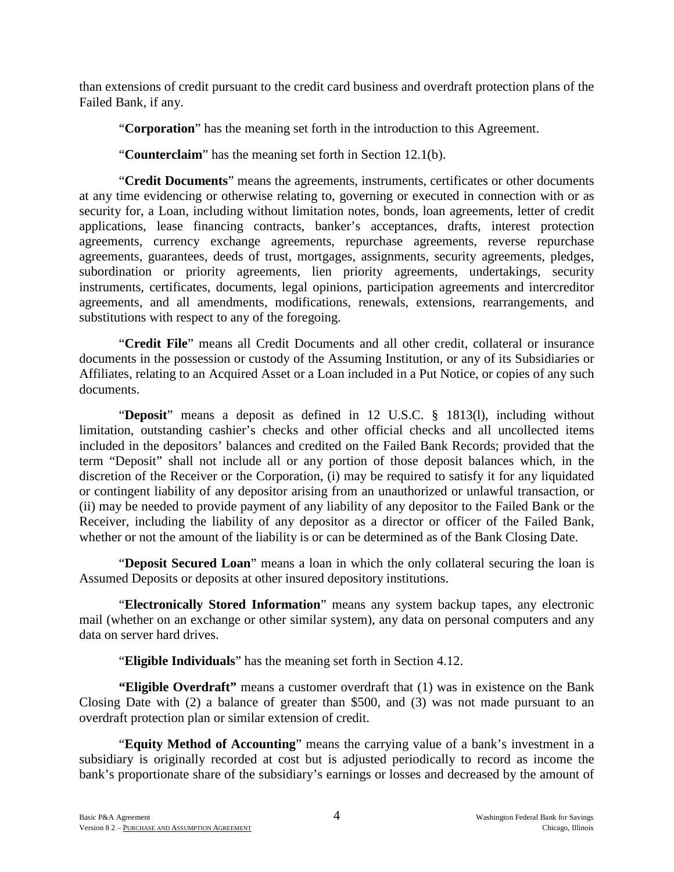than extensions of credit pursuant to the credit card business and overdraft protection plans of the Failed Bank, if any.

"**Corporation**" has the meaning set forth in the introduction to this Agreement.

"**Counterclaim**" has the meaning set forth in Section 12.1(b).

"**Credit Documents**" means the agreements, instruments, certificates or other documents at any time evidencing or otherwise relating to, governing or executed in connection with or as security for, a Loan, including without limitation notes, bonds, loan agreements, letter of credit applications, lease financing contracts, banker's acceptances, drafts, interest protection agreements, currency exchange agreements, repurchase agreements, reverse repurchase agreements, guarantees, deeds of trust, mortgages, assignments, security agreements, pledges, subordination or priority agreements, lien priority agreements, undertakings, security instruments, certificates, documents, legal opinions, participation agreements and intercreditor agreements, and all amendments, modifications, renewals, extensions, rearrangements, and substitutions with respect to any of the foregoing.

"**Credit File**" means all Credit Documents and all other credit, collateral or insurance documents in the possession or custody of the Assuming Institution, or any of its Subsidiaries or Affiliates, relating to an Acquired Asset or a Loan included in a Put Notice, or copies of any such documents.

"**Deposit**" means a deposit as defined in 12 U.S.C. § 1813(l), including without limitation, outstanding cashier's checks and other official checks and all uncollected items included in the depositors' balances and credited on the Failed Bank Records; provided that the term "Deposit" shall not include all or any portion of those deposit balances which, in the discretion of the Receiver or the Corporation, (i) may be required to satisfy it for any liquidated or contingent liability of any depositor arising from an unauthorized or unlawful transaction, or (ii) may be needed to provide payment of any liability of any depositor to the Failed Bank or the Receiver, including the liability of any depositor as a director or officer of the Failed Bank, whether or not the amount of the liability is or can be determined as of the Bank Closing Date.

"**Deposit Secured Loan**" means a loan in which the only collateral securing the loan is Assumed Deposits or deposits at other insured depository institutions.

"**Electronically Stored Information**" means any system backup tapes, any electronic mail (whether on an exchange or other similar system), any data on personal computers and any data on server hard drives.

"**Eligible Individuals**" has the meaning set forth in Section 4.12.

**"Eligible Overdraft"** means a customer overdraft that (1) was in existence on the Bank Closing Date with (2) a balance of greater than \$500, and (3) was not made pursuant to an overdraft protection plan or similar extension of credit.

"**Equity Method of Accounting**" means the carrying value of a bank's investment in a subsidiary is originally recorded at cost but is adjusted periodically to record as income the bank's proportionate share of the subsidiary's earnings or losses and decreased by the amount of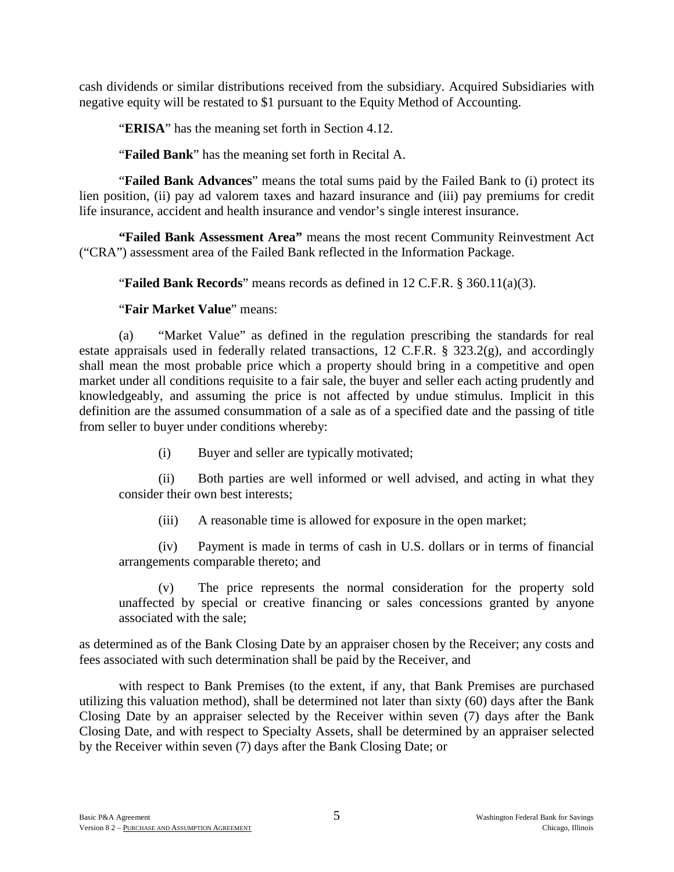cash dividends or similar distributions received from the subsidiary. Acquired Subsidiaries with negative equity will be restated to \$1 pursuant to the Equity Method of Accounting.

"**ERISA**" has the meaning set forth in Section 4.12.

"**Failed Bank**" has the meaning set forth in Recital A.

"**Failed Bank Advances**" means the total sums paid by the Failed Bank to (i) protect its lien position, (ii) pay ad valorem taxes and hazard insurance and (iii) pay premiums for credit life insurance, accident and health insurance and vendor's single interest insurance.

**"Failed Bank Assessment Area"** means the most recent Community Reinvestment Act ("CRA") assessment area of the Failed Bank reflected in the Information Package.

"**Failed Bank Records**" means records as defined in 12 C.F.R. § 360.11(a)(3).

"**Fair Market Value**" means:

(a) "Market Value" as defined in the regulation prescribing the standards for real estate appraisals used in federally related transactions, 12 C.F.R. § 323.2(g), and accordingly shall mean the most probable price which a property should bring in a competitive and open market under all conditions requisite to a fair sale, the buyer and seller each acting prudently and knowledgeably, and assuming the price is not affected by undue stimulus. Implicit in this definition are the assumed consummation of a sale as of a specified date and the passing of title from seller to buyer under conditions whereby:

(i) Buyer and seller are typically motivated;

(ii) Both parties are well informed or well advised, and acting in what they consider their own best interests;

(iii) A reasonable time is allowed for exposure in the open market;

(iv) Payment is made in terms of cash in U.S. dollars or in terms of financial arrangements comparable thereto; and

(v) The price represents the normal consideration for the property sold unaffected by special or creative financing or sales concessions granted by anyone associated with the sale;

as determined as of the Bank Closing Date by an appraiser chosen by the Receiver; any costs and fees associated with such determination shall be paid by the Receiver, and

with respect to Bank Premises (to the extent, if any, that Bank Premises are purchased utilizing this valuation method), shall be determined not later than sixty (60) days after the Bank Closing Date by an appraiser selected by the Receiver within seven (7) days after the Bank Closing Date, and with respect to Specialty Assets, shall be determined by an appraiser selected by the Receiver within seven (7) days after the Bank Closing Date; or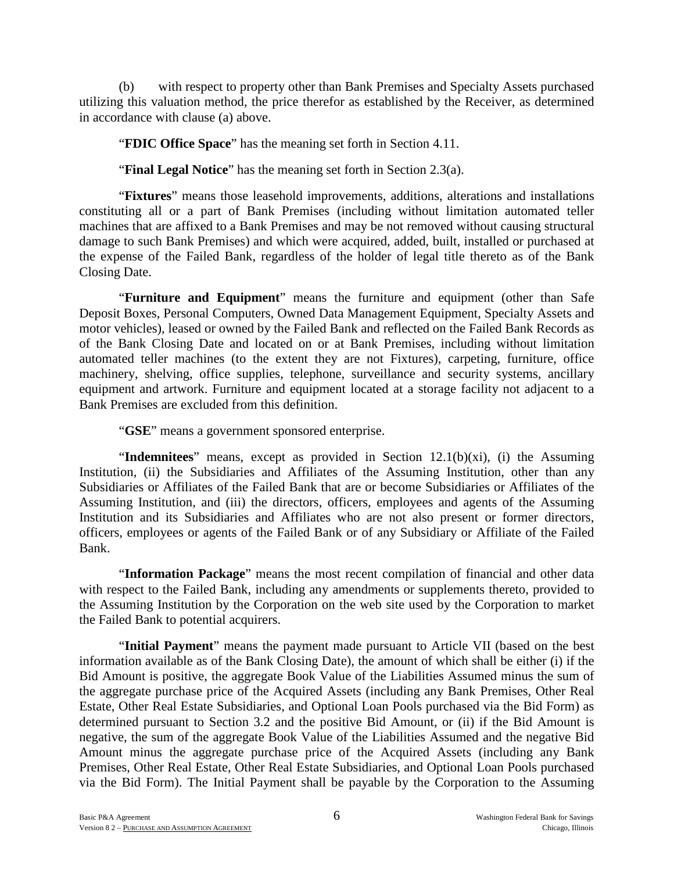(b) with respect to property other than Bank Premises and Specialty Assets purchased utilizing this valuation method, the price therefor as established by the Receiver, as determined in accordance with clause (a) above.

"**FDIC Office Space**" has the meaning set forth in Section 4.11.

"**Final Legal Notice**" has the meaning set forth in Section 2.3(a).

"**Fixtures**" means those leasehold improvements, additions, alterations and installations constituting all or a part of Bank Premises (including without limitation automated teller machines that are affixed to a Bank Premises and may be not removed without causing structural damage to such Bank Premises) and which were acquired, added, built, installed or purchased at the expense of the Failed Bank, regardless of the holder of legal title thereto as of the Bank Closing Date.

"**Furniture and Equipment**" means the furniture and equipment (other than Safe Deposit Boxes, Personal Computers, Owned Data Management Equipment, Specialty Assets and motor vehicles), leased or owned by the Failed Bank and reflected on the Failed Bank Records as of the Bank Closing Date and located on or at Bank Premises, including without limitation automated teller machines (to the extent they are not Fixtures), carpeting, furniture, office machinery, shelving, office supplies, telephone, surveillance and security systems, ancillary equipment and artwork. Furniture and equipment located at a storage facility not adjacent to a Bank Premises are excluded from this definition.

"**GSE**" means a government sponsored enterprise.

"**Indemnitees**" means, except as provided in Section 12.1(b)(xi), (i) the Assuming Institution, (ii) the Subsidiaries and Affiliates of the Assuming Institution, other than any Subsidiaries or Affiliates of the Failed Bank that are or become Subsidiaries or Affiliates of the Assuming Institution, and (iii) the directors, officers, employees and agents of the Assuming Institution and its Subsidiaries and Affiliates who are not also present or former directors, officers, employees or agents of the Failed Bank or of any Subsidiary or Affiliate of the Failed Bank.

"**Information Package**" means the most recent compilation of financial and other data with respect to the Failed Bank, including any amendments or supplements thereto, provided to the Assuming Institution by the Corporation on the web site used by the Corporation to market the Failed Bank to potential acquirers.

"**Initial Payment**" means the payment made pursuant to Article VII (based on the best information available as of the Bank Closing Date), the amount of which shall be either (i) if the Bid Amount is positive, the aggregate Book Value of the Liabilities Assumed minus the sum of the aggregate purchase price of the Acquired Assets (including any Bank Premises, Other Real Estate, Other Real Estate Subsidiaries, and Optional Loan Pools purchased via the Bid Form) as determined pursuant to Section 3.2 and the positive Bid Amount, or (ii) if the Bid Amount is negative, the sum of the aggregate Book Value of the Liabilities Assumed and the negative Bid Amount minus the aggregate purchase price of the Acquired Assets (including any Bank Premises, Other Real Estate, Other Real Estate Subsidiaries, and Optional Loan Pools purchased via the Bid Form). The Initial Payment shall be payable by the Corporation to the Assuming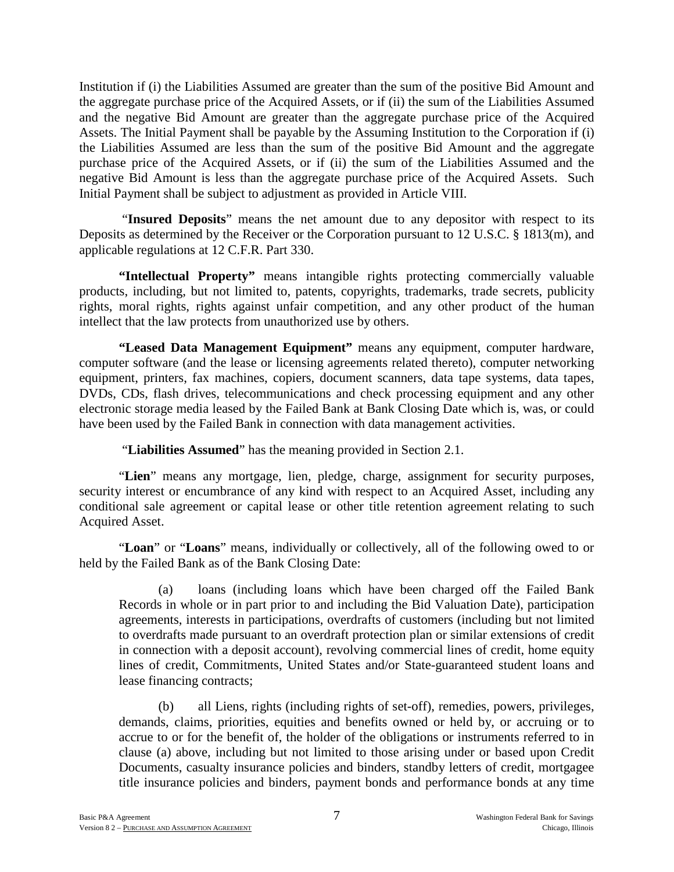Institution if (i) the Liabilities Assumed are greater than the sum of the positive Bid Amount and the aggregate purchase price of the Acquired Assets, or if (ii) the sum of the Liabilities Assumed and the negative Bid Amount are greater than the aggregate purchase price of the Acquired Assets. The Initial Payment shall be payable by the Assuming Institution to the Corporation if (i) the Liabilities Assumed are less than the sum of the positive Bid Amount and the aggregate purchase price of the Acquired Assets, or if (ii) the sum of the Liabilities Assumed and the negative Bid Amount is less than the aggregate purchase price of the Acquired Assets. Such Initial Payment shall be subject to adjustment as provided in Article VIII.

"**Insured Deposits**" means the net amount due to any depositor with respect to its Deposits as determined by the Receiver or the Corporation pursuant to 12 U.S.C. § 1813(m), and applicable regulations at 12 C.F.R. Part 330.

**"Intellectual Property"** means intangible rights protecting commercially valuable products, including, but not limited to, patents, copyrights, trademarks, trade secrets, publicity rights, moral rights, rights against unfair competition, and any other product of the human intellect that the law protects from unauthorized use by others.

**"Leased Data Management Equipment"** means any equipment, computer hardware, computer software (and the lease or licensing agreements related thereto), computer networking equipment, printers, fax machines, copiers, document scanners, data tape systems, data tapes, DVDs, CDs, flash drives, telecommunications and check processing equipment and any other electronic storage media leased by the Failed Bank at Bank Closing Date which is, was, or could have been used by the Failed Bank in connection with data management activities.

"**Liabilities Assumed**" has the meaning provided in Section 2.1.

"**Lien**" means any mortgage, lien, pledge, charge, assignment for security purposes, security interest or encumbrance of any kind with respect to an Acquired Asset, including any conditional sale agreement or capital lease or other title retention agreement relating to such Acquired Asset.

"**Loan**" or "**Loans**" means, individually or collectively, all of the following owed to or held by the Failed Bank as of the Bank Closing Date:

(a) loans (including loans which have been charged off the Failed Bank Records in whole or in part prior to and including the Bid Valuation Date), participation agreements, interests in participations, overdrafts of customers (including but not limited to overdrafts made pursuant to an overdraft protection plan or similar extensions of credit in connection with a deposit account), revolving commercial lines of credit, home equity lines of credit, Commitments, United States and/or State-guaranteed student loans and lease financing contracts;

(b) all Liens, rights (including rights of set-off), remedies, powers, privileges, demands, claims, priorities, equities and benefits owned or held by, or accruing or to accrue to or for the benefit of, the holder of the obligations or instruments referred to in clause (a) above, including but not limited to those arising under or based upon Credit Documents, casualty insurance policies and binders, standby letters of credit, mortgagee title insurance policies and binders, payment bonds and performance bonds at any time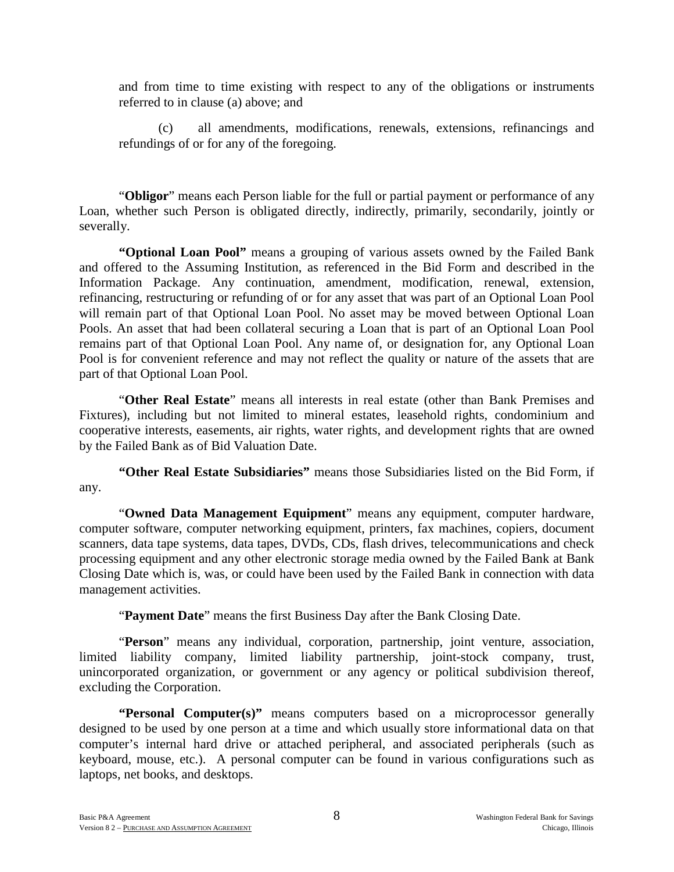and from time to time existing with respect to any of the obligations or instruments referred to in clause (a) above; and

(c) all amendments, modifications, renewals, extensions, refinancings and refundings of or for any of the foregoing.

"**Obligor**" means each Person liable for the full or partial payment or performance of any Loan, whether such Person is obligated directly, indirectly, primarily, secondarily, jointly or severally.

**"Optional Loan Pool"** means a grouping of various assets owned by the Failed Bank and offered to the Assuming Institution, as referenced in the Bid Form and described in the Information Package. Any continuation, amendment, modification, renewal, extension, refinancing, restructuring or refunding of or for any asset that was part of an Optional Loan Pool will remain part of that Optional Loan Pool. No asset may be moved between Optional Loan Pools. An asset that had been collateral securing a Loan that is part of an Optional Loan Pool remains part of that Optional Loan Pool. Any name of, or designation for, any Optional Loan Pool is for convenient reference and may not reflect the quality or nature of the assets that are part of that Optional Loan Pool.

"**Other Real Estate**" means all interests in real estate (other than Bank Premises and Fixtures), including but not limited to mineral estates, leasehold rights, condominium and cooperative interests, easements, air rights, water rights, and development rights that are owned by the Failed Bank as of Bid Valuation Date.

**"Other Real Estate Subsidiaries"** means those Subsidiaries listed on the Bid Form, if any.

"**Owned Data Management Equipment**" means any equipment, computer hardware, computer software, computer networking equipment, printers, fax machines, copiers, document scanners, data tape systems, data tapes, DVDs, CDs, flash drives, telecommunications and check processing equipment and any other electronic storage media owned by the Failed Bank at Bank Closing Date which is, was, or could have been used by the Failed Bank in connection with data management activities.

"**Payment Date**" means the first Business Day after the Bank Closing Date.

"**Person**" means any individual, corporation, partnership, joint venture, association, limited liability company, limited liability partnership, joint-stock company, trust, unincorporated organization, or government or any agency or political subdivision thereof, excluding the Corporation.

**"Personal Computer(s)"** means computers based on a microprocessor generally designed to be used by one person at a time and which usually store informational data on that computer's internal hard drive or attached peripheral, and associated peripherals (such as keyboard, mouse, etc.). A personal computer can be found in various configurations such as laptops, net books, and desktops.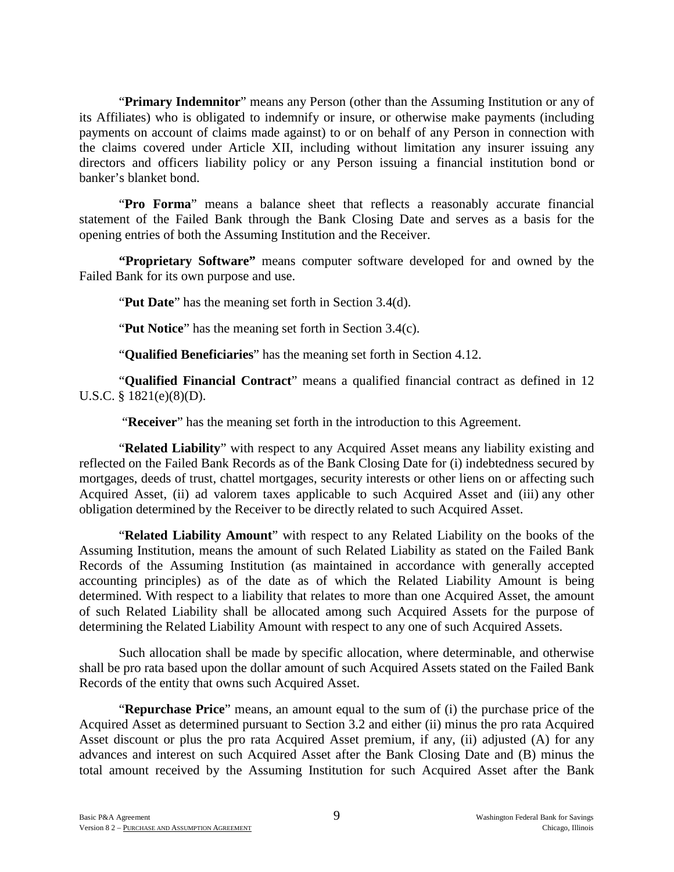"**Primary Indemnitor**" means any Person (other than the Assuming Institution or any of its Affiliates) who is obligated to indemnify or insure, or otherwise make payments (including payments on account of claims made against) to or on behalf of any Person in connection with the claims covered under Article XII, including without limitation any insurer issuing any directors and officers liability policy or any Person issuing a financial institution bond or banker's blanket bond.

"**Pro Forma**" means a balance sheet that reflects a reasonably accurate financial statement of the Failed Bank through the Bank Closing Date and serves as a basis for the opening entries of both the Assuming Institution and the Receiver.

**"Proprietary Software"** means computer software developed for and owned by the Failed Bank for its own purpose and use.

"**Put Date**" has the meaning set forth in Section 3.4(d).

"**Put Notice**" has the meaning set forth in Section 3.4(c).

"**Qualified Beneficiaries**" has the meaning set forth in Section 4.12.

"**Qualified Financial Contract**" means a qualified financial contract as defined in 12 U.S.C. § 1821(e)(8)(D).

"**Receiver**" has the meaning set forth in the introduction to this Agreement.

"**Related Liability**" with respect to any Acquired Asset means any liability existing and reflected on the Failed Bank Records as of the Bank Closing Date for (i) indebtedness secured by mortgages, deeds of trust, chattel mortgages, security interests or other liens on or affecting such Acquired Asset, (ii) ad valorem taxes applicable to such Acquired Asset and (iii) any other obligation determined by the Receiver to be directly related to such Acquired Asset.

"**Related Liability Amount**" with respect to any Related Liability on the books of the Assuming Institution, means the amount of such Related Liability as stated on the Failed Bank Records of the Assuming Institution (as maintained in accordance with generally accepted accounting principles) as of the date as of which the Related Liability Amount is being determined. With respect to a liability that relates to more than one Acquired Asset, the amount of such Related Liability shall be allocated among such Acquired Assets for the purpose of determining the Related Liability Amount with respect to any one of such Acquired Assets.

Such allocation shall be made by specific allocation, where determinable, and otherwise shall be pro rata based upon the dollar amount of such Acquired Assets stated on the Failed Bank Records of the entity that owns such Acquired Asset.

"**Repurchase Price**" means, an amount equal to the sum of (i) the purchase price of the Acquired Asset as determined pursuant to Section 3.2 and either (ii) minus the pro rata Acquired Asset discount or plus the pro rata Acquired Asset premium, if any, (ii) adjusted (A) for any advances and interest on such Acquired Asset after the Bank Closing Date and (B) minus the total amount received by the Assuming Institution for such Acquired Asset after the Bank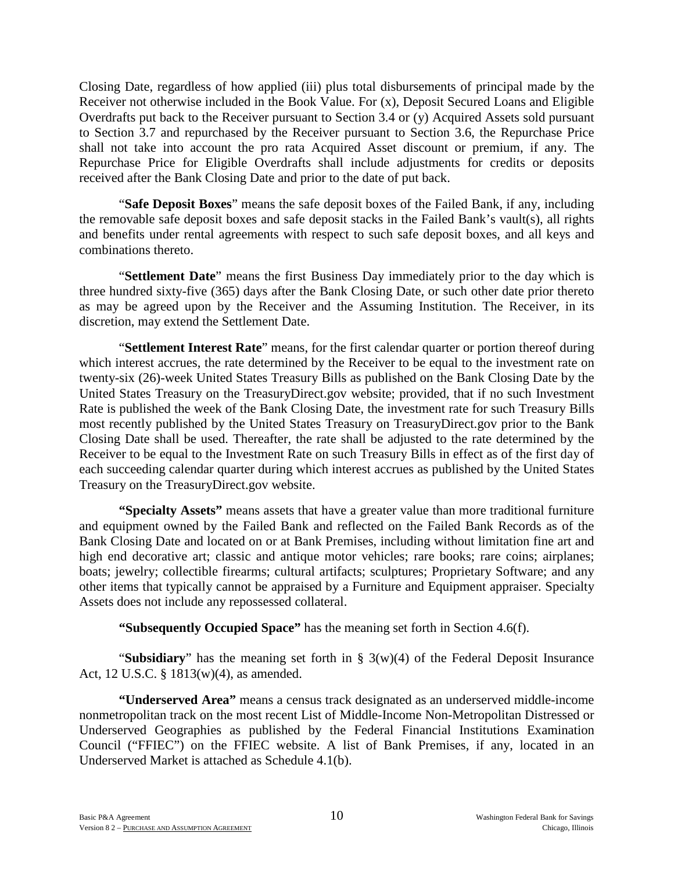Closing Date, regardless of how applied (iii) plus total disbursements of principal made by the Receiver not otherwise included in the Book Value. For (x), Deposit Secured Loans and Eligible Overdrafts put back to the Receiver pursuant to Section 3.4 or (y) Acquired Assets sold pursuant to Section 3.7 and repurchased by the Receiver pursuant to Section 3.6, the Repurchase Price shall not take into account the pro rata Acquired Asset discount or premium, if any. The Repurchase Price for Eligible Overdrafts shall include adjustments for credits or deposits received after the Bank Closing Date and prior to the date of put back.

"**Safe Deposit Boxes**" means the safe deposit boxes of the Failed Bank, if any, including the removable safe deposit boxes and safe deposit stacks in the Failed Bank's vault(s), all rights and benefits under rental agreements with respect to such safe deposit boxes, and all keys and combinations thereto.

"**Settlement Date**" means the first Business Day immediately prior to the day which is three hundred sixty-five (365) days after the Bank Closing Date, or such other date prior thereto as may be agreed upon by the Receiver and the Assuming Institution. The Receiver, in its discretion, may extend the Settlement Date.

"**Settlement Interest Rate**" means, for the first calendar quarter or portion thereof during which interest accrues, the rate determined by the Receiver to be equal to the investment rate on twenty-six (26)-week United States Treasury Bills as published on the Bank Closing Date by the United States Treasury on the TreasuryDirect.gov website; provided, that if no such Investment Rate is published the week of the Bank Closing Date, the investment rate for such Treasury Bills most recently published by the United States Treasury on TreasuryDirect.gov prior to the Bank Closing Date shall be used. Thereafter, the rate shall be adjusted to the rate determined by the Receiver to be equal to the Investment Rate on such Treasury Bills in effect as of the first day of each succeeding calendar quarter during which interest accrues as published by the United States Treasury on the TreasuryDirect.gov website.

**"Specialty Assets"** means assets that have a greater value than more traditional furniture and equipment owned by the Failed Bank and reflected on the Failed Bank Records as of the Bank Closing Date and located on or at Bank Premises, including without limitation fine art and high end decorative art; classic and antique motor vehicles; rare books; rare coins; airplanes; boats; jewelry; collectible firearms; cultural artifacts; sculptures; Proprietary Software; and any other items that typically cannot be appraised by a Furniture and Equipment appraiser. Specialty Assets does not include any repossessed collateral.

**"Subsequently Occupied Space"** has the meaning set forth in Section 4.6(f).

"**Subsidiary**" has the meaning set forth in § 3(w)(4) of the Federal Deposit Insurance Act, 12 U.S.C. § 1813(w)(4), as amended.

**"Underserved Area"** means a census track designated as an underserved middle-income nonmetropolitan track on the most recent List of Middle-Income Non-Metropolitan Distressed or Underserved Geographies as published by the Federal Financial Institutions Examination Council ("FFIEC") on the FFIEC website. A list of Bank Premises, if any, located in an Underserved Market is attached as Schedule 4.1(b).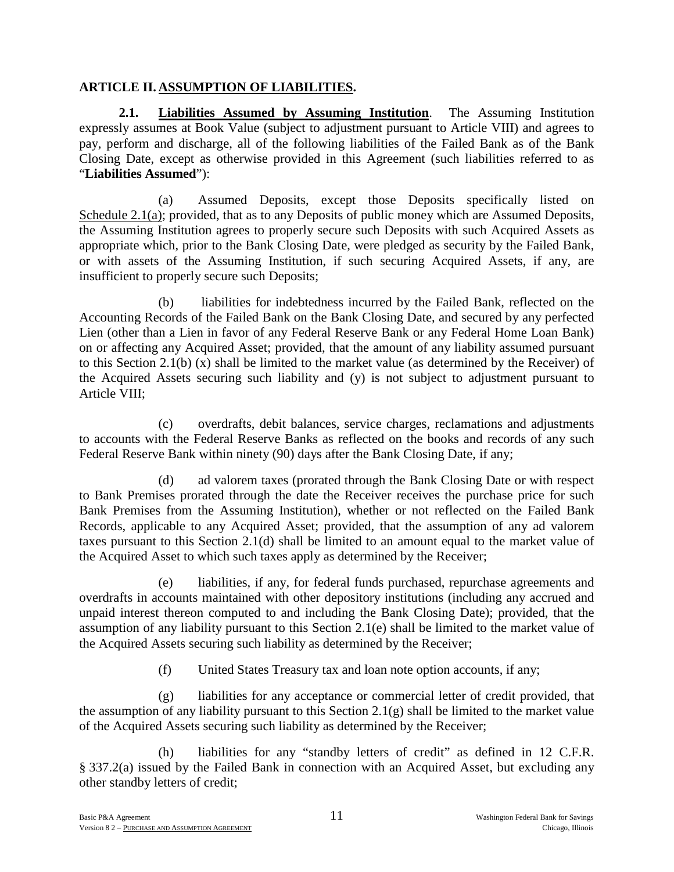## **ARTICLE II. ASSUMPTION OF LIABILITIES.**

**2.1. Liabilities Assumed by Assuming Institution**. The Assuming Institution expressly assumes at Book Value (subject to adjustment pursuant to Article VIII) and agrees to pay, perform and discharge, all of the following liabilities of the Failed Bank as of the Bank Closing Date, except as otherwise provided in this Agreement (such liabilities referred to as "**Liabilities Assumed**"):

(a) Assumed Deposits, except those Deposits specifically listed on Schedule 2.1(a); provided, that as to any Deposits of public money which are Assumed Deposits, the Assuming Institution agrees to properly secure such Deposits with such Acquired Assets as appropriate which, prior to the Bank Closing Date, were pledged as security by the Failed Bank, or with assets of the Assuming Institution, if such securing Acquired Assets, if any, are insufficient to properly secure such Deposits;

(b) liabilities for indebtedness incurred by the Failed Bank, reflected on the Accounting Records of the Failed Bank on the Bank Closing Date, and secured by any perfected Lien (other than a Lien in favor of any Federal Reserve Bank or any Federal Home Loan Bank) on or affecting any Acquired Asset; provided, that the amount of any liability assumed pursuant to this Section 2.1(b) (x) shall be limited to the market value (as determined by the Receiver) of the Acquired Assets securing such liability and (y) is not subject to adjustment pursuant to Article VIII;

(c) overdrafts, debit balances, service charges, reclamations and adjustments to accounts with the Federal Reserve Banks as reflected on the books and records of any such Federal Reserve Bank within ninety (90) days after the Bank Closing Date, if any;

(d) ad valorem taxes (prorated through the Bank Closing Date or with respect to Bank Premises prorated through the date the Receiver receives the purchase price for such Bank Premises from the Assuming Institution), whether or not reflected on the Failed Bank Records, applicable to any Acquired Asset; provided, that the assumption of any ad valorem taxes pursuant to this Section 2.1(d) shall be limited to an amount equal to the market value of the Acquired Asset to which such taxes apply as determined by the Receiver;

(e) liabilities, if any, for federal funds purchased, repurchase agreements and overdrafts in accounts maintained with other depository institutions (including any accrued and unpaid interest thereon computed to and including the Bank Closing Date); provided, that the assumption of any liability pursuant to this Section 2.1(e) shall be limited to the market value of the Acquired Assets securing such liability as determined by the Receiver;

(f) United States Treasury tax and loan note option accounts, if any;

(g) liabilities for any acceptance or commercial letter of credit provided, that the assumption of any liability pursuant to this Section 2.1(g) shall be limited to the market value of the Acquired Assets securing such liability as determined by the Receiver;

(h) liabilities for any "standby letters of credit" as defined in 12 C.F.R. § 337.2(a) issued by the Failed Bank in connection with an Acquired Asset, but excluding any other standby letters of credit;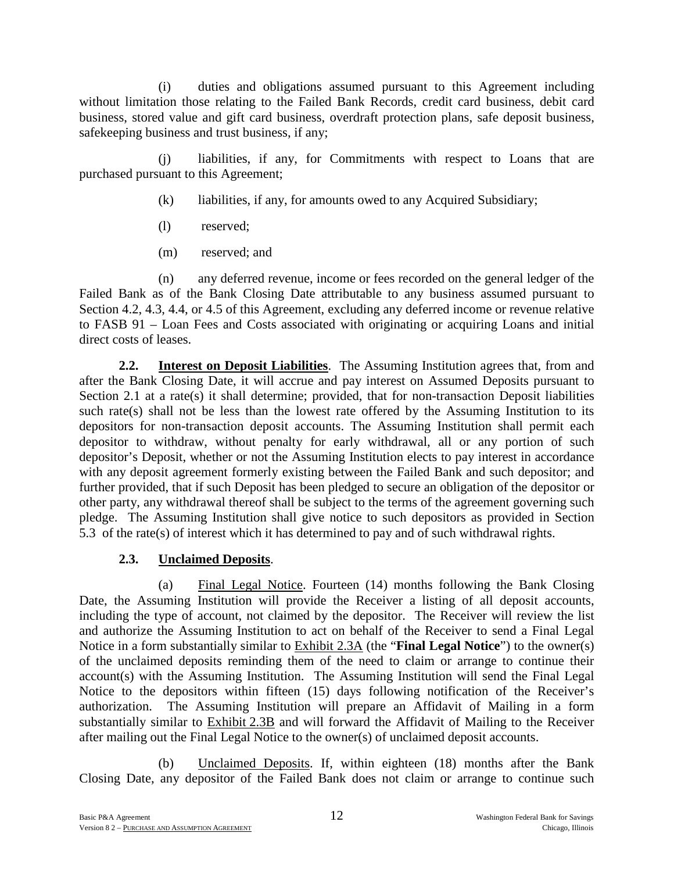(i) duties and obligations assumed pursuant to this Agreement including without limitation those relating to the Failed Bank Records, credit card business, debit card business, stored value and gift card business, overdraft protection plans, safe deposit business, safekeeping business and trust business, if any;

(j) liabilities, if any, for Commitments with respect to Loans that are purchased pursuant to this Agreement;

- (k) liabilities, if any, for amounts owed to any Acquired Subsidiary;
- (l) reserved;
- (m) reserved; and

(n) any deferred revenue, income or fees recorded on the general ledger of the Failed Bank as of the Bank Closing Date attributable to any business assumed pursuant to Section 4.2, 4.3, 4.4, or 4.5 of this Agreement, excluding any deferred income or revenue relative to FASB 91 – Loan Fees and Costs associated with originating or acquiring Loans and initial direct costs of leases.

**2.2. Interest on Deposit Liabilities**. The Assuming Institution agrees that, from and after the Bank Closing Date, it will accrue and pay interest on Assumed Deposits pursuant to Section 2.1 at a rate(s) it shall determine; provided, that for non-transaction Deposit liabilities such rate(s) shall not be less than the lowest rate offered by the Assuming Institution to its depositors for non-transaction deposit accounts. The Assuming Institution shall permit each depositor to withdraw, without penalty for early withdrawal, all or any portion of such depositor's Deposit, whether or not the Assuming Institution elects to pay interest in accordance with any deposit agreement formerly existing between the Failed Bank and such depositor; and further provided, that if such Deposit has been pledged to secure an obligation of the depositor or other party, any withdrawal thereof shall be subject to the terms of the agreement governing such pledge. The Assuming Institution shall give notice to such depositors as provided in Section 5.3 of the rate(s) of interest which it has determined to pay and of such withdrawal rights.

# **2.3. Unclaimed Deposits**.

(a) Final Legal Notice. Fourteen (14) months following the Bank Closing Date, the Assuming Institution will provide the Receiver a listing of all deposit accounts, including the type of account, not claimed by the depositor. The Receiver will review the list and authorize the Assuming Institution to act on behalf of the Receiver to send a Final Legal Notice in a form substantially similar to Exhibit 2.3A (the "**Final Legal Notice**") to the owner(s) of the unclaimed deposits reminding them of the need to claim or arrange to continue their account(s) with the Assuming Institution. The Assuming Institution will send the Final Legal Notice to the depositors within fifteen (15) days following notification of the Receiver's authorization. The Assuming Institution will prepare an Affidavit of Mailing in a form substantially similar to Exhibit 2.3B and will forward the Affidavit of Mailing to the Receiver after mailing out the Final Legal Notice to the owner(s) of unclaimed deposit accounts.

(b) Unclaimed Deposits. If, within eighteen (18) months after the Bank Closing Date, any depositor of the Failed Bank does not claim or arrange to continue such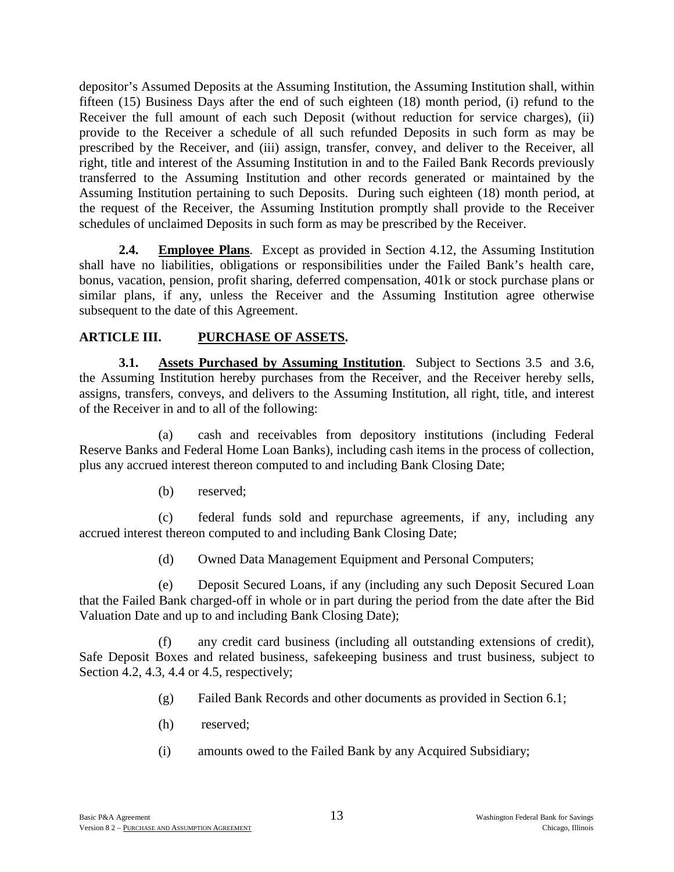depositor's Assumed Deposits at the Assuming Institution, the Assuming Institution shall, within fifteen (15) Business Days after the end of such eighteen (18) month period, (i) refund to the Receiver the full amount of each such Deposit (without reduction for service charges), (ii) provide to the Receiver a schedule of all such refunded Deposits in such form as may be prescribed by the Receiver, and (iii) assign, transfer, convey, and deliver to the Receiver, all right, title and interest of the Assuming Institution in and to the Failed Bank Records previously transferred to the Assuming Institution and other records generated or maintained by the Assuming Institution pertaining to such Deposits. During such eighteen (18) month period, at the request of the Receiver, the Assuming Institution promptly shall provide to the Receiver schedules of unclaimed Deposits in such form as may be prescribed by the Receiver.

**2.4. Employee Plans**.Except as provided in Section 4.12, the Assuming Institution shall have no liabilities, obligations or responsibilities under the Failed Bank's health care, bonus, vacation, pension, profit sharing, deferred compensation, 401k or stock purchase plans or similar plans, if any, unless the Receiver and the Assuming Institution agree otherwise subsequent to the date of this Agreement.

## **ARTICLE III. PURCHASE OF ASSETS.**

**3.1. Assets Purchased by Assuming Institution**. Subject to Sections 3.5 and 3.6, the Assuming Institution hereby purchases from the Receiver, and the Receiver hereby sells, assigns, transfers, conveys, and delivers to the Assuming Institution, all right, title, and interest of the Receiver in and to all of the following:

(a) cash and receivables from depository institutions (including Federal Reserve Banks and Federal Home Loan Banks), including cash items in the process of collection, plus any accrued interest thereon computed to and including Bank Closing Date;

(b) reserved;

(c) federal funds sold and repurchase agreements, if any, including any accrued interest thereon computed to and including Bank Closing Date;

(d) Owned Data Management Equipment and Personal Computers;

(e) Deposit Secured Loans, if any (including any such Deposit Secured Loan that the Failed Bank charged-off in whole or in part during the period from the date after the Bid Valuation Date and up to and including Bank Closing Date);

(f) any credit card business (including all outstanding extensions of credit), Safe Deposit Boxes and related business, safekeeping business and trust business, subject to Section 4.2, 4.3, 4.4 or 4.5, respectively;

- (g) Failed Bank Records and other documents as provided in Section 6.1;
- (h) reserved;
- (i) amounts owed to the Failed Bank by any Acquired Subsidiary;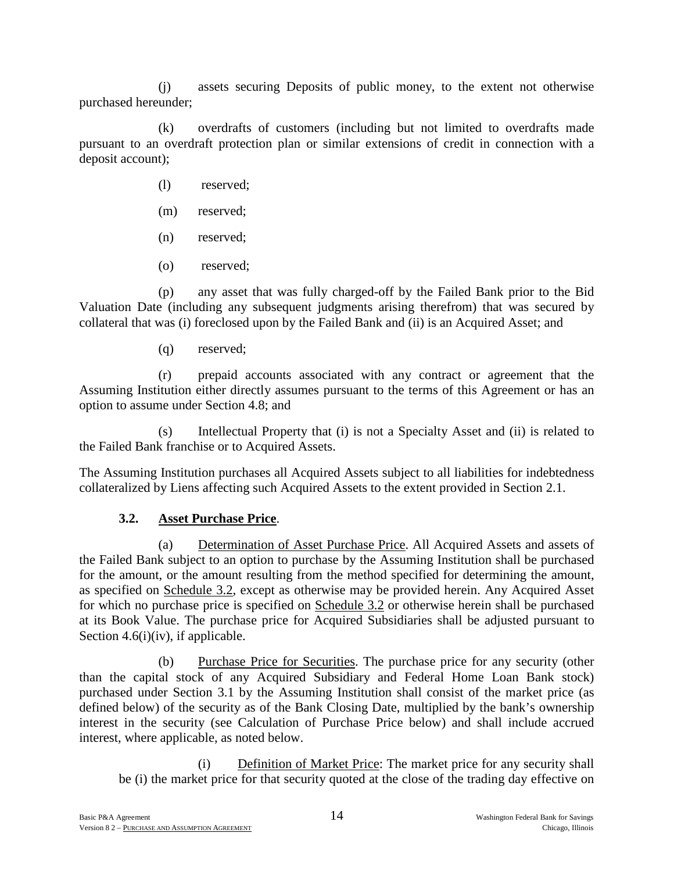(j) assets securing Deposits of public money, to the extent not otherwise purchased hereunder;

(k) overdrafts of customers (including but not limited to overdrafts made pursuant to an overdraft protection plan or similar extensions of credit in connection with a deposit account);

- (l) reserved;
- (m) reserved;
- (n) reserved;
- (o) reserved;

(p) any asset that was fully charged-off by the Failed Bank prior to the Bid Valuation Date (including any subsequent judgments arising therefrom) that was secured by collateral that was (i) foreclosed upon by the Failed Bank and (ii) is an Acquired Asset; and

(q) reserved;

(r) prepaid accounts associated with any contract or agreement that the Assuming Institution either directly assumes pursuant to the terms of this Agreement or has an option to assume under Section 4.8; and

(s) Intellectual Property that (i) is not a Specialty Asset and (ii) is related to the Failed Bank franchise or to Acquired Assets.

The Assuming Institution purchases all Acquired Assets subject to all liabilities for indebtedness collateralized by Liens affecting such Acquired Assets to the extent provided in Section 2.1.

## **3.2. Asset Purchase Price**.

(a) Determination of Asset Purchase Price. All Acquired Assets and assets of the Failed Bank subject to an option to purchase by the Assuming Institution shall be purchased for the amount, or the amount resulting from the method specified for determining the amount, as specified on Schedule 3.2, except as otherwise may be provided herein. Any Acquired Asset for which no purchase price is specified on Schedule 3.2 or otherwise herein shall be purchased at its Book Value. The purchase price for Acquired Subsidiaries shall be adjusted pursuant to Section 4.6(i)(iv), if applicable.

(b) Purchase Price for Securities. The purchase price for any security (other than the capital stock of any Acquired Subsidiary and Federal Home Loan Bank stock) purchased under Section 3.1 by the Assuming Institution shall consist of the market price (as defined below) of the security as of the Bank Closing Date, multiplied by the bank's ownership interest in the security (see Calculation of Purchase Price below) and shall include accrued interest, where applicable, as noted below.

(i) Definition of Market Price: The market price for any security shall be (i) the market price for that security quoted at the close of the trading day effective on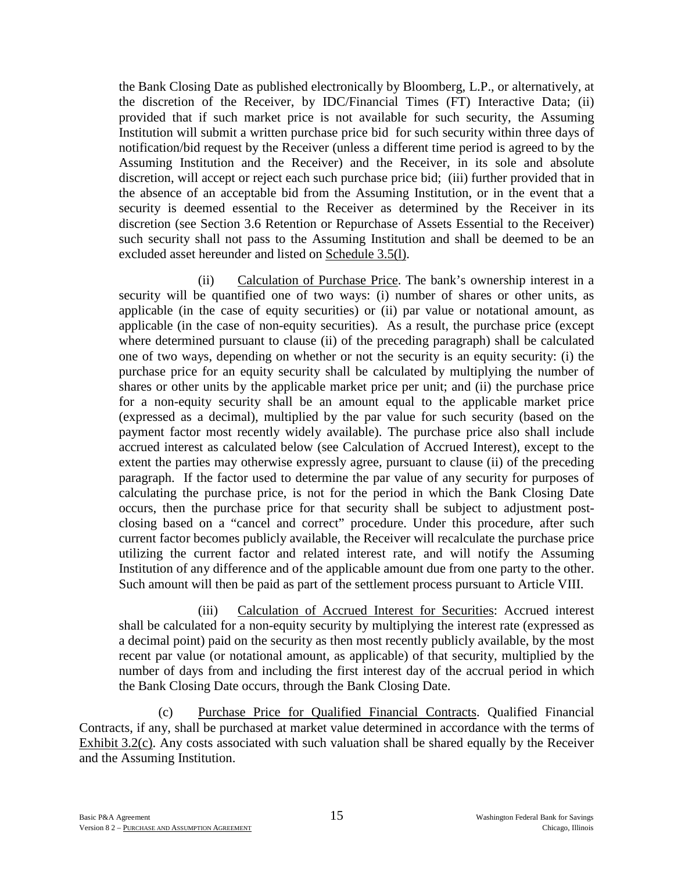the Bank Closing Date as published electronically by Bloomberg, L.P., or alternatively, at the discretion of the Receiver, by IDC/Financial Times (FT) Interactive Data; (ii) provided that if such market price is not available for such security, the Assuming Institution will submit a written purchase price bid for such security within three days of notification/bid request by the Receiver (unless a different time period is agreed to by the Assuming Institution and the Receiver) and the Receiver, in its sole and absolute discretion, will accept or reject each such purchase price bid; (iii) further provided that in the absence of an acceptable bid from the Assuming Institution, or in the event that a security is deemed essential to the Receiver as determined by the Receiver in its discretion (see Section 3.6 Retention or Repurchase of Assets Essential to the Receiver) such security shall not pass to the Assuming Institution and shall be deemed to be an excluded asset hereunder and listed on Schedule 3.5(l).

(ii) Calculation of Purchase Price. The bank's ownership interest in a security will be quantified one of two ways: (i) number of shares or other units, as applicable (in the case of equity securities) or (ii) par value or notational amount, as applicable (in the case of non-equity securities). As a result, the purchase price (except where determined pursuant to clause (ii) of the preceding paragraph) shall be calculated one of two ways, depending on whether or not the security is an equity security: (i) the purchase price for an equity security shall be calculated by multiplying the number of shares or other units by the applicable market price per unit; and (ii) the purchase price for a non-equity security shall be an amount equal to the applicable market price (expressed as a decimal), multiplied by the par value for such security (based on the payment factor most recently widely available). The purchase price also shall include accrued interest as calculated below (see Calculation of Accrued Interest), except to the extent the parties may otherwise expressly agree, pursuant to clause (ii) of the preceding paragraph. If the factor used to determine the par value of any security for purposes of calculating the purchase price, is not for the period in which the Bank Closing Date occurs, then the purchase price for that security shall be subject to adjustment postclosing based on a "cancel and correct" procedure. Under this procedure, after such current factor becomes publicly available, the Receiver will recalculate the purchase price utilizing the current factor and related interest rate, and will notify the Assuming Institution of any difference and of the applicable amount due from one party to the other. Such amount will then be paid as part of the settlement process pursuant to Article VIII.

(iii) Calculation of Accrued Interest for Securities: Accrued interest shall be calculated for a non-equity security by multiplying the interest rate (expressed as a decimal point) paid on the security as then most recently publicly available, by the most recent par value (or notational amount, as applicable) of that security, multiplied by the number of days from and including the first interest day of the accrual period in which the Bank Closing Date occurs, through the Bank Closing Date.

(c) Purchase Price for Qualified Financial Contracts. Qualified Financial Contracts, if any, shall be purchased at market value determined in accordance with the terms of Exhibit 3.2(c). Any costs associated with such valuation shall be shared equally by the Receiver and the Assuming Institution.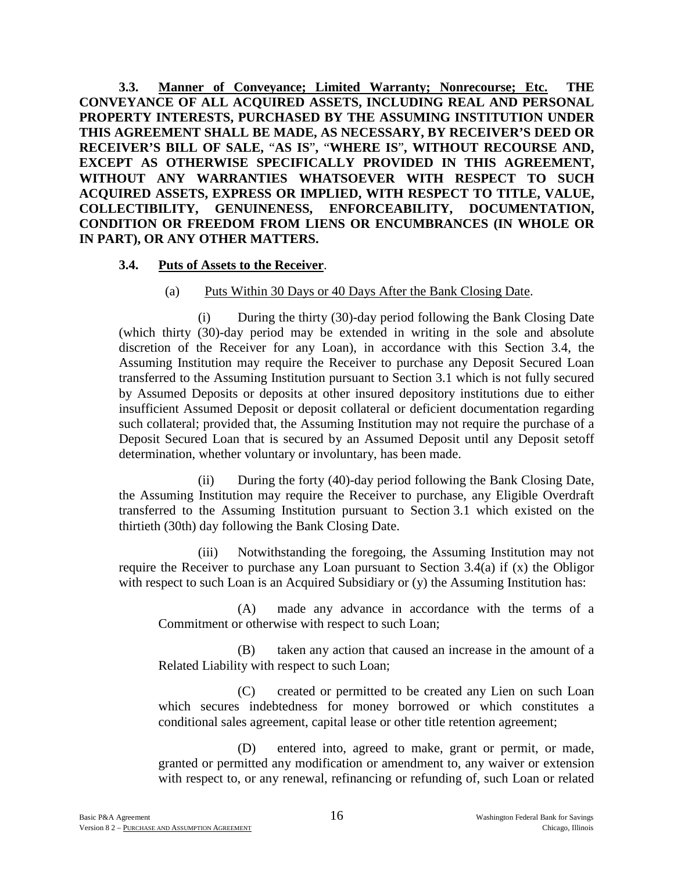**3.3. Manner of Conveyance; Limited Warranty; Nonrecourse; Etc. THE CONVEYANCE OF ALL ACQUIRED ASSETS, INCLUDING REAL AND PERSONAL PROPERTY INTERESTS, PURCHASED BY THE ASSUMING INSTITUTION UNDER THIS AGREEMENT SHALL BE MADE, AS NECESSARY, BY RECEIVER'S DEED OR RECEIVER'S BILL OF SALE,** "**AS IS**"**,** "**WHERE IS**"**, WITHOUT RECOURSE AND, EXCEPT AS OTHERWISE SPECIFICALLY PROVIDED IN THIS AGREEMENT, WITHOUT ANY WARRANTIES WHATSOEVER WITH RESPECT TO SUCH ACQUIRED ASSETS, EXPRESS OR IMPLIED, WITH RESPECT TO TITLE, VALUE, COLLECTIBILITY, GENUINENESS, ENFORCEABILITY, DOCUMENTATION, CONDITION OR FREEDOM FROM LIENS OR ENCUMBRANCES (IN WHOLE OR IN PART), OR ANY OTHER MATTERS.** 

#### **3.4. Puts of Assets to the Receiver**.

#### (a) Puts Within 30 Days or 40 Days After the Bank Closing Date.

(i) During the thirty (30)-day period following the Bank Closing Date (which thirty (30)-day period may be extended in writing in the sole and absolute discretion of the Receiver for any Loan), in accordance with this Section 3.4, the Assuming Institution may require the Receiver to purchase any Deposit Secured Loan transferred to the Assuming Institution pursuant to Section 3.1 which is not fully secured by Assumed Deposits or deposits at other insured depository institutions due to either insufficient Assumed Deposit or deposit collateral or deficient documentation regarding such collateral; provided that, the Assuming Institution may not require the purchase of a Deposit Secured Loan that is secured by an Assumed Deposit until any Deposit setoff determination, whether voluntary or involuntary, has been made.

(ii) During the forty (40)-day period following the Bank Closing Date, the Assuming Institution may require the Receiver to purchase, any Eligible Overdraft transferred to the Assuming Institution pursuant to Section 3.1 which existed on the thirtieth (30th) day following the Bank Closing Date.

(iii) Notwithstanding the foregoing, the Assuming Institution may not require the Receiver to purchase any Loan pursuant to Section 3.4(a) if (x) the Obligor with respect to such Loan is an Acquired Subsidiary or (y) the Assuming Institution has:

(A) made any advance in accordance with the terms of a Commitment or otherwise with respect to such Loan;

(B) taken any action that caused an increase in the amount of a Related Liability with respect to such Loan;

(C) created or permitted to be created any Lien on such Loan which secures indebtedness for money borrowed or which constitutes a conditional sales agreement, capital lease or other title retention agreement;

(D) entered into, agreed to make, grant or permit, or made, granted or permitted any modification or amendment to, any waiver or extension with respect to, or any renewal, refinancing or refunding of, such Loan or related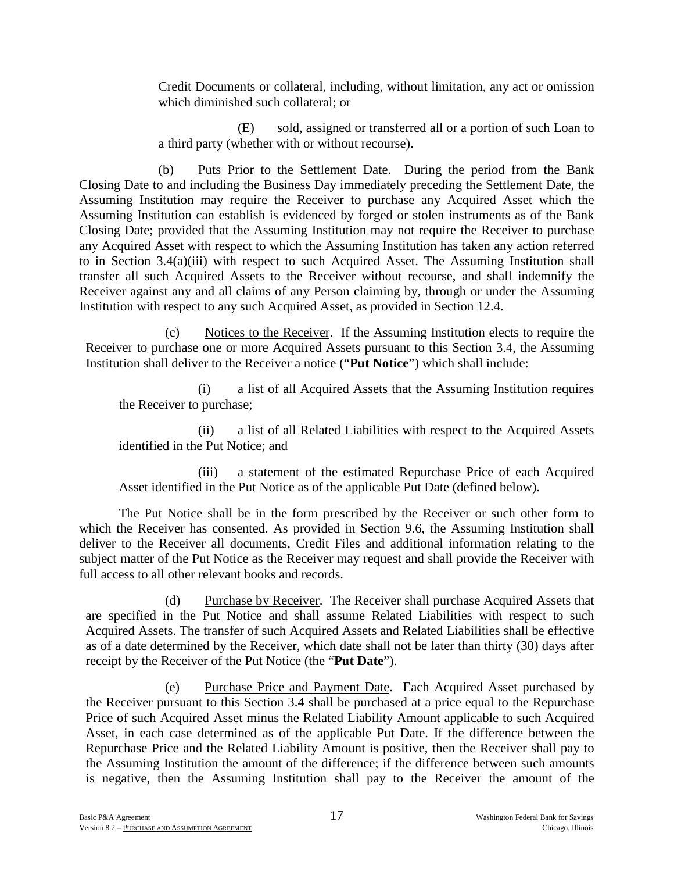Credit Documents or collateral, including, without limitation, any act or omission which diminished such collateral; or

(E) sold, assigned or transferred all or a portion of such Loan to a third party (whether with or without recourse).

(b) Puts Prior to the Settlement Date. During the period from the Bank Closing Date to and including the Business Day immediately preceding the Settlement Date, the Assuming Institution may require the Receiver to purchase any Acquired Asset which the Assuming Institution can establish is evidenced by forged or stolen instruments as of the Bank Closing Date; provided that the Assuming Institution may not require the Receiver to purchase any Acquired Asset with respect to which the Assuming Institution has taken any action referred to in Section 3.4(a)(iii) with respect to such Acquired Asset. The Assuming Institution shall transfer all such Acquired Assets to the Receiver without recourse, and shall indemnify the Receiver against any and all claims of any Person claiming by, through or under the Assuming Institution with respect to any such Acquired Asset, as provided in Section 12.4.

(c) Notices to the Receiver. If the Assuming Institution elects to require the Receiver to purchase one or more Acquired Assets pursuant to this Section 3.4, the Assuming Institution shall deliver to the Receiver a notice ("**Put Notice**") which shall include:

(i) a list of all Acquired Assets that the Assuming Institution requires the Receiver to purchase;

(ii) a list of all Related Liabilities with respect to the Acquired Assets identified in the Put Notice; and

(iii) a statement of the estimated Repurchase Price of each Acquired Asset identified in the Put Notice as of the applicable Put Date (defined below).

The Put Notice shall be in the form prescribed by the Receiver or such other form to which the Receiver has consented. As provided in Section 9.6, the Assuming Institution shall deliver to the Receiver all documents, Credit Files and additional information relating to the subject matter of the Put Notice as the Receiver may request and shall provide the Receiver with full access to all other relevant books and records.

(d) Purchase by Receiver. The Receiver shall purchase Acquired Assets that are specified in the Put Notice and shall assume Related Liabilities with respect to such Acquired Assets. The transfer of such Acquired Assets and Related Liabilities shall be effective as of a date determined by the Receiver, which date shall not be later than thirty (30) days after receipt by the Receiver of the Put Notice (the "**Put Date**").

(e) Purchase Price and Payment Date. Each Acquired Asset purchased by the Receiver pursuant to this Section 3.4 shall be purchased at a price equal to the Repurchase Price of such Acquired Asset minus the Related Liability Amount applicable to such Acquired Asset, in each case determined as of the applicable Put Date. If the difference between the Repurchase Price and the Related Liability Amount is positive, then the Receiver shall pay to the Assuming Institution the amount of the difference; if the difference between such amounts is negative, then the Assuming Institution shall pay to the Receiver the amount of the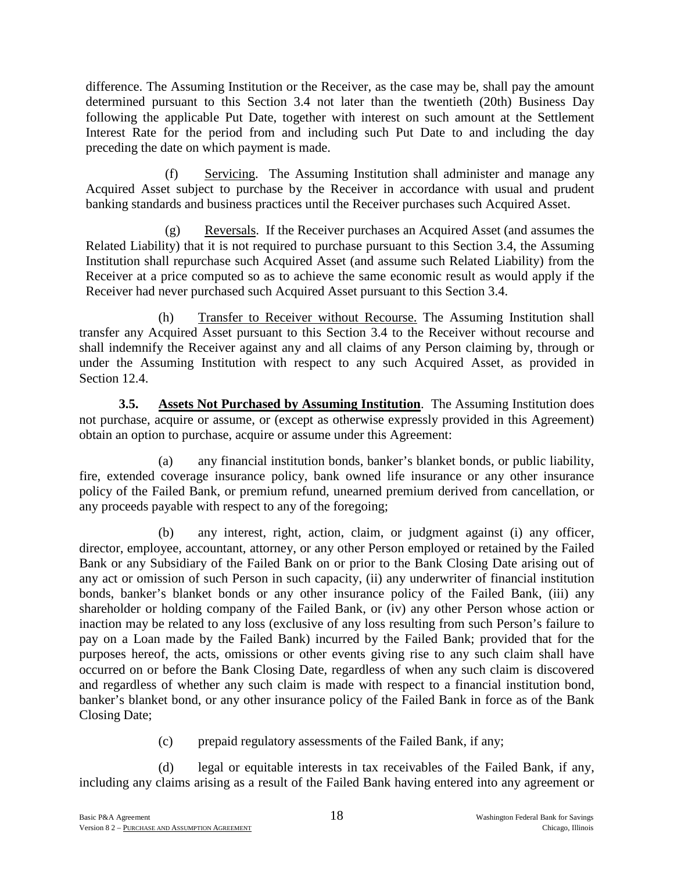difference. The Assuming Institution or the Receiver, as the case may be, shall pay the amount determined pursuant to this Section 3.4 not later than the twentieth (20th) Business Day following the applicable Put Date, together with interest on such amount at the Settlement Interest Rate for the period from and including such Put Date to and including the day preceding the date on which payment is made.

(f) Servicing. The Assuming Institution shall administer and manage any Acquired Asset subject to purchase by the Receiver in accordance with usual and prudent banking standards and business practices until the Receiver purchases such Acquired Asset.

(g) Reversals. If the Receiver purchases an Acquired Asset (and assumes the Related Liability) that it is not required to purchase pursuant to this Section 3.4, the Assuming Institution shall repurchase such Acquired Asset (and assume such Related Liability) from the Receiver at a price computed so as to achieve the same economic result as would apply if the Receiver had never purchased such Acquired Asset pursuant to this Section 3.4.

(h) Transfer to Receiver without Recourse. The Assuming Institution shall transfer any Acquired Asset pursuant to this Section 3.4 to the Receiver without recourse and shall indemnify the Receiver against any and all claims of any Person claiming by, through or under the Assuming Institution with respect to any such Acquired Asset, as provided in Section 12.4.

**3.5. Assets Not Purchased by Assuming Institution**. The Assuming Institution does not purchase, acquire or assume, or (except as otherwise expressly provided in this Agreement) obtain an option to purchase, acquire or assume under this Agreement:

(a) any financial institution bonds, banker's blanket bonds, or public liability, fire, extended coverage insurance policy, bank owned life insurance or any other insurance policy of the Failed Bank, or premium refund, unearned premium derived from cancellation, or any proceeds payable with respect to any of the foregoing;

(b) any interest, right, action, claim, or judgment against (i) any officer, director, employee, accountant, attorney, or any other Person employed or retained by the Failed Bank or any Subsidiary of the Failed Bank on or prior to the Bank Closing Date arising out of any act or omission of such Person in such capacity, (ii) any underwriter of financial institution bonds, banker's blanket bonds or any other insurance policy of the Failed Bank, (iii) any shareholder or holding company of the Failed Bank, or (iv) any other Person whose action or inaction may be related to any loss (exclusive of any loss resulting from such Person's failure to pay on a Loan made by the Failed Bank) incurred by the Failed Bank; provided that for the purposes hereof, the acts, omissions or other events giving rise to any such claim shall have occurred on or before the Bank Closing Date, regardless of when any such claim is discovered and regardless of whether any such claim is made with respect to a financial institution bond, banker's blanket bond, or any other insurance policy of the Failed Bank in force as of the Bank Closing Date;

(c) prepaid regulatory assessments of the Failed Bank, if any;

(d) legal or equitable interests in tax receivables of the Failed Bank, if any, including any claims arising as a result of the Failed Bank having entered into any agreement or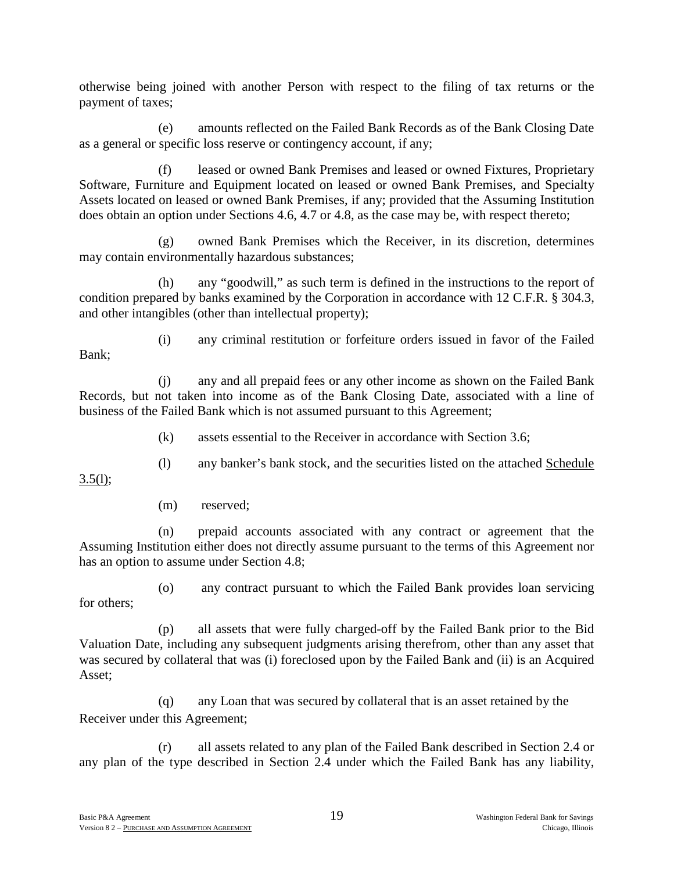otherwise being joined with another Person with respect to the filing of tax returns or the payment of taxes;

(e) amounts reflected on the Failed Bank Records as of the Bank Closing Date as a general or specific loss reserve or contingency account, if any;

(f) leased or owned Bank Premises and leased or owned Fixtures, Proprietary Software, Furniture and Equipment located on leased or owned Bank Premises, and Specialty Assets located on leased or owned Bank Premises, if any; provided that the Assuming Institution does obtain an option under Sections 4.6, 4.7 or 4.8, as the case may be, with respect thereto;

(g) owned Bank Premises which the Receiver, in its discretion, determines may contain environmentally hazardous substances;

(h) any "goodwill," as such term is defined in the instructions to the report of condition prepared by banks examined by the Corporation in accordance with 12 C.F.R. § 304.3, and other intangibles (other than intellectual property);

Bank;

(i) any criminal restitution or forfeiture orders issued in favor of the Failed

(j) any and all prepaid fees or any other income as shown on the Failed Bank Records, but not taken into income as of the Bank Closing Date, associated with a line of business of the Failed Bank which is not assumed pursuant to this Agreement;

(k) assets essential to the Receiver in accordance with Section 3.6;

(l) any banker's bank stock, and the securities listed on the attached Schedule

 $3.5(l)$ ;

(m) reserved;

(n) prepaid accounts associated with any contract or agreement that the Assuming Institution either does not directly assume pursuant to the terms of this Agreement nor has an option to assume under Section 4.8;

(o) any contract pursuant to which the Failed Bank provides loan servicing for others;

(p) all assets that were fully charged-off by the Failed Bank prior to the Bid Valuation Date, including any subsequent judgments arising therefrom, other than any asset that was secured by collateral that was (i) foreclosed upon by the Failed Bank and (ii) is an Acquired Asset;

(q) any Loan that was secured by collateral that is an asset retained by the Receiver under this Agreement;

(r) all assets related to any plan of the Failed Bank described in Section 2.4 or any plan of the type described in Section 2.4 under which the Failed Bank has any liability,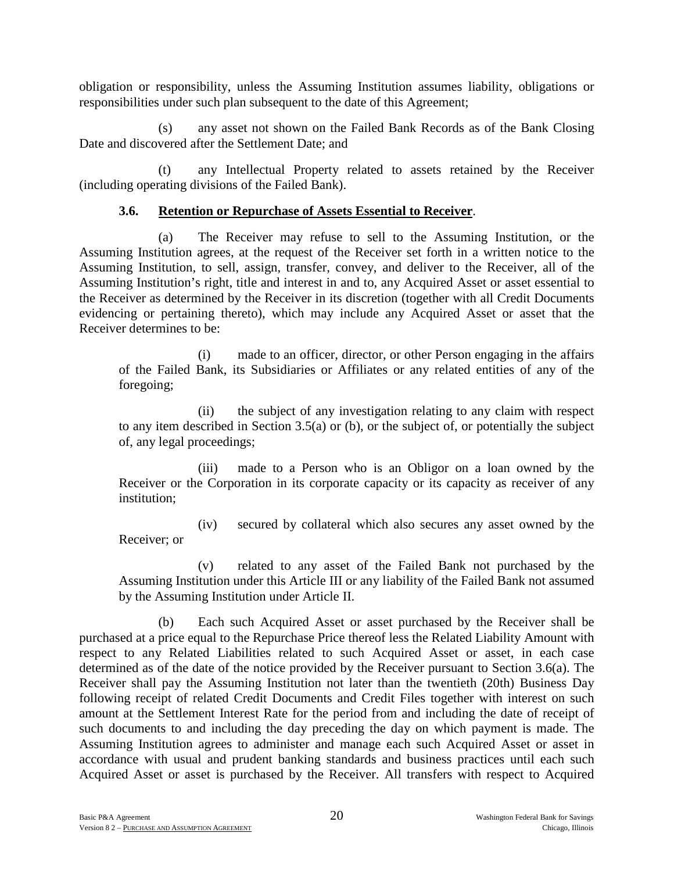obligation or responsibility, unless the Assuming Institution assumes liability, obligations or responsibilities under such plan subsequent to the date of this Agreement;

(s) any asset not shown on the Failed Bank Records as of the Bank Closing Date and discovered after the Settlement Date; and

(t) any Intellectual Property related to assets retained by the Receiver (including operating divisions of the Failed Bank).

## **3.6. Retention or Repurchase of Assets Essential to Receiver**.

(a) The Receiver may refuse to sell to the Assuming Institution, or the Assuming Institution agrees, at the request of the Receiver set forth in a written notice to the Assuming Institution, to sell, assign, transfer, convey, and deliver to the Receiver, all of the Assuming Institution's right, title and interest in and to, any Acquired Asset or asset essential to the Receiver as determined by the Receiver in its discretion (together with all Credit Documents evidencing or pertaining thereto), which may include any Acquired Asset or asset that the Receiver determines to be:

(i) made to an officer, director, or other Person engaging in the affairs of the Failed Bank, its Subsidiaries or Affiliates or any related entities of any of the foregoing;

(ii) the subject of any investigation relating to any claim with respect to any item described in Section 3.5(a) or (b), or the subject of, or potentially the subject of, any legal proceedings;

(iii) made to a Person who is an Obligor on a loan owned by the Receiver or the Corporation in its corporate capacity or its capacity as receiver of any institution;

(iv) secured by collateral which also secures any asset owned by the Receiver; or

(v) related to any asset of the Failed Bank not purchased by the Assuming Institution under this Article III or any liability of the Failed Bank not assumed by the Assuming Institution under Article II.

(b) Each such Acquired Asset or asset purchased by the Receiver shall be purchased at a price equal to the Repurchase Price thereof less the Related Liability Amount with respect to any Related Liabilities related to such Acquired Asset or asset, in each case determined as of the date of the notice provided by the Receiver pursuant to Section 3.6(a). The Receiver shall pay the Assuming Institution not later than the twentieth (20th) Business Day following receipt of related Credit Documents and Credit Files together with interest on such amount at the Settlement Interest Rate for the period from and including the date of receipt of such documents to and including the day preceding the day on which payment is made. The Assuming Institution agrees to administer and manage each such Acquired Asset or asset in accordance with usual and prudent banking standards and business practices until each such Acquired Asset or asset is purchased by the Receiver. All transfers with respect to Acquired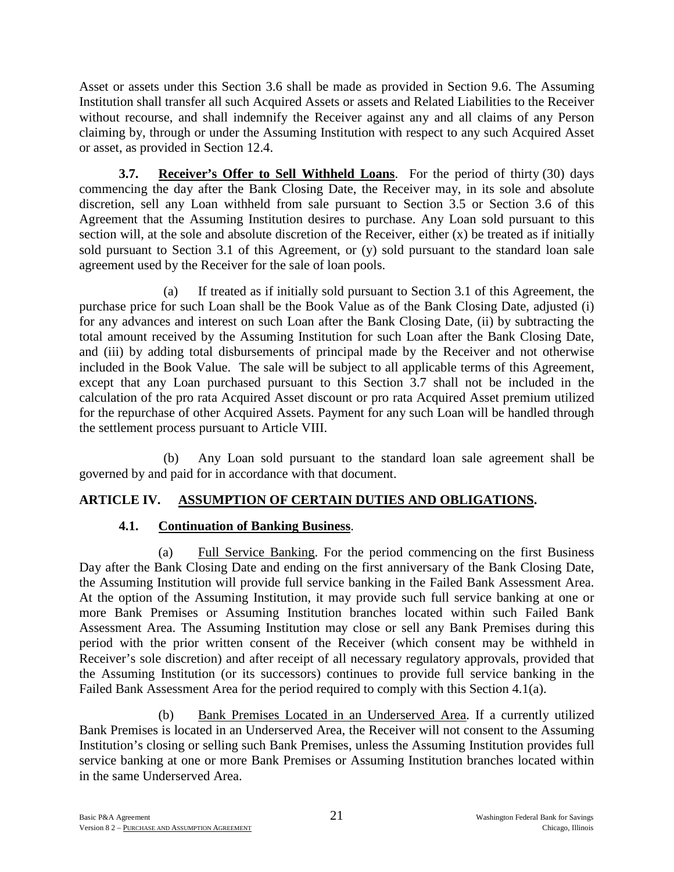Asset or assets under this Section 3.6 shall be made as provided in Section 9.6. The Assuming Institution shall transfer all such Acquired Assets or assets and Related Liabilities to the Receiver without recourse, and shall indemnify the Receiver against any and all claims of any Person claiming by, through or under the Assuming Institution with respect to any such Acquired Asset or asset, as provided in Section 12.4.

**3.7. Receiver's Offer to Sell Withheld Loans**. For the period of thirty (30) days commencing the day after the Bank Closing Date, the Receiver may, in its sole and absolute discretion, sell any Loan withheld from sale pursuant to Section 3.5 or Section 3.6 of this Agreement that the Assuming Institution desires to purchase. Any Loan sold pursuant to this section will, at the sole and absolute discretion of the Receiver, either (x) be treated as if initially sold pursuant to Section 3.1 of this Agreement, or (y) sold pursuant to the standard loan sale agreement used by the Receiver for the sale of loan pools.

(a) If treated as if initially sold pursuant to Section 3.1 of this Agreement, the purchase price for such Loan shall be the Book Value as of the Bank Closing Date, adjusted (i) for any advances and interest on such Loan after the Bank Closing Date, (ii) by subtracting the total amount received by the Assuming Institution for such Loan after the Bank Closing Date, and (iii) by adding total disbursements of principal made by the Receiver and not otherwise included in the Book Value. The sale will be subject to all applicable terms of this Agreement, except that any Loan purchased pursuant to this Section 3.7 shall not be included in the calculation of the pro rata Acquired Asset discount or pro rata Acquired Asset premium utilized for the repurchase of other Acquired Assets. Payment for any such Loan will be handled through the settlement process pursuant to Article VIII.

(b) Any Loan sold pursuant to the standard loan sale agreement shall be governed by and paid for in accordance with that document.

# **ARTICLE IV. ASSUMPTION OF CERTAIN DUTIES AND OBLIGATIONS.**

# **4.1. Continuation of Banking Business**.

(a) Full Service Banking. For the period commencing on the first Business Day after the Bank Closing Date and ending on the first anniversary of the Bank Closing Date, the Assuming Institution will provide full service banking in the Failed Bank Assessment Area. At the option of the Assuming Institution, it may provide such full service banking at one or more Bank Premises or Assuming Institution branches located within such Failed Bank Assessment Area. The Assuming Institution may close or sell any Bank Premises during this period with the prior written consent of the Receiver (which consent may be withheld in Receiver's sole discretion) and after receipt of all necessary regulatory approvals, provided that the Assuming Institution (or its successors) continues to provide full service banking in the Failed Bank Assessment Area for the period required to comply with this Section 4.1(a).

(b) Bank Premises Located in an Underserved Area. If a currently utilized Bank Premises is located in an Underserved Area, the Receiver will not consent to the Assuming Institution's closing or selling such Bank Premises, unless the Assuming Institution provides full service banking at one or more Bank Premises or Assuming Institution branches located within in the same Underserved Area.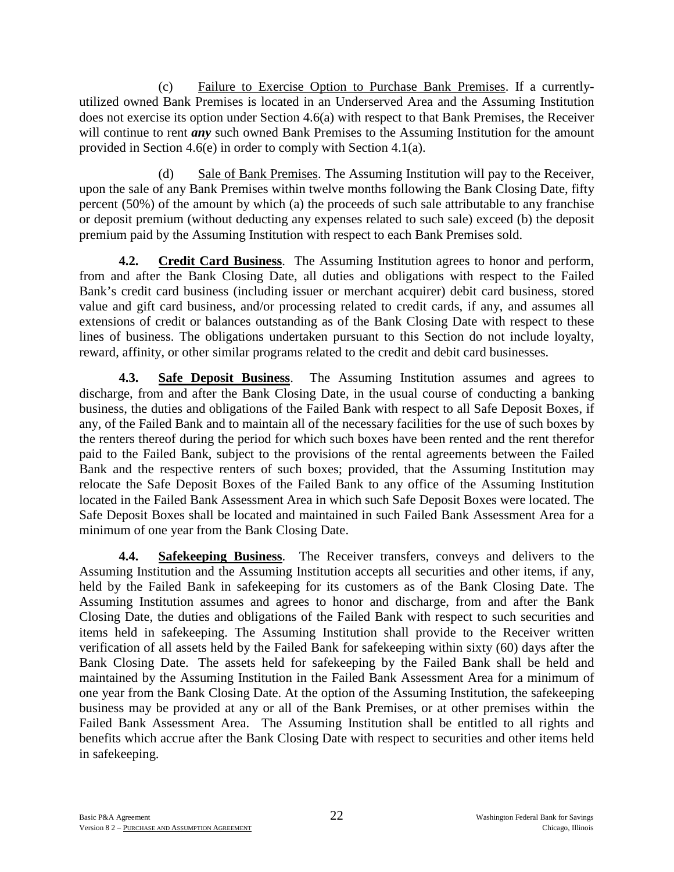(c) Failure to Exercise Option to Purchase Bank Premises. If a currentlyutilized owned Bank Premises is located in an Underserved Area and the Assuming Institution does not exercise its option under Section 4.6(a) with respect to that Bank Premises, the Receiver will continue to rent *any* such owned Bank Premises to the Assuming Institution for the amount provided in Section 4.6(e) in order to comply with Section 4.1(a).

(d) Sale of Bank Premises. The Assuming Institution will pay to the Receiver, upon the sale of any Bank Premises within twelve months following the Bank Closing Date, fifty percent (50%) of the amount by which (a) the proceeds of such sale attributable to any franchise or deposit premium (without deducting any expenses related to such sale) exceed (b) the deposit premium paid by the Assuming Institution with respect to each Bank Premises sold.

**4.2. Credit Card Business**. The Assuming Institution agrees to honor and perform, from and after the Bank Closing Date, all duties and obligations with respect to the Failed Bank's credit card business (including issuer or merchant acquirer) debit card business, stored value and gift card business, and/or processing related to credit cards, if any, and assumes all extensions of credit or balances outstanding as of the Bank Closing Date with respect to these lines of business. The obligations undertaken pursuant to this Section do not include loyalty, reward, affinity, or other similar programs related to the credit and debit card businesses.

**4.3. Safe Deposit Business**. The Assuming Institution assumes and agrees to discharge, from and after the Bank Closing Date, in the usual course of conducting a banking business, the duties and obligations of the Failed Bank with respect to all Safe Deposit Boxes, if any, of the Failed Bank and to maintain all of the necessary facilities for the use of such boxes by the renters thereof during the period for which such boxes have been rented and the rent therefor paid to the Failed Bank, subject to the provisions of the rental agreements between the Failed Bank and the respective renters of such boxes; provided, that the Assuming Institution may relocate the Safe Deposit Boxes of the Failed Bank to any office of the Assuming Institution located in the Failed Bank Assessment Area in which such Safe Deposit Boxes were located. The Safe Deposit Boxes shall be located and maintained in such Failed Bank Assessment Area for a minimum of one year from the Bank Closing Date.

**4.4. Safekeeping Business**. The Receiver transfers, conveys and delivers to the Assuming Institution and the Assuming Institution accepts all securities and other items, if any, held by the Failed Bank in safekeeping for its customers as of the Bank Closing Date. The Assuming Institution assumes and agrees to honor and discharge, from and after the Bank Closing Date, the duties and obligations of the Failed Bank with respect to such securities and items held in safekeeping. The Assuming Institution shall provide to the Receiver written verification of all assets held by the Failed Bank for safekeeping within sixty (60) days after the Bank Closing Date. The assets held for safekeeping by the Failed Bank shall be held and maintained by the Assuming Institution in the Failed Bank Assessment Area for a minimum of one year from the Bank Closing Date. At the option of the Assuming Institution, the safekeeping business may be provided at any or all of the Bank Premises, or at other premises within the Failed Bank Assessment Area. The Assuming Institution shall be entitled to all rights and benefits which accrue after the Bank Closing Date with respect to securities and other items held in safekeeping.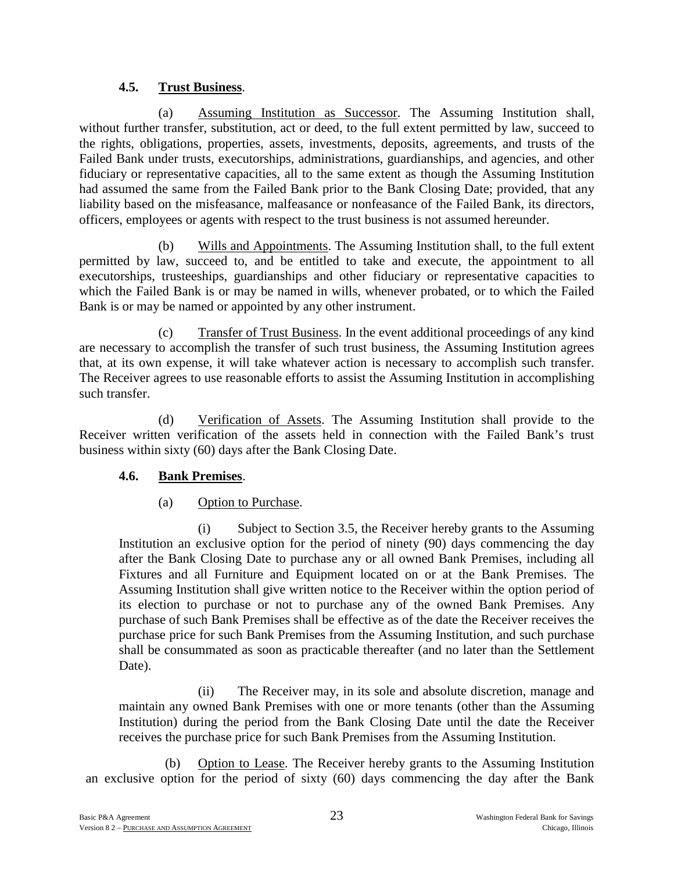## **4.5. Trust Business**.

(a) Assuming Institution as Successor. The Assuming Institution shall, without further transfer, substitution, act or deed, to the full extent permitted by law, succeed to the rights, obligations, properties, assets, investments, deposits, agreements, and trusts of the Failed Bank under trusts, executorships, administrations, guardianships, and agencies, and other fiduciary or representative capacities, all to the same extent as though the Assuming Institution had assumed the same from the Failed Bank prior to the Bank Closing Date; provided, that any liability based on the misfeasance, malfeasance or nonfeasance of the Failed Bank, its directors, officers, employees or agents with respect to the trust business is not assumed hereunder.

(b) Wills and Appointments. The Assuming Institution shall, to the full extent permitted by law, succeed to, and be entitled to take and execute, the appointment to all executorships, trusteeships, guardianships and other fiduciary or representative capacities to which the Failed Bank is or may be named in wills, whenever probated, or to which the Failed Bank is or may be named or appointed by any other instrument.

(c) Transfer of Trust Business. In the event additional proceedings of any kind are necessary to accomplish the transfer of such trust business, the Assuming Institution agrees that, at its own expense, it will take whatever action is necessary to accomplish such transfer. The Receiver agrees to use reasonable efforts to assist the Assuming Institution in accomplishing such transfer.

(d) Verification of Assets. The Assuming Institution shall provide to the Receiver written verification of the assets held in connection with the Failed Bank's trust business within sixty (60) days after the Bank Closing Date.

# **4.6. Bank Premises**.

(a) Option to Purchase.

(i) Subject to Section 3.5, the Receiver hereby grants to the Assuming Institution an exclusive option for the period of ninety (90) days commencing the day after the Bank Closing Date to purchase any or all owned Bank Premises, including all Fixtures and all Furniture and Equipment located on or at the Bank Premises. The Assuming Institution shall give written notice to the Receiver within the option period of its election to purchase or not to purchase any of the owned Bank Premises. Any purchase of such Bank Premises shall be effective as of the date the Receiver receives the purchase price for such Bank Premises from the Assuming Institution, and such purchase shall be consummated as soon as practicable thereafter (and no later than the Settlement Date).

(ii) The Receiver may, in its sole and absolute discretion, manage and maintain any owned Bank Premises with one or more tenants (other than the Assuming Institution) during the period from the Bank Closing Date until the date the Receiver receives the purchase price for such Bank Premises from the Assuming Institution.

(b) Option to Lease. The Receiver hereby grants to the Assuming Institution an exclusive option for the period of sixty (60) days commencing the day after the Bank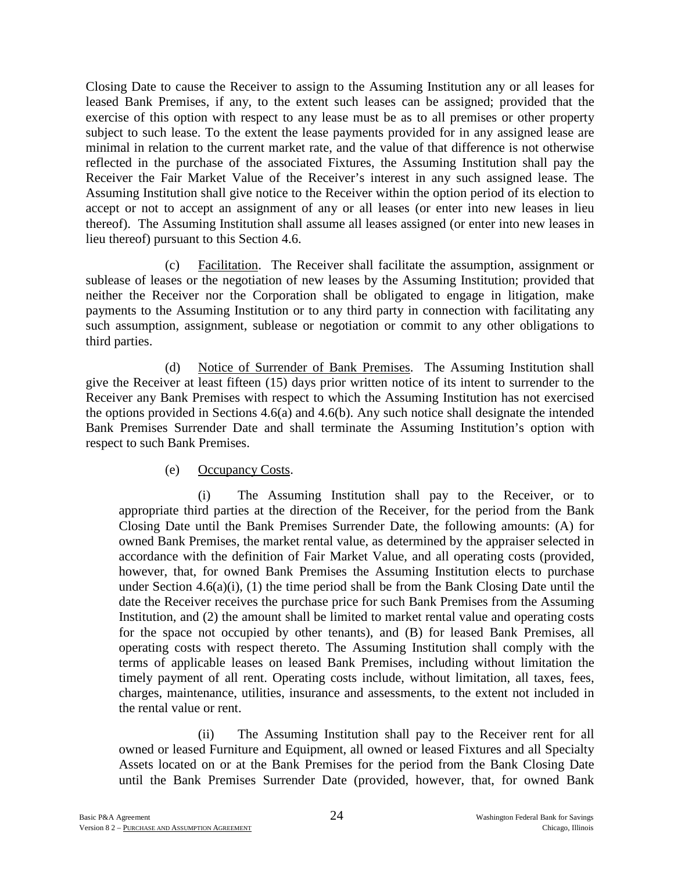Closing Date to cause the Receiver to assign to the Assuming Institution any or all leases for leased Bank Premises, if any, to the extent such leases can be assigned; provided that the exercise of this option with respect to any lease must be as to all premises or other property subject to such lease. To the extent the lease payments provided for in any assigned lease are minimal in relation to the current market rate, and the value of that difference is not otherwise reflected in the purchase of the associated Fixtures, the Assuming Institution shall pay the Receiver the Fair Market Value of the Receiver's interest in any such assigned lease. The Assuming Institution shall give notice to the Receiver within the option period of its election to accept or not to accept an assignment of any or all leases (or enter into new leases in lieu thereof). The Assuming Institution shall assume all leases assigned (or enter into new leases in lieu thereof) pursuant to this Section 4.6.

(c) Facilitation. The Receiver shall facilitate the assumption, assignment or sublease of leases or the negotiation of new leases by the Assuming Institution; provided that neither the Receiver nor the Corporation shall be obligated to engage in litigation, make payments to the Assuming Institution or to any third party in connection with facilitating any such assumption, assignment, sublease or negotiation or commit to any other obligations to third parties.

(d) Notice of Surrender of Bank Premises. The Assuming Institution shall give the Receiver at least fifteen (15) days prior written notice of its intent to surrender to the Receiver any Bank Premises with respect to which the Assuming Institution has not exercised the options provided in Sections 4.6(a) and 4.6(b). Any such notice shall designate the intended Bank Premises Surrender Date and shall terminate the Assuming Institution's option with respect to such Bank Premises.

## (e) Occupancy Costs.

(i) The Assuming Institution shall pay to the Receiver, or to appropriate third parties at the direction of the Receiver, for the period from the Bank Closing Date until the Bank Premises Surrender Date, the following amounts: (A) for owned Bank Premises, the market rental value, as determined by the appraiser selected in accordance with the definition of Fair Market Value, and all operating costs (provided, however, that, for owned Bank Premises the Assuming Institution elects to purchase under Section 4.6(a)(i), (1) the time period shall be from the Bank Closing Date until the date the Receiver receives the purchase price for such Bank Premises from the Assuming Institution, and (2) the amount shall be limited to market rental value and operating costs for the space not occupied by other tenants), and (B) for leased Bank Premises, all operating costs with respect thereto. The Assuming Institution shall comply with the terms of applicable leases on leased Bank Premises, including without limitation the timely payment of all rent. Operating costs include, without limitation, all taxes, fees, charges, maintenance, utilities, insurance and assessments, to the extent not included in the rental value or rent.

(ii) The Assuming Institution shall pay to the Receiver rent for all owned or leased Furniture and Equipment, all owned or leased Fixtures and all Specialty Assets located on or at the Bank Premises for the period from the Bank Closing Date until the Bank Premises Surrender Date (provided, however, that, for owned Bank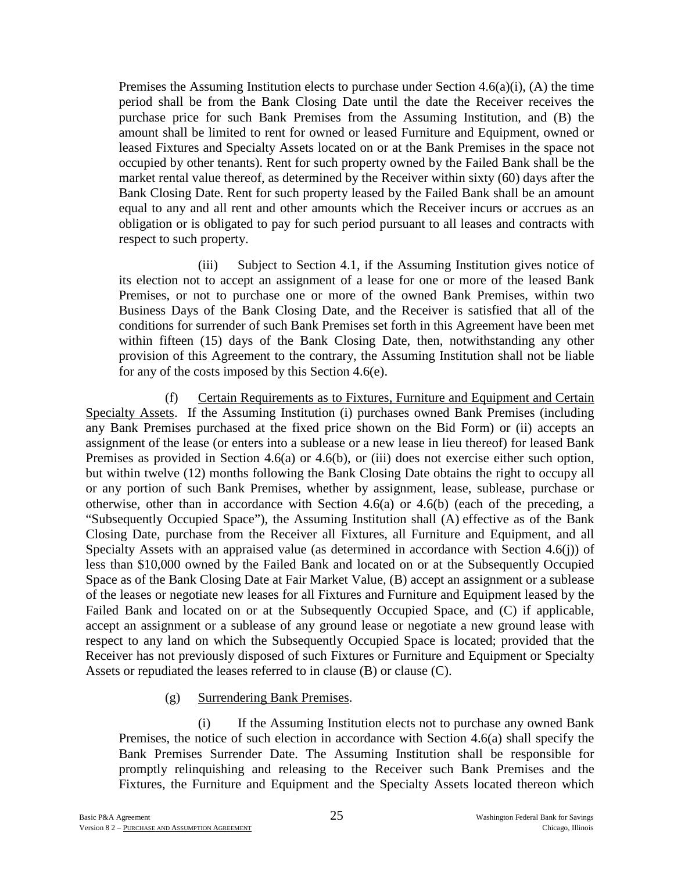Premises the Assuming Institution elects to purchase under Section  $4.6(a)(i)$ , (A) the time period shall be from the Bank Closing Date until the date the Receiver receives the purchase price for such Bank Premises from the Assuming Institution, and (B) the amount shall be limited to rent for owned or leased Furniture and Equipment, owned or leased Fixtures and Specialty Assets located on or at the Bank Premises in the space not occupied by other tenants). Rent for such property owned by the Failed Bank shall be the market rental value thereof, as determined by the Receiver within sixty (60) days after the Bank Closing Date. Rent for such property leased by the Failed Bank shall be an amount equal to any and all rent and other amounts which the Receiver incurs or accrues as an obligation or is obligated to pay for such period pursuant to all leases and contracts with respect to such property.

(iii) Subject to Section 4.1, if the Assuming Institution gives notice of its election not to accept an assignment of a lease for one or more of the leased Bank Premises, or not to purchase one or more of the owned Bank Premises, within two Business Days of the Bank Closing Date, and the Receiver is satisfied that all of the conditions for surrender of such Bank Premises set forth in this Agreement have been met within fifteen (15) days of the Bank Closing Date, then, notwithstanding any other provision of this Agreement to the contrary, the Assuming Institution shall not be liable for any of the costs imposed by this Section 4.6(e).

(f) Certain Requirements as to Fixtures, Furniture and Equipment and Certain Specialty Assets. If the Assuming Institution (i) purchases owned Bank Premises (including any Bank Premises purchased at the fixed price shown on the Bid Form) or (ii) accepts an assignment of the lease (or enters into a sublease or a new lease in lieu thereof) for leased Bank Premises as provided in Section 4.6(a) or 4.6(b), or (iii) does not exercise either such option, but within twelve (12) months following the Bank Closing Date obtains the right to occupy all or any portion of such Bank Premises, whether by assignment, lease, sublease, purchase or otherwise, other than in accordance with Section 4.6(a) or 4.6(b) (each of the preceding, a "Subsequently Occupied Space"), the Assuming Institution shall (A) effective as of the Bank Closing Date, purchase from the Receiver all Fixtures, all Furniture and Equipment, and all Specialty Assets with an appraised value (as determined in accordance with Section 4.6(j)) of less than \$10,000 owned by the Failed Bank and located on or at the Subsequently Occupied Space as of the Bank Closing Date at Fair Market Value, (B) accept an assignment or a sublease of the leases or negotiate new leases for all Fixtures and Furniture and Equipment leased by the Failed Bank and located on or at the Subsequently Occupied Space, and (C) if applicable, accept an assignment or a sublease of any ground lease or negotiate a new ground lease with respect to any land on which the Subsequently Occupied Space is located; provided that the Receiver has not previously disposed of such Fixtures or Furniture and Equipment or Specialty Assets or repudiated the leases referred to in clause (B) or clause (C).

(g) Surrendering Bank Premises.

(i) If the Assuming Institution elects not to purchase any owned Bank Premises, the notice of such election in accordance with Section 4.6(a) shall specify the Bank Premises Surrender Date. The Assuming Institution shall be responsible for promptly relinquishing and releasing to the Receiver such Bank Premises and the Fixtures, the Furniture and Equipment and the Specialty Assets located thereon which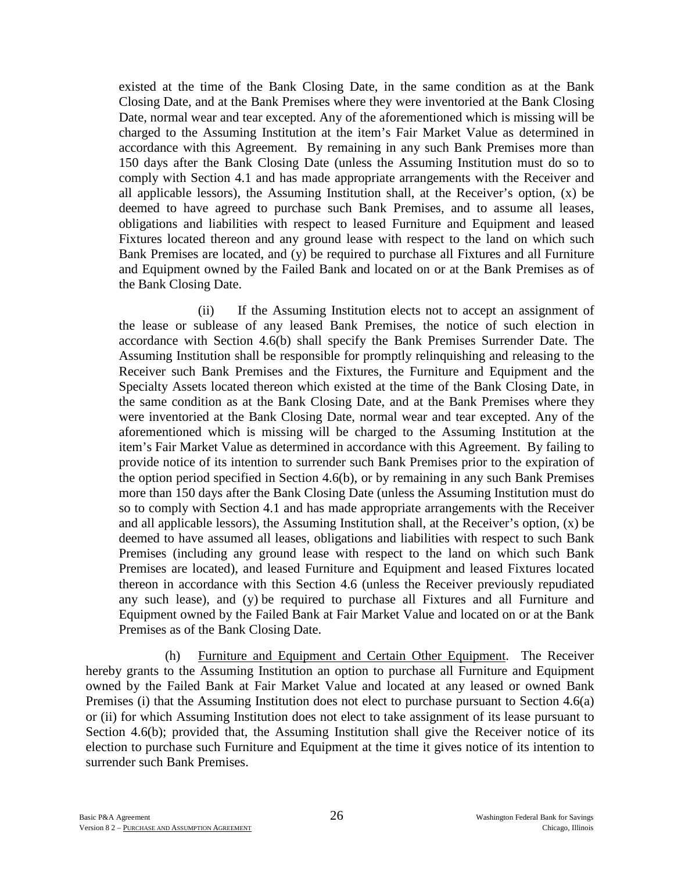existed at the time of the Bank Closing Date, in the same condition as at the Bank Closing Date, and at the Bank Premises where they were inventoried at the Bank Closing Date, normal wear and tear excepted. Any of the aforementioned which is missing will be charged to the Assuming Institution at the item's Fair Market Value as determined in accordance with this Agreement. By remaining in any such Bank Premises more than 150 days after the Bank Closing Date (unless the Assuming Institution must do so to comply with Section 4.1 and has made appropriate arrangements with the Receiver and all applicable lessors), the Assuming Institution shall, at the Receiver's option, (x) be deemed to have agreed to purchase such Bank Premises, and to assume all leases, obligations and liabilities with respect to leased Furniture and Equipment and leased Fixtures located thereon and any ground lease with respect to the land on which such Bank Premises are located, and (y) be required to purchase all Fixtures and all Furniture and Equipment owned by the Failed Bank and located on or at the Bank Premises as of the Bank Closing Date.

(ii) If the Assuming Institution elects not to accept an assignment of the lease or sublease of any leased Bank Premises, the notice of such election in accordance with Section 4.6(b) shall specify the Bank Premises Surrender Date. The Assuming Institution shall be responsible for promptly relinquishing and releasing to the Receiver such Bank Premises and the Fixtures, the Furniture and Equipment and the Specialty Assets located thereon which existed at the time of the Bank Closing Date, in the same condition as at the Bank Closing Date, and at the Bank Premises where they were inventoried at the Bank Closing Date, normal wear and tear excepted. Any of the aforementioned which is missing will be charged to the Assuming Institution at the item's Fair Market Value as determined in accordance with this Agreement. By failing to provide notice of its intention to surrender such Bank Premises prior to the expiration of the option period specified in Section 4.6(b), or by remaining in any such Bank Premises more than 150 days after the Bank Closing Date (unless the Assuming Institution must do so to comply with Section 4.1 and has made appropriate arrangements with the Receiver and all applicable lessors), the Assuming Institution shall, at the Receiver's option, (x) be deemed to have assumed all leases, obligations and liabilities with respect to such Bank Premises (including any ground lease with respect to the land on which such Bank Premises are located), and leased Furniture and Equipment and leased Fixtures located thereon in accordance with this Section 4.6 (unless the Receiver previously repudiated any such lease), and (y) be required to purchase all Fixtures and all Furniture and Equipment owned by the Failed Bank at Fair Market Value and located on or at the Bank Premises as of the Bank Closing Date.

(h) Furniture and Equipment and Certain Other Equipment. The Receiver hereby grants to the Assuming Institution an option to purchase all Furniture and Equipment owned by the Failed Bank at Fair Market Value and located at any leased or owned Bank Premises (i) that the Assuming Institution does not elect to purchase pursuant to Section 4.6(a) or (ii) for which Assuming Institution does not elect to take assignment of its lease pursuant to Section 4.6(b); provided that, the Assuming Institution shall give the Receiver notice of its election to purchase such Furniture and Equipment at the time it gives notice of its intention to surrender such Bank Premises.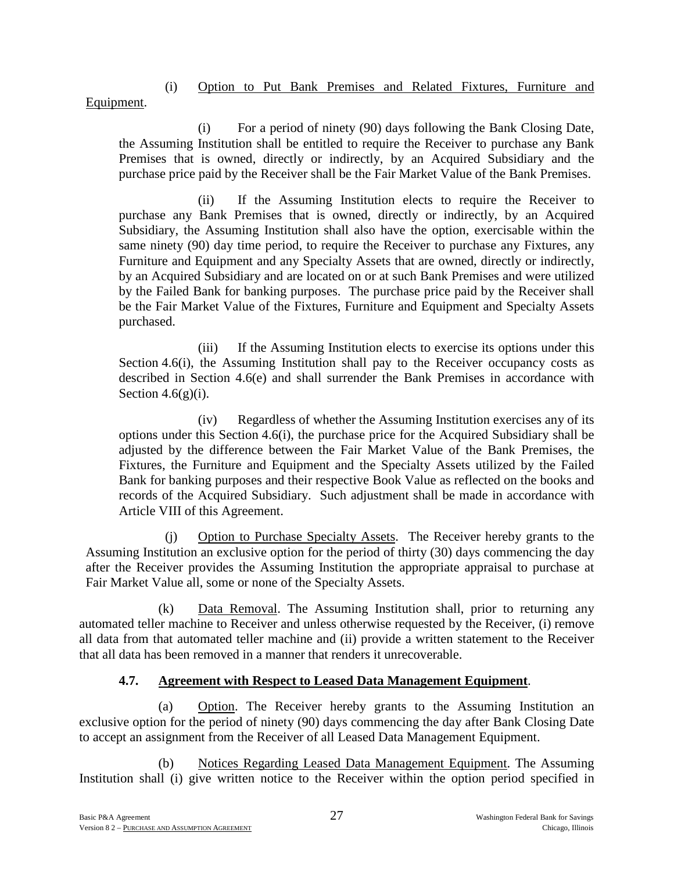# (i) Option to Put Bank Premises and Related Fixtures, Furniture and

Equipment.

(i) For a period of ninety (90) days following the Bank Closing Date, the Assuming Institution shall be entitled to require the Receiver to purchase any Bank Premises that is owned, directly or indirectly, by an Acquired Subsidiary and the purchase price paid by the Receiver shall be the Fair Market Value of the Bank Premises.

(ii) If the Assuming Institution elects to require the Receiver to purchase any Bank Premises that is owned, directly or indirectly, by an Acquired Subsidiary, the Assuming Institution shall also have the option, exercisable within the same ninety (90) day time period, to require the Receiver to purchase any Fixtures, any Furniture and Equipment and any Specialty Assets that are owned, directly or indirectly, by an Acquired Subsidiary and are located on or at such Bank Premises and were utilized by the Failed Bank for banking purposes. The purchase price paid by the Receiver shall be the Fair Market Value of the Fixtures, Furniture and Equipment and Specialty Assets purchased.

(iii) If the Assuming Institution elects to exercise its options under this Section 4.6(i), the Assuming Institution shall pay to the Receiver occupancy costs as described in Section 4.6(e) and shall surrender the Bank Premises in accordance with Section  $4.6(g)(i)$ .

(iv) Regardless of whether the Assuming Institution exercises any of its options under this Section 4.6(i), the purchase price for the Acquired Subsidiary shall be adjusted by the difference between the Fair Market Value of the Bank Premises, the Fixtures, the Furniture and Equipment and the Specialty Assets utilized by the Failed Bank for banking purposes and their respective Book Value as reflected on the books and records of the Acquired Subsidiary. Such adjustment shall be made in accordance with Article VIII of this Agreement.

(j) Option to Purchase Specialty Assets. The Receiver hereby grants to the Assuming Institution an exclusive option for the period of thirty (30) days commencing the day after the Receiver provides the Assuming Institution the appropriate appraisal to purchase at Fair Market Value all, some or none of the Specialty Assets.

(k) Data Removal. The Assuming Institution shall, prior to returning any automated teller machine to Receiver and unless otherwise requested by the Receiver, (i) remove all data from that automated teller machine and (ii) provide a written statement to the Receiver that all data has been removed in a manner that renders it unrecoverable.

# **4.7. Agreement with Respect to Leased Data Management Equipment**.

(a) Option. The Receiver hereby grants to the Assuming Institution an exclusive option for the period of ninety (90) days commencing the day after Bank Closing Date to accept an assignment from the Receiver of all Leased Data Management Equipment.

(b) Notices Regarding Leased Data Management Equipment. The Assuming Institution shall (i) give written notice to the Receiver within the option period specified in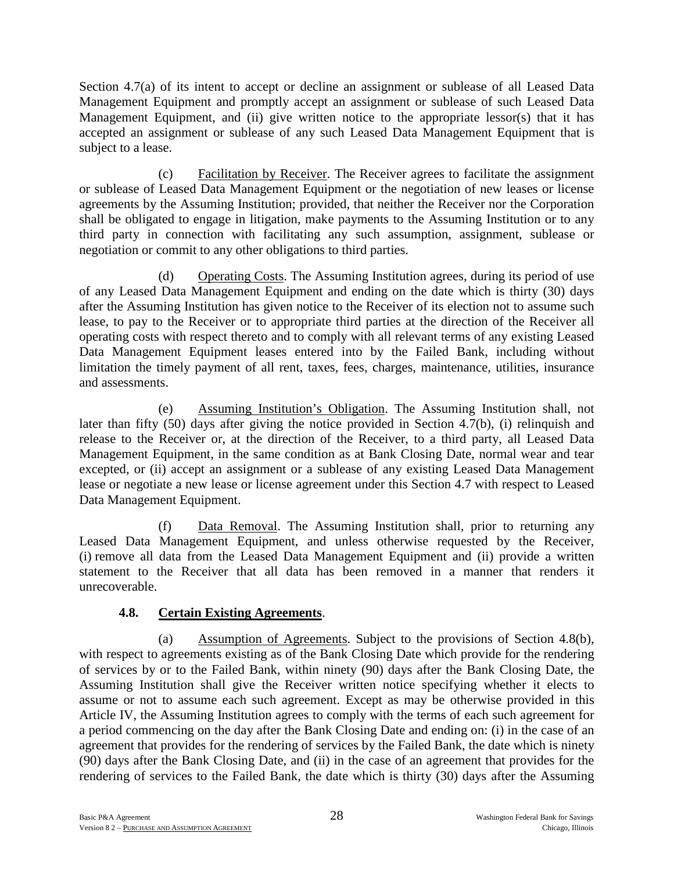Section 4.7(a) of its intent to accept or decline an assignment or sublease of all Leased Data Management Equipment and promptly accept an assignment or sublease of such Leased Data Management Equipment, and (ii) give written notice to the appropriate lessor(s) that it has accepted an assignment or sublease of any such Leased Data Management Equipment that is subject to a lease.

(c) Facilitation by Receiver. The Receiver agrees to facilitate the assignment or sublease of Leased Data Management Equipment or the negotiation of new leases or license agreements by the Assuming Institution; provided, that neither the Receiver nor the Corporation shall be obligated to engage in litigation, make payments to the Assuming Institution or to any third party in connection with facilitating any such assumption, assignment, sublease or negotiation or commit to any other obligations to third parties.

(d) Operating Costs. The Assuming Institution agrees, during its period of use of any Leased Data Management Equipment and ending on the date which is thirty (30) days after the Assuming Institution has given notice to the Receiver of its election not to assume such lease, to pay to the Receiver or to appropriate third parties at the direction of the Receiver all operating costs with respect thereto and to comply with all relevant terms of any existing Leased Data Management Equipment leases entered into by the Failed Bank, including without limitation the timely payment of all rent, taxes, fees, charges, maintenance, utilities, insurance and assessments.

(e) Assuming Institution's Obligation. The Assuming Institution shall, not later than fifty (50) days after giving the notice provided in Section 4.7(b), (i) relinquish and release to the Receiver or, at the direction of the Receiver, to a third party, all Leased Data Management Equipment, in the same condition as at Bank Closing Date, normal wear and tear excepted, or (ii) accept an assignment or a sublease of any existing Leased Data Management lease or negotiate a new lease or license agreement under this Section 4.7 with respect to Leased Data Management Equipment.

(f) Data Removal. The Assuming Institution shall, prior to returning any Leased Data Management Equipment, and unless otherwise requested by the Receiver, (i) remove all data from the Leased Data Management Equipment and (ii) provide a written statement to the Receiver that all data has been removed in a manner that renders it unrecoverable.

# **4.8. Certain Existing Agreements**.

(a) Assumption of Agreements. Subject to the provisions of Section 4.8(b), with respect to agreements existing as of the Bank Closing Date which provide for the rendering of services by or to the Failed Bank, within ninety (90) days after the Bank Closing Date, the Assuming Institution shall give the Receiver written notice specifying whether it elects to assume or not to assume each such agreement. Except as may be otherwise provided in this Article IV, the Assuming Institution agrees to comply with the terms of each such agreement for a period commencing on the day after the Bank Closing Date and ending on: (i) in the case of an agreement that provides for the rendering of services by the Failed Bank, the date which is ninety (90) days after the Bank Closing Date, and (ii) in the case of an agreement that provides for the rendering of services to the Failed Bank, the date which is thirty (30) days after the Assuming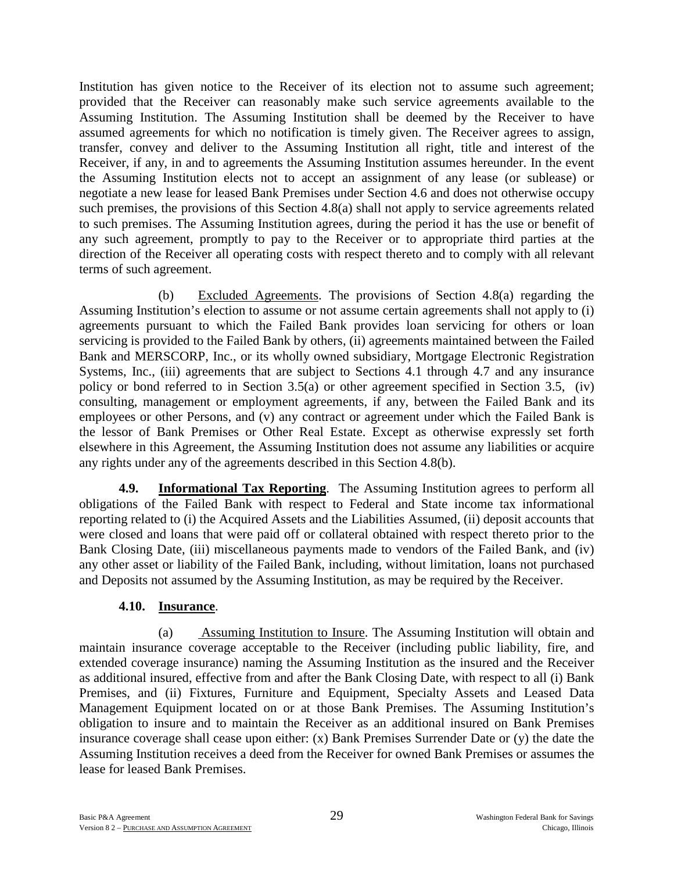Institution has given notice to the Receiver of its election not to assume such agreement; provided that the Receiver can reasonably make such service agreements available to the Assuming Institution. The Assuming Institution shall be deemed by the Receiver to have assumed agreements for which no notification is timely given. The Receiver agrees to assign, transfer, convey and deliver to the Assuming Institution all right, title and interest of the Receiver, if any, in and to agreements the Assuming Institution assumes hereunder. In the event the Assuming Institution elects not to accept an assignment of any lease (or sublease) or negotiate a new lease for leased Bank Premises under Section 4.6 and does not otherwise occupy such premises, the provisions of this Section 4.8(a) shall not apply to service agreements related to such premises. The Assuming Institution agrees, during the period it has the use or benefit of any such agreement, promptly to pay to the Receiver or to appropriate third parties at the direction of the Receiver all operating costs with respect thereto and to comply with all relevant terms of such agreement.

(b) Excluded Agreements. The provisions of Section 4.8(a) regarding the Assuming Institution's election to assume or not assume certain agreements shall not apply to (i) agreements pursuant to which the Failed Bank provides loan servicing for others or loan servicing is provided to the Failed Bank by others, (ii) agreements maintained between the Failed Bank and MERSCORP, Inc., or its wholly owned subsidiary, Mortgage Electronic Registration Systems, Inc., (iii) agreements that are subject to Sections 4.1 through 4.7 and any insurance policy or bond referred to in Section 3.5(a) or other agreement specified in Section 3.5, (iv) consulting, management or employment agreements, if any, between the Failed Bank and its employees or other Persons, and (v) any contract or agreement under which the Failed Bank is the lessor of Bank Premises or Other Real Estate. Except as otherwise expressly set forth elsewhere in this Agreement, the Assuming Institution does not assume any liabilities or acquire any rights under any of the agreements described in this Section 4.8(b).

**4.9. Informational Tax Reporting**. The Assuming Institution agrees to perform all obligations of the Failed Bank with respect to Federal and State income tax informational reporting related to (i) the Acquired Assets and the Liabilities Assumed, (ii) deposit accounts that were closed and loans that were paid off or collateral obtained with respect thereto prior to the Bank Closing Date, (iii) miscellaneous payments made to vendors of the Failed Bank, and (iv) any other asset or liability of the Failed Bank, including, without limitation, loans not purchased and Deposits not assumed by the Assuming Institution, as may be required by the Receiver.

## **4.10. Insurance**.

(a) Assuming Institution to Insure. The Assuming Institution will obtain and maintain insurance coverage acceptable to the Receiver (including public liability, fire, and extended coverage insurance) naming the Assuming Institution as the insured and the Receiver as additional insured, effective from and after the Bank Closing Date, with respect to all (i) Bank Premises, and (ii) Fixtures, Furniture and Equipment, Specialty Assets and Leased Data Management Equipment located on or at those Bank Premises. The Assuming Institution's obligation to insure and to maintain the Receiver as an additional insured on Bank Premises insurance coverage shall cease upon either: (x) Bank Premises Surrender Date or (y) the date the Assuming Institution receives a deed from the Receiver for owned Bank Premises or assumes the lease for leased Bank Premises.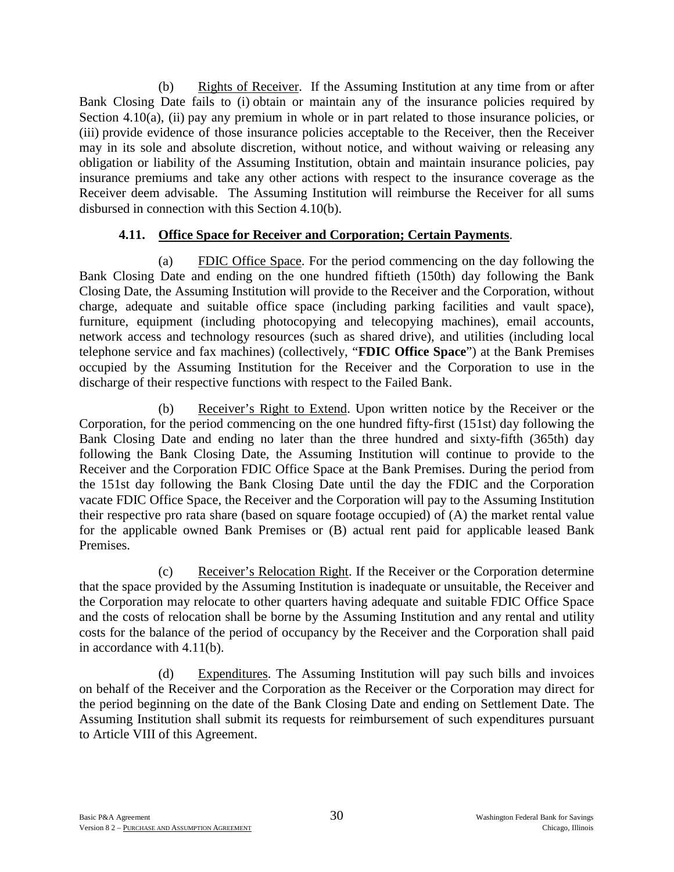(b) Rights of Receiver. If the Assuming Institution at any time from or after Bank Closing Date fails to (i) obtain or maintain any of the insurance policies required by Section 4.10(a), (ii) pay any premium in whole or in part related to those insurance policies, or (iii) provide evidence of those insurance policies acceptable to the Receiver, then the Receiver may in its sole and absolute discretion, without notice, and without waiving or releasing any obligation or liability of the Assuming Institution, obtain and maintain insurance policies, pay insurance premiums and take any other actions with respect to the insurance coverage as the Receiver deem advisable. The Assuming Institution will reimburse the Receiver for all sums disbursed in connection with this Section 4.10(b).

# **4.11. Office Space for Receiver and Corporation; Certain Payments**.

(a) FDIC Office Space. For the period commencing on the day following the Bank Closing Date and ending on the one hundred fiftieth (150th) day following the Bank Closing Date, the Assuming Institution will provide to the Receiver and the Corporation, without charge, adequate and suitable office space (including parking facilities and vault space), furniture, equipment (including photocopying and telecopying machines), email accounts, network access and technology resources (such as shared drive), and utilities (including local telephone service and fax machines) (collectively, "**FDIC Office Space**") at the Bank Premises occupied by the Assuming Institution for the Receiver and the Corporation to use in the discharge of their respective functions with respect to the Failed Bank.

(b) Receiver's Right to Extend. Upon written notice by the Receiver or the Corporation, for the period commencing on the one hundred fifty-first (151st) day following the Bank Closing Date and ending no later than the three hundred and sixty-fifth (365th) day following the Bank Closing Date, the Assuming Institution will continue to provide to the Receiver and the Corporation FDIC Office Space at the Bank Premises. During the period from the 151st day following the Bank Closing Date until the day the FDIC and the Corporation vacate FDIC Office Space, the Receiver and the Corporation will pay to the Assuming Institution their respective pro rata share (based on square footage occupied) of (A) the market rental value for the applicable owned Bank Premises or (B) actual rent paid for applicable leased Bank Premises.

(c) Receiver's Relocation Right. If the Receiver or the Corporation determine that the space provided by the Assuming Institution is inadequate or unsuitable, the Receiver and the Corporation may relocate to other quarters having adequate and suitable FDIC Office Space and the costs of relocation shall be borne by the Assuming Institution and any rental and utility costs for the balance of the period of occupancy by the Receiver and the Corporation shall paid in accordance with 4.11(b).

(d) Expenditures. The Assuming Institution will pay such bills and invoices on behalf of the Receiver and the Corporation as the Receiver or the Corporation may direct for the period beginning on the date of the Bank Closing Date and ending on Settlement Date. The Assuming Institution shall submit its requests for reimbursement of such expenditures pursuant to Article VIII of this Agreement.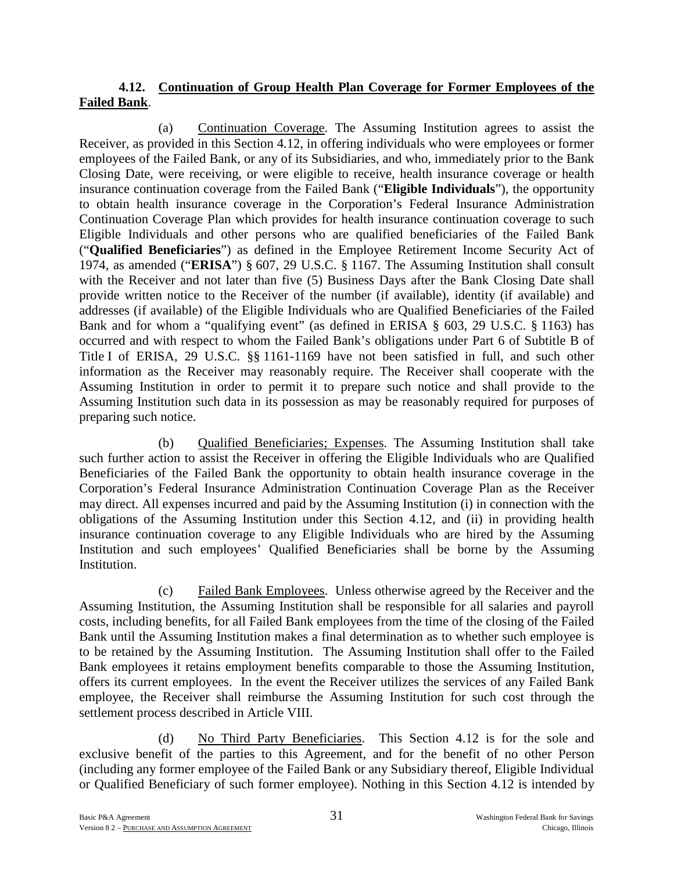## **4.12. Continuation of Group Health Plan Coverage for Former Employees of the Failed Bank**.

(a) Continuation Coverage. The Assuming Institution agrees to assist the Receiver, as provided in this Section 4.12, in offering individuals who were employees or former employees of the Failed Bank, or any of its Subsidiaries, and who, immediately prior to the Bank Closing Date, were receiving, or were eligible to receive, health insurance coverage or health insurance continuation coverage from the Failed Bank ("**Eligible Individuals**"), the opportunity to obtain health insurance coverage in the Corporation's Federal Insurance Administration Continuation Coverage Plan which provides for health insurance continuation coverage to such Eligible Individuals and other persons who are qualified beneficiaries of the Failed Bank ("**Qualified Beneficiaries**") as defined in the Employee Retirement Income Security Act of 1974, as amended ("**ERISA**") § 607, 29 U.S.C. § 1167. The Assuming Institution shall consult with the Receiver and not later than five (5) Business Days after the Bank Closing Date shall provide written notice to the Receiver of the number (if available), identity (if available) and addresses (if available) of the Eligible Individuals who are Qualified Beneficiaries of the Failed Bank and for whom a "qualifying event" (as defined in ERISA § 603, 29 U.S.C. § 1163) has occurred and with respect to whom the Failed Bank's obligations under Part 6 of Subtitle B of Title I of ERISA, 29 U.S.C. §§ 1161-1169 have not been satisfied in full, and such other information as the Receiver may reasonably require. The Receiver shall cooperate with the Assuming Institution in order to permit it to prepare such notice and shall provide to the Assuming Institution such data in its possession as may be reasonably required for purposes of preparing such notice.

(b) Qualified Beneficiaries; Expenses. The Assuming Institution shall take such further action to assist the Receiver in offering the Eligible Individuals who are Qualified Beneficiaries of the Failed Bank the opportunity to obtain health insurance coverage in the Corporation's Federal Insurance Administration Continuation Coverage Plan as the Receiver may direct. All expenses incurred and paid by the Assuming Institution (i) in connection with the obligations of the Assuming Institution under this Section 4.12, and (ii) in providing health insurance continuation coverage to any Eligible Individuals who are hired by the Assuming Institution and such employees' Qualified Beneficiaries shall be borne by the Assuming Institution.

(c) Failed Bank Employees. Unless otherwise agreed by the Receiver and the Assuming Institution, the Assuming Institution shall be responsible for all salaries and payroll costs, including benefits, for all Failed Bank employees from the time of the closing of the Failed Bank until the Assuming Institution makes a final determination as to whether such employee is to be retained by the Assuming Institution. The Assuming Institution shall offer to the Failed Bank employees it retains employment benefits comparable to those the Assuming Institution, offers its current employees. In the event the Receiver utilizes the services of any Failed Bank employee, the Receiver shall reimburse the Assuming Institution for such cost through the settlement process described in Article VIII.

(d) No Third Party Beneficiaries. This Section 4.12 is for the sole and exclusive benefit of the parties to this Agreement, and for the benefit of no other Person (including any former employee of the Failed Bank or any Subsidiary thereof, Eligible Individual or Qualified Beneficiary of such former employee). Nothing in this Section 4.12 is intended by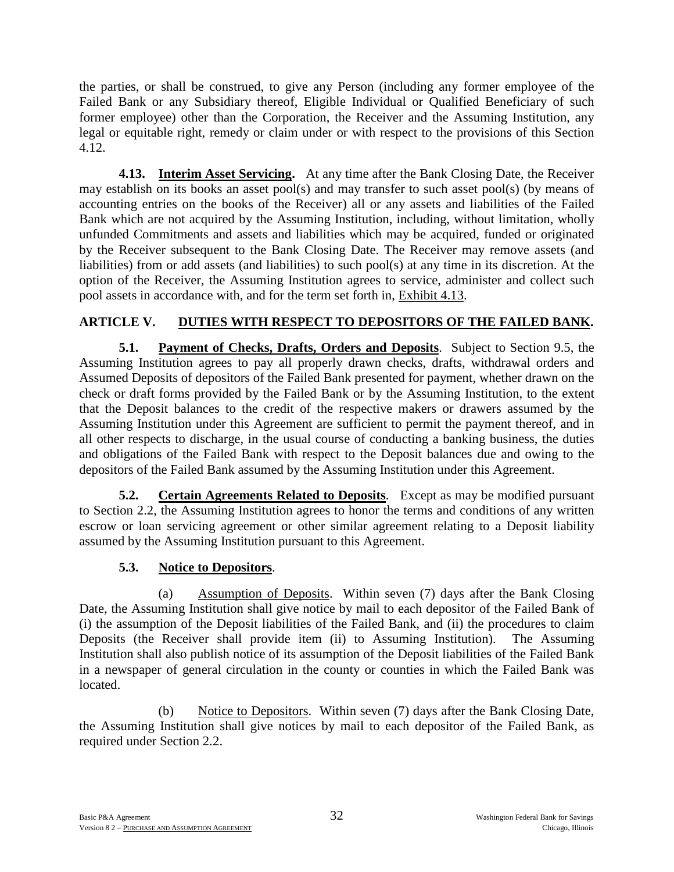the parties, or shall be construed, to give any Person (including any former employee of the Failed Bank or any Subsidiary thereof, Eligible Individual or Qualified Beneficiary of such former employee) other than the Corporation, the Receiver and the Assuming Institution, any legal or equitable right, remedy or claim under or with respect to the provisions of this Section 4.12.

**4.13. Interim Asset Servicing.** At any time after the Bank Closing Date, the Receiver may establish on its books an asset pool(s) and may transfer to such asset pool(s) (by means of accounting entries on the books of the Receiver) all or any assets and liabilities of the Failed Bank which are not acquired by the Assuming Institution, including, without limitation, wholly unfunded Commitments and assets and liabilities which may be acquired, funded or originated by the Receiver subsequent to the Bank Closing Date. The Receiver may remove assets (and liabilities) from or add assets (and liabilities) to such pool(s) at any time in its discretion. At the option of the Receiver, the Assuming Institution agrees to service, administer and collect such pool assets in accordance with, and for the term set forth in, Exhibit 4.13.

# **ARTICLE V. DUTIES WITH RESPECT TO DEPOSITORS OF THE FAILED BANK.**

**5.1. Payment of Checks, Drafts, Orders and Deposits**. Subject to Section 9.5, the Assuming Institution agrees to pay all properly drawn checks, drafts, withdrawal orders and Assumed Deposits of depositors of the Failed Bank presented for payment, whether drawn on the check or draft forms provided by the Failed Bank or by the Assuming Institution, to the extent that the Deposit balances to the credit of the respective makers or drawers assumed by the Assuming Institution under this Agreement are sufficient to permit the payment thereof, and in all other respects to discharge, in the usual course of conducting a banking business, the duties and obligations of the Failed Bank with respect to the Deposit balances due and owing to the depositors of the Failed Bank assumed by the Assuming Institution under this Agreement.

**5.2. Certain Agreements Related to Deposits**. Except as may be modified pursuant to Section 2.2, the Assuming Institution agrees to honor the terms and conditions of any written escrow or loan servicing agreement or other similar agreement relating to a Deposit liability assumed by the Assuming Institution pursuant to this Agreement.

# **5.3. Notice to Depositors**.

(a) Assumption of Deposits. Within seven (7) days after the Bank Closing Date, the Assuming Institution shall give notice by mail to each depositor of the Failed Bank of (i) the assumption of the Deposit liabilities of the Failed Bank, and (ii) the procedures to claim Deposits (the Receiver shall provide item (ii) to Assuming Institution). The Assuming Institution shall also publish notice of its assumption of the Deposit liabilities of the Failed Bank in a newspaper of general circulation in the county or counties in which the Failed Bank was located.

(b) Notice to Depositors. Within seven (7) days after the Bank Closing Date, the Assuming Institution shall give notices by mail to each depositor of the Failed Bank, as required under Section 2.2.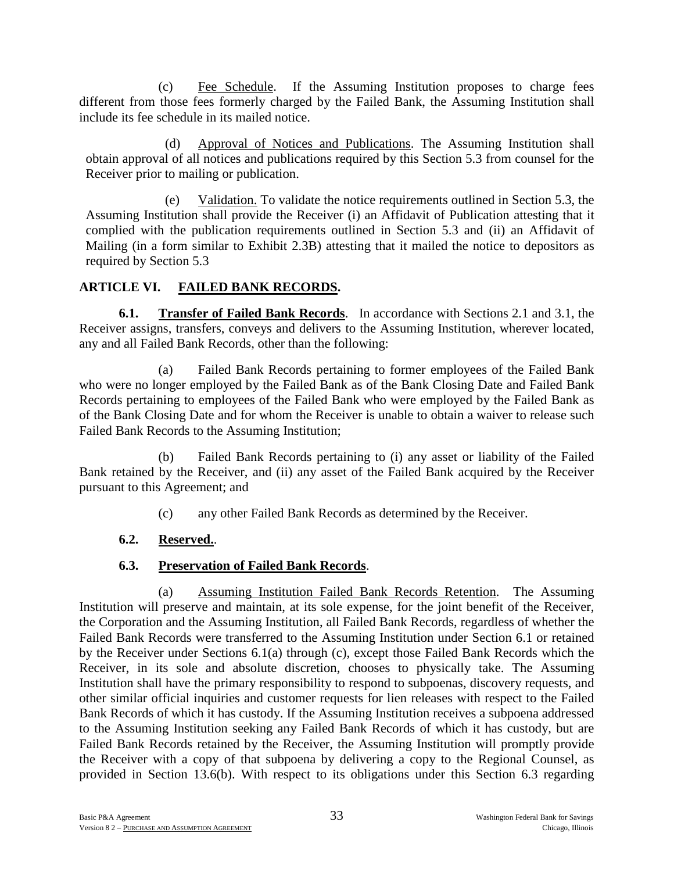(c) Fee Schedule. If the Assuming Institution proposes to charge fees different from those fees formerly charged by the Failed Bank, the Assuming Institution shall include its fee schedule in its mailed notice.

(d) Approval of Notices and Publications. The Assuming Institution shall obtain approval of all notices and publications required by this Section 5.3 from counsel for the Receiver prior to mailing or publication.

(e) Validation. To validate the notice requirements outlined in Section 5.3, the Assuming Institution shall provide the Receiver (i) an Affidavit of Publication attesting that it complied with the publication requirements outlined in Section 5.3 and (ii) an Affidavit of Mailing (in a form similar to Exhibit 2.3B) attesting that it mailed the notice to depositors as required by Section 5.3

# **ARTICLE VI. FAILED BANK RECORDS.**

**6.1. Transfer of Failed Bank Records**. In accordance with Sections 2.1 and 3.1, the Receiver assigns, transfers, conveys and delivers to the Assuming Institution, wherever located, any and all Failed Bank Records, other than the following:

(a) Failed Bank Records pertaining to former employees of the Failed Bank who were no longer employed by the Failed Bank as of the Bank Closing Date and Failed Bank Records pertaining to employees of the Failed Bank who were employed by the Failed Bank as of the Bank Closing Date and for whom the Receiver is unable to obtain a waiver to release such Failed Bank Records to the Assuming Institution;

(b) Failed Bank Records pertaining to (i) any asset or liability of the Failed Bank retained by the Receiver, and (ii) any asset of the Failed Bank acquired by the Receiver pursuant to this Agreement; and

(c) any other Failed Bank Records as determined by the Receiver.

# **6.2. Reserved.**.

# **6.3. Preservation of Failed Bank Records**.

(a) Assuming Institution Failed Bank Records Retention. The Assuming Institution will preserve and maintain, at its sole expense, for the joint benefit of the Receiver, the Corporation and the Assuming Institution, all Failed Bank Records, regardless of whether the Failed Bank Records were transferred to the Assuming Institution under Section 6.1 or retained by the Receiver under Sections 6.1(a) through (c), except those Failed Bank Records which the Receiver, in its sole and absolute discretion, chooses to physically take. The Assuming Institution shall have the primary responsibility to respond to subpoenas, discovery requests, and other similar official inquiries and customer requests for lien releases with respect to the Failed Bank Records of which it has custody. If the Assuming Institution receives a subpoena addressed to the Assuming Institution seeking any Failed Bank Records of which it has custody, but are Failed Bank Records retained by the Receiver, the Assuming Institution will promptly provide the Receiver with a copy of that subpoena by delivering a copy to the Regional Counsel, as provided in Section 13.6(b). With respect to its obligations under this Section 6.3 regarding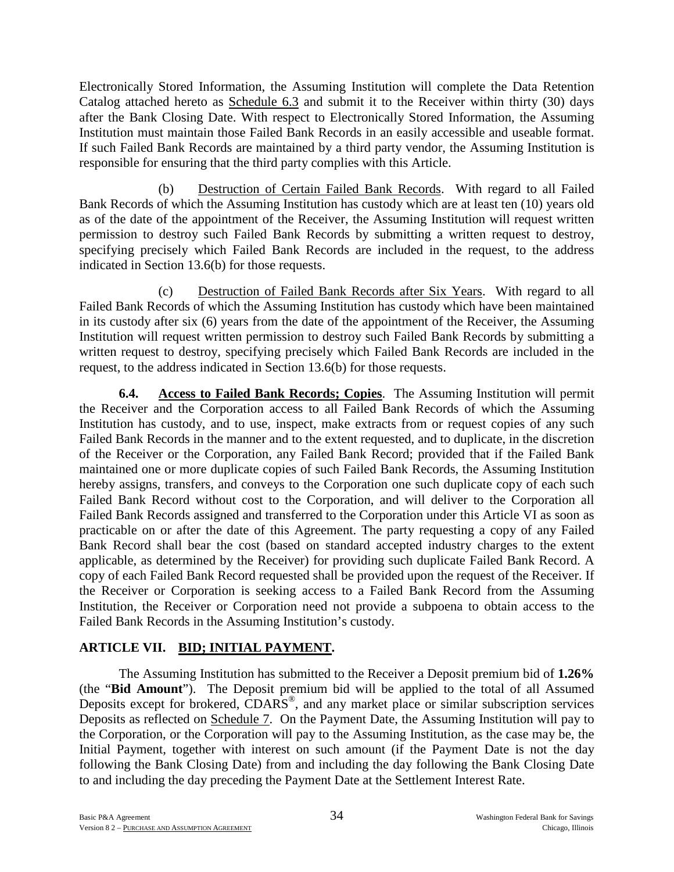Electronically Stored Information, the Assuming Institution will complete the Data Retention Catalog attached hereto as Schedule 6.3 and submit it to the Receiver within thirty (30) days after the Bank Closing Date. With respect to Electronically Stored Information, the Assuming Institution must maintain those Failed Bank Records in an easily accessible and useable format. If such Failed Bank Records are maintained by a third party vendor, the Assuming Institution is responsible for ensuring that the third party complies with this Article.

(b) Destruction of Certain Failed Bank Records. With regard to all Failed Bank Records of which the Assuming Institution has custody which are at least ten (10) years old as of the date of the appointment of the Receiver, the Assuming Institution will request written permission to destroy such Failed Bank Records by submitting a written request to destroy, specifying precisely which Failed Bank Records are included in the request, to the address indicated in Section 13.6(b) for those requests.

(c) Destruction of Failed Bank Records after Six Years. With regard to all Failed Bank Records of which the Assuming Institution has custody which have been maintained in its custody after six (6) years from the date of the appointment of the Receiver, the Assuming Institution will request written permission to destroy such Failed Bank Records by submitting a written request to destroy, specifying precisely which Failed Bank Records are included in the request, to the address indicated in Section 13.6(b) for those requests.

**6.4. Access to Failed Bank Records; Copies**. The Assuming Institution will permit the Receiver and the Corporation access to all Failed Bank Records of which the Assuming Institution has custody, and to use, inspect, make extracts from or request copies of any such Failed Bank Records in the manner and to the extent requested, and to duplicate, in the discretion of the Receiver or the Corporation, any Failed Bank Record; provided that if the Failed Bank maintained one or more duplicate copies of such Failed Bank Records, the Assuming Institution hereby assigns, transfers, and conveys to the Corporation one such duplicate copy of each such Failed Bank Record without cost to the Corporation, and will deliver to the Corporation all Failed Bank Records assigned and transferred to the Corporation under this Article VI as soon as practicable on or after the date of this Agreement. The party requesting a copy of any Failed Bank Record shall bear the cost (based on standard accepted industry charges to the extent applicable, as determined by the Receiver) for providing such duplicate Failed Bank Record. A copy of each Failed Bank Record requested shall be provided upon the request of the Receiver. If the Receiver or Corporation is seeking access to a Failed Bank Record from the Assuming Institution, the Receiver or Corporation need not provide a subpoena to obtain access to the Failed Bank Records in the Assuming Institution's custody.

# **ARTICLE VII. BID; INITIAL PAYMENT.**

The Assuming Institution has submitted to the Receiver a Deposit premium bid of **1.26%** (the "**Bid Amount**"). The Deposit premium bid will be applied to the total of all Assumed Deposits except for brokered, CDARS<sup>®</sup>, and any market place or similar subscription services Deposits as reflected on Schedule 7. On the Payment Date, the Assuming Institution will pay to the Corporation, or the Corporation will pay to the Assuming Institution, as the case may be, the Initial Payment, together with interest on such amount (if the Payment Date is not the day following the Bank Closing Date) from and including the day following the Bank Closing Date to and including the day preceding the Payment Date at the Settlement Interest Rate.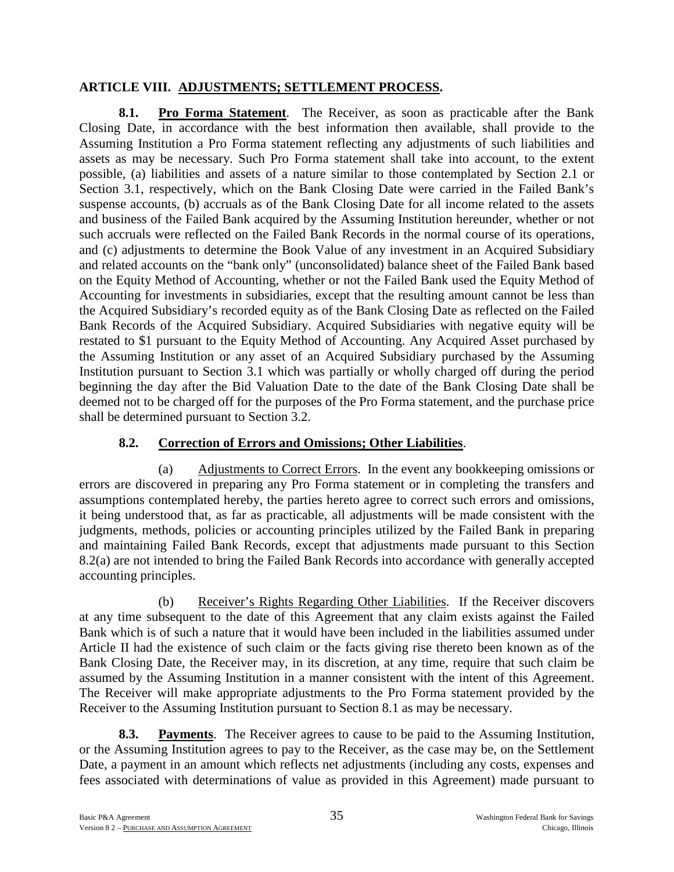### **ARTICLE VIII. ADJUSTMENTS; SETTLEMENT PROCESS.**

**8.1. Pro Forma Statement**. The Receiver, as soon as practicable after the Bank Closing Date, in accordance with the best information then available, shall provide to the Assuming Institution a Pro Forma statement reflecting any adjustments of such liabilities and assets as may be necessary. Such Pro Forma statement shall take into account, to the extent possible, (a) liabilities and assets of a nature similar to those contemplated by Section 2.1 or Section 3.1, respectively, which on the Bank Closing Date were carried in the Failed Bank's suspense accounts, (b) accruals as of the Bank Closing Date for all income related to the assets and business of the Failed Bank acquired by the Assuming Institution hereunder, whether or not such accruals were reflected on the Failed Bank Records in the normal course of its operations, and (c) adjustments to determine the Book Value of any investment in an Acquired Subsidiary and related accounts on the "bank only" (unconsolidated) balance sheet of the Failed Bank based on the Equity Method of Accounting, whether or not the Failed Bank used the Equity Method of Accounting for investments in subsidiaries, except that the resulting amount cannot be less than the Acquired Subsidiary's recorded equity as of the Bank Closing Date as reflected on the Failed Bank Records of the Acquired Subsidiary. Acquired Subsidiaries with negative equity will be restated to \$1 pursuant to the Equity Method of Accounting. Any Acquired Asset purchased by the Assuming Institution or any asset of an Acquired Subsidiary purchased by the Assuming Institution pursuant to Section 3.1 which was partially or wholly charged off during the period beginning the day after the Bid Valuation Date to the date of the Bank Closing Date shall be deemed not to be charged off for the purposes of the Pro Forma statement, and the purchase price shall be determined pursuant to Section 3.2.

# **8.2. Correction of Errors and Omissions; Other Liabilities**.

(a) Adjustments to Correct Errors. In the event any bookkeeping omissions or errors are discovered in preparing any Pro Forma statement or in completing the transfers and assumptions contemplated hereby, the parties hereto agree to correct such errors and omissions, it being understood that, as far as practicable, all adjustments will be made consistent with the judgments, methods, policies or accounting principles utilized by the Failed Bank in preparing and maintaining Failed Bank Records, except that adjustments made pursuant to this Section 8.2(a) are not intended to bring the Failed Bank Records into accordance with generally accepted accounting principles.

(b) Receiver's Rights Regarding Other Liabilities. If the Receiver discovers at any time subsequent to the date of this Agreement that any claim exists against the Failed Bank which is of such a nature that it would have been included in the liabilities assumed under Article II had the existence of such claim or the facts giving rise thereto been known as of the Bank Closing Date, the Receiver may, in its discretion, at any time, require that such claim be assumed by the Assuming Institution in a manner consistent with the intent of this Agreement. The Receiver will make appropriate adjustments to the Pro Forma statement provided by the Receiver to the Assuming Institution pursuant to Section 8.1 as may be necessary.

**8.3. Payments**. The Receiver agrees to cause to be paid to the Assuming Institution, or the Assuming Institution agrees to pay to the Receiver, as the case may be, on the Settlement Date, a payment in an amount which reflects net adjustments (including any costs, expenses and fees associated with determinations of value as provided in this Agreement) made pursuant to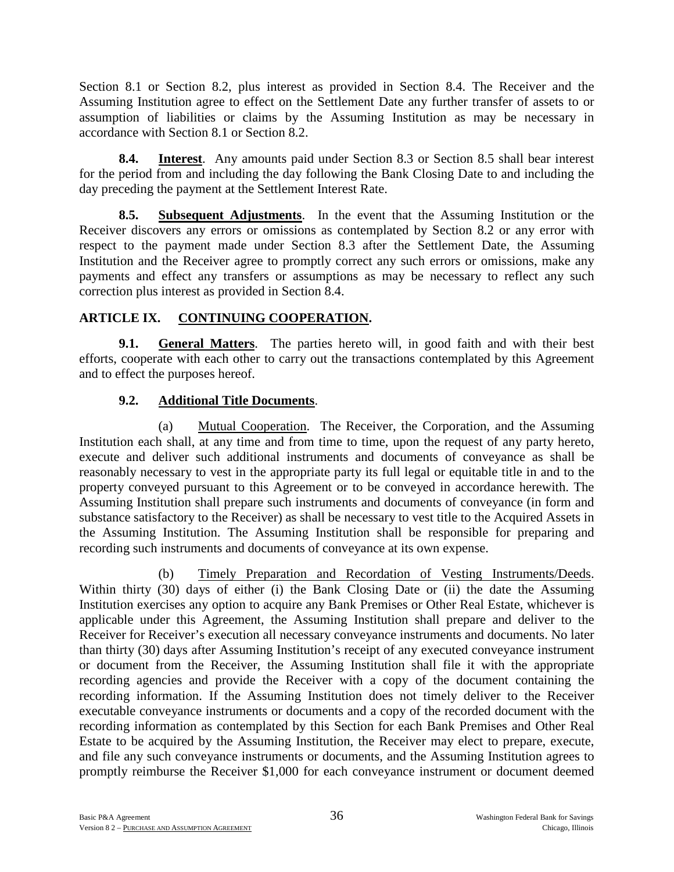Section 8.1 or Section 8.2, plus interest as provided in Section 8.4. The Receiver and the Assuming Institution agree to effect on the Settlement Date any further transfer of assets to or assumption of liabilities or claims by the Assuming Institution as may be necessary in accordance with Section 8.1 or Section 8.2.

**8.4. Interest**. Any amounts paid under Section 8.3 or Section 8.5 shall bear interest for the period from and including the day following the Bank Closing Date to and including the day preceding the payment at the Settlement Interest Rate.

**8.5. Subsequent Adjustments**. In the event that the Assuming Institution or the Receiver discovers any errors or omissions as contemplated by Section 8.2 or any error with respect to the payment made under Section 8.3 after the Settlement Date, the Assuming Institution and the Receiver agree to promptly correct any such errors or omissions, make any payments and effect any transfers or assumptions as may be necessary to reflect any such correction plus interest as provided in Section 8.4.

# **ARTICLE IX. CONTINUING COOPERATION.**

**9.1. General Matters**. The parties hereto will, in good faith and with their best efforts, cooperate with each other to carry out the transactions contemplated by this Agreement and to effect the purposes hereof.

# **9.2. Additional Title Documents**.

(a) Mutual Cooperation. The Receiver, the Corporation, and the Assuming Institution each shall, at any time and from time to time, upon the request of any party hereto, execute and deliver such additional instruments and documents of conveyance as shall be reasonably necessary to vest in the appropriate party its full legal or equitable title in and to the property conveyed pursuant to this Agreement or to be conveyed in accordance herewith. The Assuming Institution shall prepare such instruments and documents of conveyance (in form and substance satisfactory to the Receiver) as shall be necessary to vest title to the Acquired Assets in the Assuming Institution. The Assuming Institution shall be responsible for preparing and recording such instruments and documents of conveyance at its own expense.

(b) Timely Preparation and Recordation of Vesting Instruments/Deeds. Within thirty (30) days of either (i) the Bank Closing Date or (ii) the date the Assuming Institution exercises any option to acquire any Bank Premises or Other Real Estate, whichever is applicable under this Agreement, the Assuming Institution shall prepare and deliver to the Receiver for Receiver's execution all necessary conveyance instruments and documents. No later than thirty (30) days after Assuming Institution's receipt of any executed conveyance instrument or document from the Receiver, the Assuming Institution shall file it with the appropriate recording agencies and provide the Receiver with a copy of the document containing the recording information. If the Assuming Institution does not timely deliver to the Receiver executable conveyance instruments or documents and a copy of the recorded document with the recording information as contemplated by this Section for each Bank Premises and Other Real Estate to be acquired by the Assuming Institution, the Receiver may elect to prepare, execute, and file any such conveyance instruments or documents, and the Assuming Institution agrees to promptly reimburse the Receiver \$1,000 for each conveyance instrument or document deemed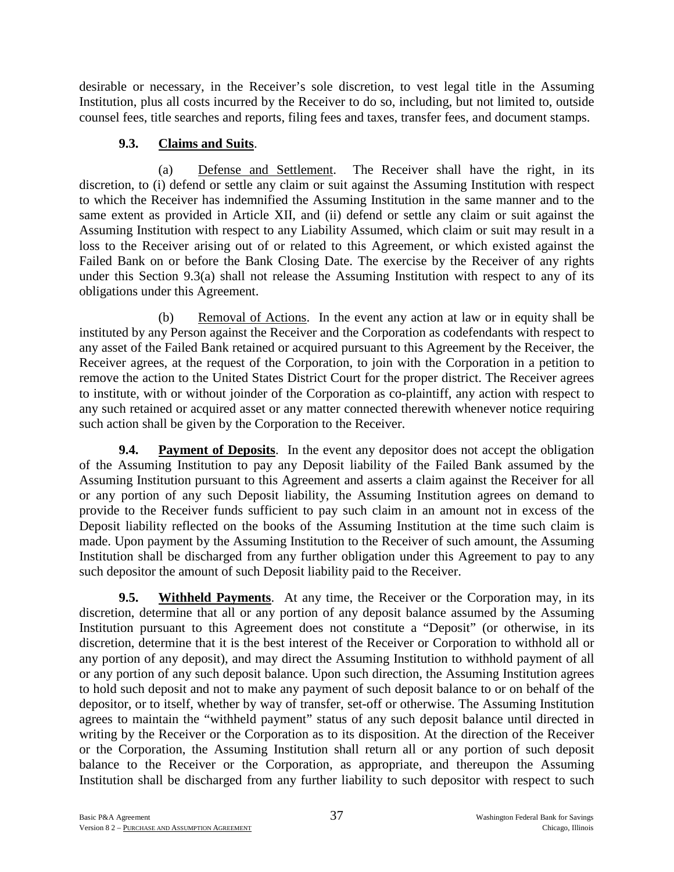desirable or necessary, in the Receiver's sole discretion, to vest legal title in the Assuming Institution, plus all costs incurred by the Receiver to do so, including, but not limited to, outside counsel fees, title searches and reports, filing fees and taxes, transfer fees, and document stamps.

# **9.3. Claims and Suits**.

(a) Defense and Settlement. The Receiver shall have the right, in its discretion, to (i) defend or settle any claim or suit against the Assuming Institution with respect to which the Receiver has indemnified the Assuming Institution in the same manner and to the same extent as provided in Article XII, and (ii) defend or settle any claim or suit against the Assuming Institution with respect to any Liability Assumed, which claim or suit may result in a loss to the Receiver arising out of or related to this Agreement, or which existed against the Failed Bank on or before the Bank Closing Date. The exercise by the Receiver of any rights under this Section 9.3(a) shall not release the Assuming Institution with respect to any of its obligations under this Agreement.

(b) Removal of Actions. In the event any action at law or in equity shall be instituted by any Person against the Receiver and the Corporation as codefendants with respect to any asset of the Failed Bank retained or acquired pursuant to this Agreement by the Receiver, the Receiver agrees, at the request of the Corporation, to join with the Corporation in a petition to remove the action to the United States District Court for the proper district. The Receiver agrees to institute, with or without joinder of the Corporation as co-plaintiff, any action with respect to any such retained or acquired asset or any matter connected therewith whenever notice requiring such action shall be given by the Corporation to the Receiver.

**9.4. Payment of Deposits**. In the event any depositor does not accept the obligation of the Assuming Institution to pay any Deposit liability of the Failed Bank assumed by the Assuming Institution pursuant to this Agreement and asserts a claim against the Receiver for all or any portion of any such Deposit liability, the Assuming Institution agrees on demand to provide to the Receiver funds sufficient to pay such claim in an amount not in excess of the Deposit liability reflected on the books of the Assuming Institution at the time such claim is made. Upon payment by the Assuming Institution to the Receiver of such amount, the Assuming Institution shall be discharged from any further obligation under this Agreement to pay to any such depositor the amount of such Deposit liability paid to the Receiver.

**9.5. Withheld Payments**. At any time, the Receiver or the Corporation may, in its discretion, determine that all or any portion of any deposit balance assumed by the Assuming Institution pursuant to this Agreement does not constitute a "Deposit" (or otherwise, in its discretion, determine that it is the best interest of the Receiver or Corporation to withhold all or any portion of any deposit), and may direct the Assuming Institution to withhold payment of all or any portion of any such deposit balance. Upon such direction, the Assuming Institution agrees to hold such deposit and not to make any payment of such deposit balance to or on behalf of the depositor, or to itself, whether by way of transfer, set-off or otherwise. The Assuming Institution agrees to maintain the "withheld payment" status of any such deposit balance until directed in writing by the Receiver or the Corporation as to its disposition. At the direction of the Receiver or the Corporation, the Assuming Institution shall return all or any portion of such deposit balance to the Receiver or the Corporation, as appropriate, and thereupon the Assuming Institution shall be discharged from any further liability to such depositor with respect to such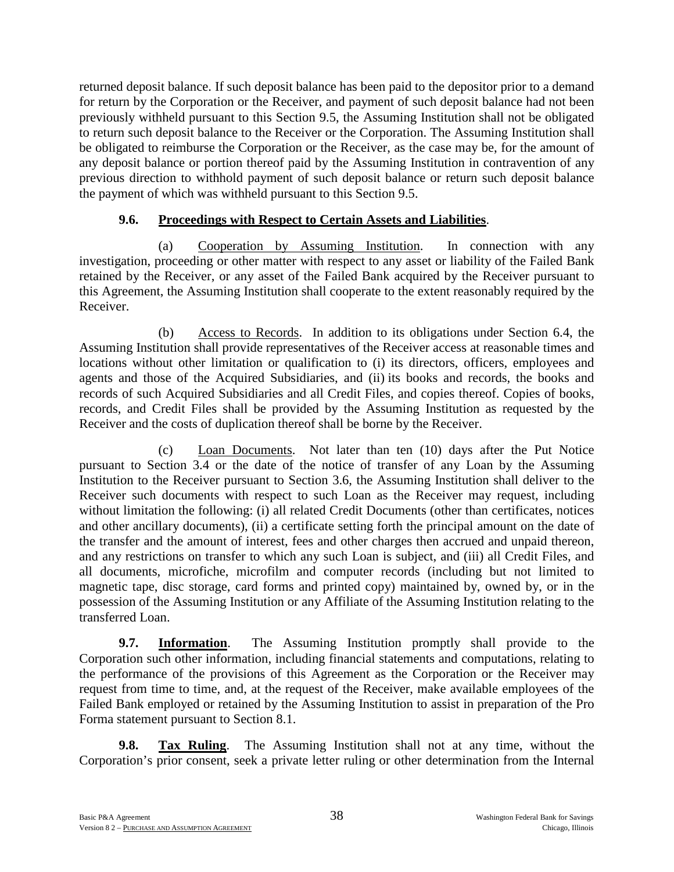returned deposit balance. If such deposit balance has been paid to the depositor prior to a demand for return by the Corporation or the Receiver, and payment of such deposit balance had not been previously withheld pursuant to this Section 9.5, the Assuming Institution shall not be obligated to return such deposit balance to the Receiver or the Corporation. The Assuming Institution shall be obligated to reimburse the Corporation or the Receiver, as the case may be, for the amount of any deposit balance or portion thereof paid by the Assuming Institution in contravention of any previous direction to withhold payment of such deposit balance or return such deposit balance the payment of which was withheld pursuant to this Section 9.5.

### **9.6. Proceedings with Respect to Certain Assets and Liabilities**.

(a) Cooperation by Assuming Institution. In connection with any investigation, proceeding or other matter with respect to any asset or liability of the Failed Bank retained by the Receiver, or any asset of the Failed Bank acquired by the Receiver pursuant to this Agreement, the Assuming Institution shall cooperate to the extent reasonably required by the Receiver.

(b) Access to Records. In addition to its obligations under Section 6.4, the Assuming Institution shall provide representatives of the Receiver access at reasonable times and locations without other limitation or qualification to (i) its directors, officers, employees and agents and those of the Acquired Subsidiaries, and (ii) its books and records, the books and records of such Acquired Subsidiaries and all Credit Files, and copies thereof. Copies of books, records, and Credit Files shall be provided by the Assuming Institution as requested by the Receiver and the costs of duplication thereof shall be borne by the Receiver.

(c) Loan Documents. Not later than ten (10) days after the Put Notice pursuant to Section 3.4 or the date of the notice of transfer of any Loan by the Assuming Institution to the Receiver pursuant to Section 3.6, the Assuming Institution shall deliver to the Receiver such documents with respect to such Loan as the Receiver may request, including without limitation the following: (i) all related Credit Documents (other than certificates, notices and other ancillary documents), (ii) a certificate setting forth the principal amount on the date of the transfer and the amount of interest, fees and other charges then accrued and unpaid thereon, and any restrictions on transfer to which any such Loan is subject, and (iii) all Credit Files, and all documents, microfiche, microfilm and computer records (including but not limited to magnetic tape, disc storage, card forms and printed copy) maintained by, owned by, or in the possession of the Assuming Institution or any Affiliate of the Assuming Institution relating to the transferred Loan.

**9.7. Information**. The Assuming Institution promptly shall provide to the Corporation such other information, including financial statements and computations, relating to the performance of the provisions of this Agreement as the Corporation or the Receiver may request from time to time, and, at the request of the Receiver, make available employees of the Failed Bank employed or retained by the Assuming Institution to assist in preparation of the Pro Forma statement pursuant to Section 8.1.

**9.8. Tax Ruling**. The Assuming Institution shall not at any time, without the Corporation's prior consent, seek a private letter ruling or other determination from the Internal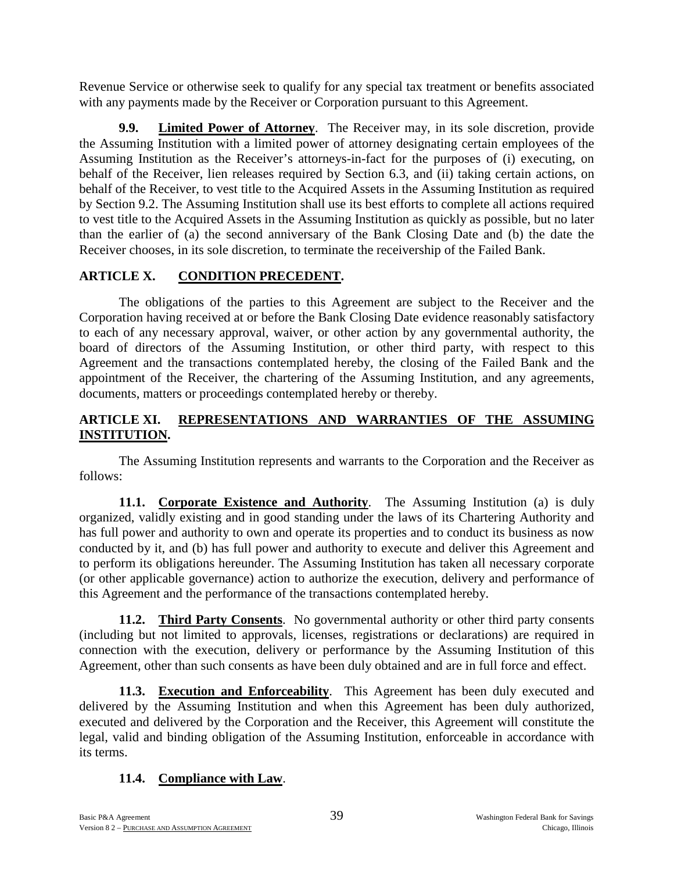Revenue Service or otherwise seek to qualify for any special tax treatment or benefits associated with any payments made by the Receiver or Corporation pursuant to this Agreement.

**9.9. Limited Power of Attorney**. The Receiver may, in its sole discretion, provide the Assuming Institution with a limited power of attorney designating certain employees of the Assuming Institution as the Receiver's attorneys-in-fact for the purposes of (i) executing, on behalf of the Receiver, lien releases required by Section 6.3, and (ii) taking certain actions, on behalf of the Receiver, to vest title to the Acquired Assets in the Assuming Institution as required by Section 9.2. The Assuming Institution shall use its best efforts to complete all actions required to vest title to the Acquired Assets in the Assuming Institution as quickly as possible, but no later than the earlier of (a) the second anniversary of the Bank Closing Date and (b) the date the Receiver chooses, in its sole discretion, to terminate the receivership of the Failed Bank.

# **ARTICLE X. CONDITION PRECEDENT.**

The obligations of the parties to this Agreement are subject to the Receiver and the Corporation having received at or before the Bank Closing Date evidence reasonably satisfactory to each of any necessary approval, waiver, or other action by any governmental authority, the board of directors of the Assuming Institution, or other third party, with respect to this Agreement and the transactions contemplated hereby, the closing of the Failed Bank and the appointment of the Receiver, the chartering of the Assuming Institution, and any agreements, documents, matters or proceedings contemplated hereby or thereby.

# **ARTICLE XI. REPRESENTATIONS AND WARRANTIES OF THE ASSUMING INSTITUTION.**

The Assuming Institution represents and warrants to the Corporation and the Receiver as follows:

**11.1. Corporate Existence and Authority**. The Assuming Institution (a) is duly organized, validly existing and in good standing under the laws of its Chartering Authority and has full power and authority to own and operate its properties and to conduct its business as now conducted by it, and (b) has full power and authority to execute and deliver this Agreement and to perform its obligations hereunder. The Assuming Institution has taken all necessary corporate (or other applicable governance) action to authorize the execution, delivery and performance of this Agreement and the performance of the transactions contemplated hereby.

**11.2. Third Party Consents**. No governmental authority or other third party consents (including but not limited to approvals, licenses, registrations or declarations) are required in connection with the execution, delivery or performance by the Assuming Institution of this Agreement, other than such consents as have been duly obtained and are in full force and effect.

**11.3. Execution and Enforceability**. This Agreement has been duly executed and delivered by the Assuming Institution and when this Agreement has been duly authorized, executed and delivered by the Corporation and the Receiver, this Agreement will constitute the legal, valid and binding obligation of the Assuming Institution, enforceable in accordance with its terms.

# **11.4. Compliance with Law**.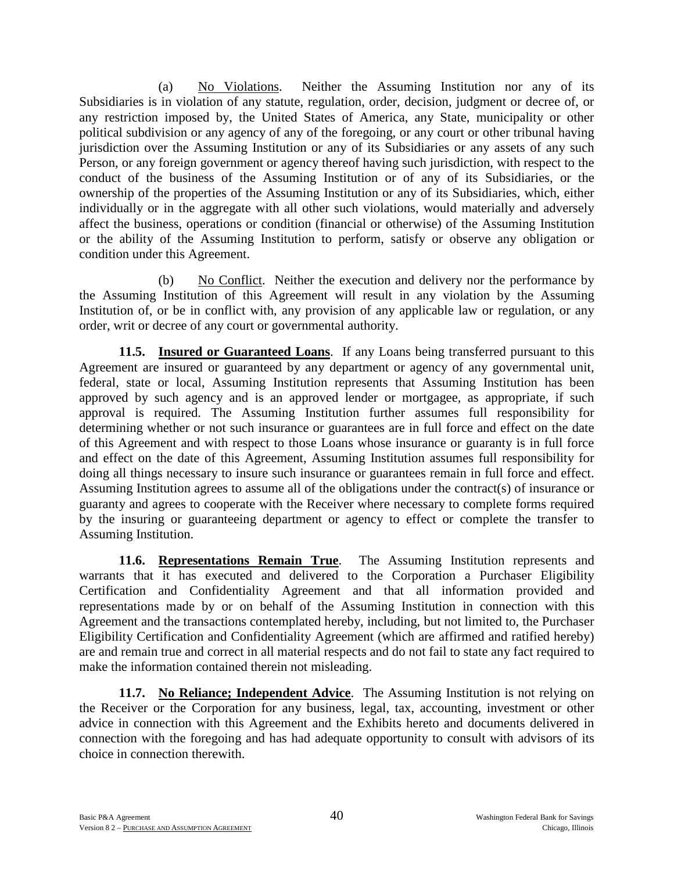(a) No Violations. Neither the Assuming Institution nor any of its Subsidiaries is in violation of any statute, regulation, order, decision, judgment or decree of, or any restriction imposed by, the United States of America, any State, municipality or other political subdivision or any agency of any of the foregoing, or any court or other tribunal having jurisdiction over the Assuming Institution or any of its Subsidiaries or any assets of any such Person, or any foreign government or agency thereof having such jurisdiction, with respect to the conduct of the business of the Assuming Institution or of any of its Subsidiaries, or the ownership of the properties of the Assuming Institution or any of its Subsidiaries, which, either individually or in the aggregate with all other such violations, would materially and adversely affect the business, operations or condition (financial or otherwise) of the Assuming Institution or the ability of the Assuming Institution to perform, satisfy or observe any obligation or condition under this Agreement.

(b) No Conflict. Neither the execution and delivery nor the performance by the Assuming Institution of this Agreement will result in any violation by the Assuming Institution of, or be in conflict with, any provision of any applicable law or regulation, or any order, writ or decree of any court or governmental authority.

**11.5. Insured or Guaranteed Loans**. If any Loans being transferred pursuant to this Agreement are insured or guaranteed by any department or agency of any governmental unit, federal, state or local, Assuming Institution represents that Assuming Institution has been approved by such agency and is an approved lender or mortgagee, as appropriate, if such approval is required. The Assuming Institution further assumes full responsibility for determining whether or not such insurance or guarantees are in full force and effect on the date of this Agreement and with respect to those Loans whose insurance or guaranty is in full force and effect on the date of this Agreement, Assuming Institution assumes full responsibility for doing all things necessary to insure such insurance or guarantees remain in full force and effect. Assuming Institution agrees to assume all of the obligations under the contract(s) of insurance or guaranty and agrees to cooperate with the Receiver where necessary to complete forms required by the insuring or guaranteeing department or agency to effect or complete the transfer to Assuming Institution.

**11.6. Representations Remain True**. The Assuming Institution represents and warrants that it has executed and delivered to the Corporation a Purchaser Eligibility Certification and Confidentiality Agreement and that all information provided and representations made by or on behalf of the Assuming Institution in connection with this Agreement and the transactions contemplated hereby, including, but not limited to, the Purchaser Eligibility Certification and Confidentiality Agreement (which are affirmed and ratified hereby) are and remain true and correct in all material respects and do not fail to state any fact required to make the information contained therein not misleading.

**11.7. No Reliance; Independent Advice**. The Assuming Institution is not relying on the Receiver or the Corporation for any business, legal, tax, accounting, investment or other advice in connection with this Agreement and the Exhibits hereto and documents delivered in connection with the foregoing and has had adequate opportunity to consult with advisors of its choice in connection therewith.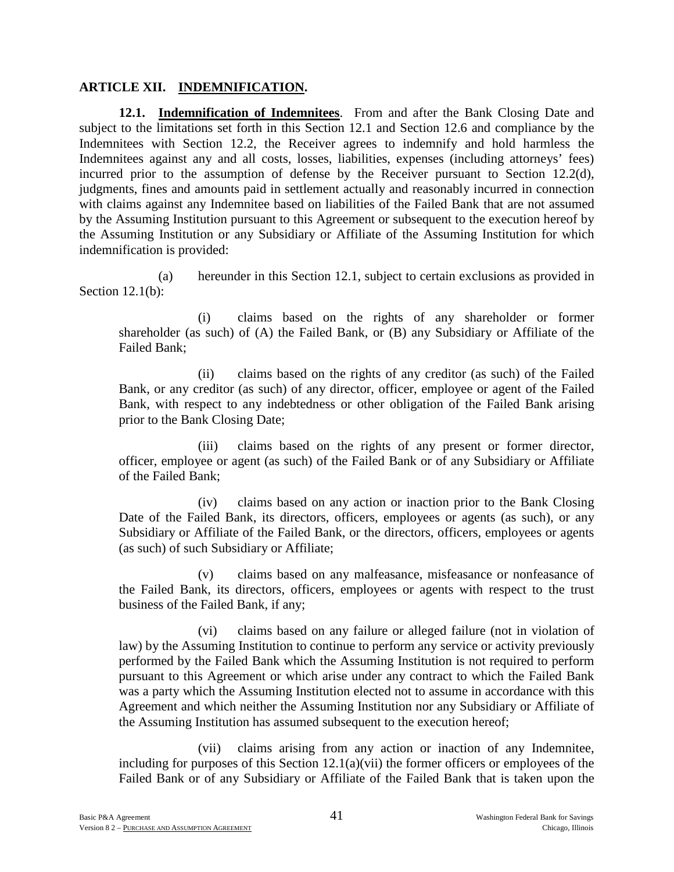### **ARTICLE XII. INDEMNIFICATION.**

**12.1. Indemnification of Indemnitees**. From and after the Bank Closing Date and subject to the limitations set forth in this Section 12.1 and Section 12.6 and compliance by the Indemnitees with Section 12.2, the Receiver agrees to indemnify and hold harmless the Indemnitees against any and all costs, losses, liabilities, expenses (including attorneys' fees) incurred prior to the assumption of defense by the Receiver pursuant to Section 12.2(d), judgments, fines and amounts paid in settlement actually and reasonably incurred in connection with claims against any Indemnitee based on liabilities of the Failed Bank that are not assumed by the Assuming Institution pursuant to this Agreement or subsequent to the execution hereof by the Assuming Institution or any Subsidiary or Affiliate of the Assuming Institution for which indemnification is provided:

(a) hereunder in this Section 12.1, subject to certain exclusions as provided in Section 12.1(b):

(i) claims based on the rights of any shareholder or former shareholder (as such) of (A) the Failed Bank, or (B) any Subsidiary or Affiliate of the Failed Bank;

(ii) claims based on the rights of any creditor (as such) of the Failed Bank, or any creditor (as such) of any director, officer, employee or agent of the Failed Bank, with respect to any indebtedness or other obligation of the Failed Bank arising prior to the Bank Closing Date;

(iii) claims based on the rights of any present or former director, officer, employee or agent (as such) of the Failed Bank or of any Subsidiary or Affiliate of the Failed Bank;

(iv) claims based on any action or inaction prior to the Bank Closing Date of the Failed Bank, its directors, officers, employees or agents (as such), or any Subsidiary or Affiliate of the Failed Bank, or the directors, officers, employees or agents (as such) of such Subsidiary or Affiliate;

(v) claims based on any malfeasance, misfeasance or nonfeasance of the Failed Bank, its directors, officers, employees or agents with respect to the trust business of the Failed Bank, if any;

(vi) claims based on any failure or alleged failure (not in violation of law) by the Assuming Institution to continue to perform any service or activity previously performed by the Failed Bank which the Assuming Institution is not required to perform pursuant to this Agreement or which arise under any contract to which the Failed Bank was a party which the Assuming Institution elected not to assume in accordance with this Agreement and which neither the Assuming Institution nor any Subsidiary or Affiliate of the Assuming Institution has assumed subsequent to the execution hereof;

(vii) claims arising from any action or inaction of any Indemnitee, including for purposes of this Section 12.1(a)(vii) the former officers or employees of the Failed Bank or of any Subsidiary or Affiliate of the Failed Bank that is taken upon the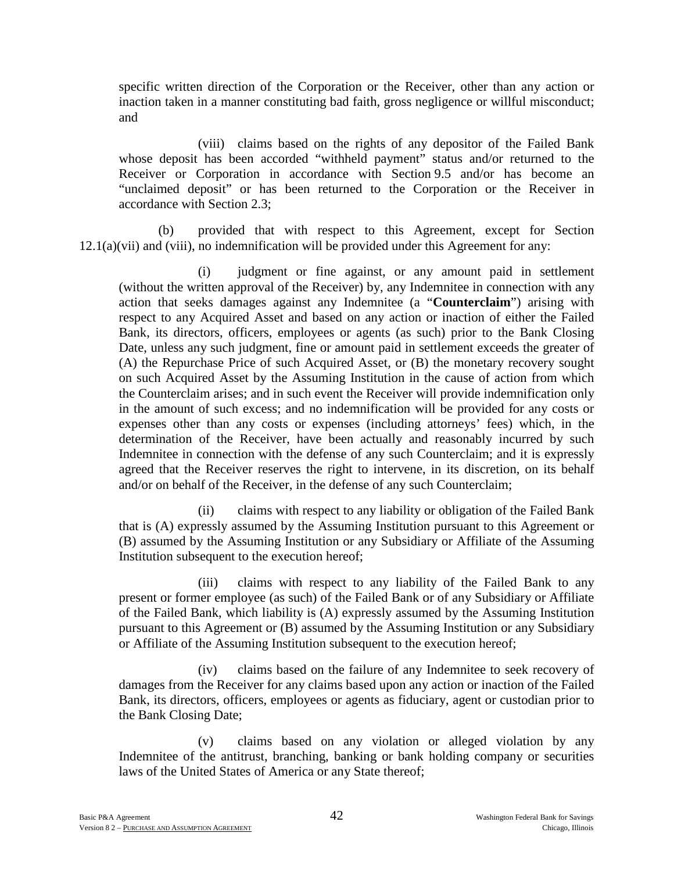specific written direction of the Corporation or the Receiver, other than any action or inaction taken in a manner constituting bad faith, gross negligence or willful misconduct; and

(viii) claims based on the rights of any depositor of the Failed Bank whose deposit has been accorded "withheld payment" status and/or returned to the Receiver or Corporation in accordance with Section 9.5 and/or has become an "unclaimed deposit" or has been returned to the Corporation or the Receiver in accordance with Section 2.3;

(b) provided that with respect to this Agreement, except for Section 12.1(a)(vii) and (viii), no indemnification will be provided under this Agreement for any:

(i) judgment or fine against, or any amount paid in settlement (without the written approval of the Receiver) by, any Indemnitee in connection with any action that seeks damages against any Indemnitee (a "**Counterclaim**") arising with respect to any Acquired Asset and based on any action or inaction of either the Failed Bank, its directors, officers, employees or agents (as such) prior to the Bank Closing Date, unless any such judgment, fine or amount paid in settlement exceeds the greater of (A) the Repurchase Price of such Acquired Asset, or (B) the monetary recovery sought on such Acquired Asset by the Assuming Institution in the cause of action from which the Counterclaim arises; and in such event the Receiver will provide indemnification only in the amount of such excess; and no indemnification will be provided for any costs or expenses other than any costs or expenses (including attorneys' fees) which, in the determination of the Receiver, have been actually and reasonably incurred by such Indemnitee in connection with the defense of any such Counterclaim; and it is expressly agreed that the Receiver reserves the right to intervene, in its discretion, on its behalf and/or on behalf of the Receiver, in the defense of any such Counterclaim;

(ii) claims with respect to any liability or obligation of the Failed Bank that is (A) expressly assumed by the Assuming Institution pursuant to this Agreement or (B) assumed by the Assuming Institution or any Subsidiary or Affiliate of the Assuming Institution subsequent to the execution hereof;

(iii) claims with respect to any liability of the Failed Bank to any present or former employee (as such) of the Failed Bank or of any Subsidiary or Affiliate of the Failed Bank, which liability is (A) expressly assumed by the Assuming Institution pursuant to this Agreement or (B) assumed by the Assuming Institution or any Subsidiary or Affiliate of the Assuming Institution subsequent to the execution hereof;

(iv) claims based on the failure of any Indemnitee to seek recovery of damages from the Receiver for any claims based upon any action or inaction of the Failed Bank, its directors, officers, employees or agents as fiduciary, agent or custodian prior to the Bank Closing Date;

(v) claims based on any violation or alleged violation by any Indemnitee of the antitrust, branching, banking or bank holding company or securities laws of the United States of America or any State thereof;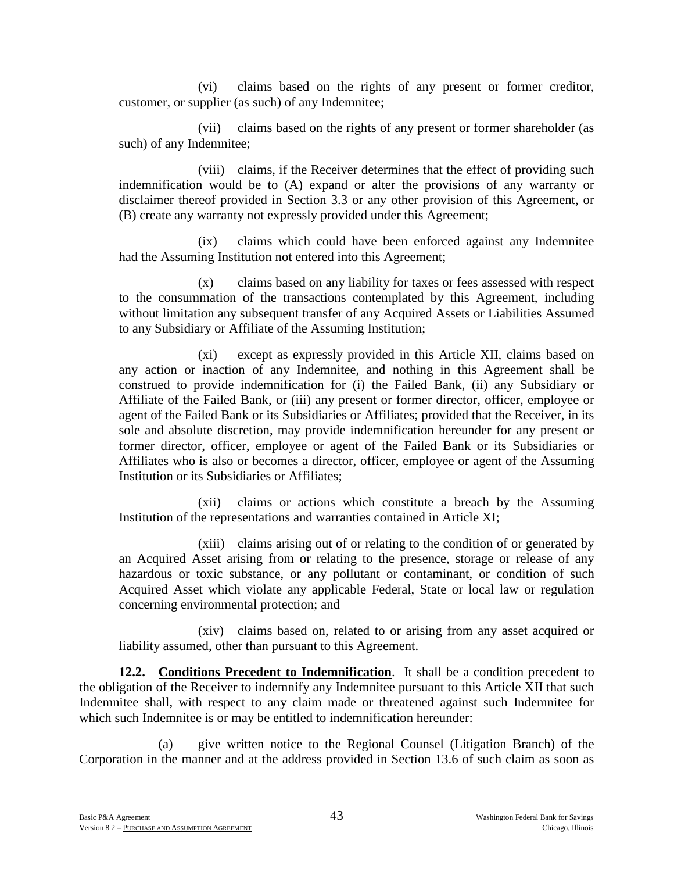(vi) claims based on the rights of any present or former creditor, customer, or supplier (as such) of any Indemnitee;

(vii) claims based on the rights of any present or former shareholder (as such) of any Indemnitee;

(viii) claims, if the Receiver determines that the effect of providing such indemnification would be to (A) expand or alter the provisions of any warranty or disclaimer thereof provided in Section 3.3 or any other provision of this Agreement, or (B) create any warranty not expressly provided under this Agreement;

(ix) claims which could have been enforced against any Indemnitee had the Assuming Institution not entered into this Agreement;

(x) claims based on any liability for taxes or fees assessed with respect to the consummation of the transactions contemplated by this Agreement, including without limitation any subsequent transfer of any Acquired Assets or Liabilities Assumed to any Subsidiary or Affiliate of the Assuming Institution;

(xi) except as expressly provided in this Article XII, claims based on any action or inaction of any Indemnitee, and nothing in this Agreement shall be construed to provide indemnification for (i) the Failed Bank, (ii) any Subsidiary or Affiliate of the Failed Bank, or (iii) any present or former director, officer, employee or agent of the Failed Bank or its Subsidiaries or Affiliates; provided that the Receiver, in its sole and absolute discretion, may provide indemnification hereunder for any present or former director, officer, employee or agent of the Failed Bank or its Subsidiaries or Affiliates who is also or becomes a director, officer, employee or agent of the Assuming Institution or its Subsidiaries or Affiliates;

(xii) claims or actions which constitute a breach by the Assuming Institution of the representations and warranties contained in Article XI;

(xiii) claims arising out of or relating to the condition of or generated by an Acquired Asset arising from or relating to the presence, storage or release of any hazardous or toxic substance, or any pollutant or contaminant, or condition of such Acquired Asset which violate any applicable Federal, State or local law or regulation concerning environmental protection; and

(xiv) claims based on, related to or arising from any asset acquired or liability assumed, other than pursuant to this Agreement.

**12.2. Conditions Precedent to Indemnification**. It shall be a condition precedent to the obligation of the Receiver to indemnify any Indemnitee pursuant to this Article XII that such Indemnitee shall, with respect to any claim made or threatened against such Indemnitee for which such Indemnitee is or may be entitled to indemnification hereunder:

(a) give written notice to the Regional Counsel (Litigation Branch) of the Corporation in the manner and at the address provided in Section 13.6 of such claim as soon as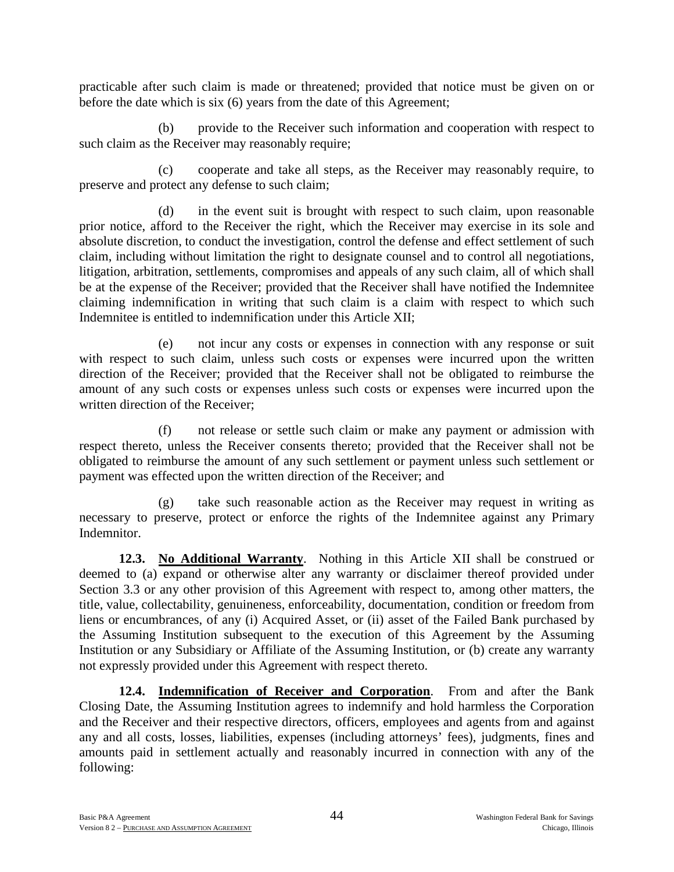practicable after such claim is made or threatened; provided that notice must be given on or before the date which is six (6) years from the date of this Agreement;

(b) provide to the Receiver such information and cooperation with respect to such claim as the Receiver may reasonably require;

(c) cooperate and take all steps, as the Receiver may reasonably require, to preserve and protect any defense to such claim;

(d) in the event suit is brought with respect to such claim, upon reasonable prior notice, afford to the Receiver the right, which the Receiver may exercise in its sole and absolute discretion, to conduct the investigation, control the defense and effect settlement of such claim, including without limitation the right to designate counsel and to control all negotiations, litigation, arbitration, settlements, compromises and appeals of any such claim, all of which shall be at the expense of the Receiver; provided that the Receiver shall have notified the Indemnitee claiming indemnification in writing that such claim is a claim with respect to which such Indemnitee is entitled to indemnification under this Article XII;

(e) not incur any costs or expenses in connection with any response or suit with respect to such claim, unless such costs or expenses were incurred upon the written direction of the Receiver; provided that the Receiver shall not be obligated to reimburse the amount of any such costs or expenses unless such costs or expenses were incurred upon the written direction of the Receiver;

(f) not release or settle such claim or make any payment or admission with respect thereto, unless the Receiver consents thereto; provided that the Receiver shall not be obligated to reimburse the amount of any such settlement or payment unless such settlement or payment was effected upon the written direction of the Receiver; and

(g) take such reasonable action as the Receiver may request in writing as necessary to preserve, protect or enforce the rights of the Indemnitee against any Primary Indemnitor.

**12.3. No Additional Warranty**. Nothing in this Article XII shall be construed or deemed to (a) expand or otherwise alter any warranty or disclaimer thereof provided under Section 3.3 or any other provision of this Agreement with respect to, among other matters, the title, value, collectability, genuineness, enforceability, documentation, condition or freedom from liens or encumbrances, of any (i) Acquired Asset, or (ii) asset of the Failed Bank purchased by the Assuming Institution subsequent to the execution of this Agreement by the Assuming Institution or any Subsidiary or Affiliate of the Assuming Institution, or (b) create any warranty not expressly provided under this Agreement with respect thereto.

**12.4. Indemnification of Receiver and Corporation**. From and after the Bank Closing Date, the Assuming Institution agrees to indemnify and hold harmless the Corporation and the Receiver and their respective directors, officers, employees and agents from and against any and all costs, losses, liabilities, expenses (including attorneys' fees), judgments, fines and amounts paid in settlement actually and reasonably incurred in connection with any of the following: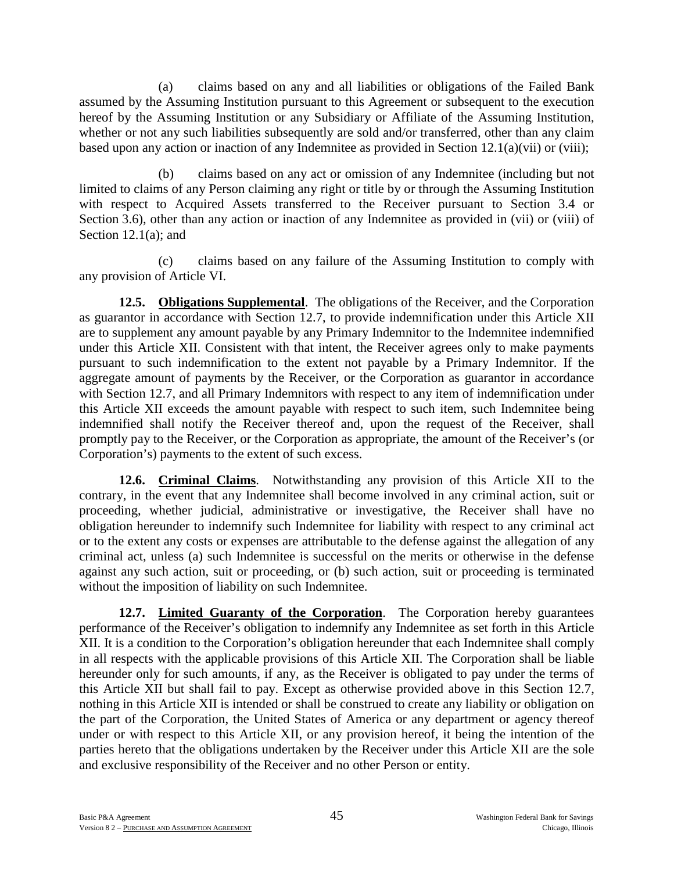(a) claims based on any and all liabilities or obligations of the Failed Bank assumed by the Assuming Institution pursuant to this Agreement or subsequent to the execution hereof by the Assuming Institution or any Subsidiary or Affiliate of the Assuming Institution, whether or not any such liabilities subsequently are sold and/or transferred, other than any claim based upon any action or inaction of any Indemnitee as provided in Section 12.1(a)(vii) or (viii);

(b) claims based on any act or omission of any Indemnitee (including but not limited to claims of any Person claiming any right or title by or through the Assuming Institution with respect to Acquired Assets transferred to the Receiver pursuant to Section 3.4 or Section 3.6), other than any action or inaction of any Indemnitee as provided in (vii) or (viii) of Section 12.1(a); and

(c) claims based on any failure of the Assuming Institution to comply with any provision of Article VI.

**12.5. Obligations Supplemental**. The obligations of the Receiver, and the Corporation as guarantor in accordance with Section 12.7, to provide indemnification under this Article XII are to supplement any amount payable by any Primary Indemnitor to the Indemnitee indemnified under this Article XII. Consistent with that intent, the Receiver agrees only to make payments pursuant to such indemnification to the extent not payable by a Primary Indemnitor. If the aggregate amount of payments by the Receiver, or the Corporation as guarantor in accordance with Section 12.7, and all Primary Indemnitors with respect to any item of indemnification under this Article XII exceeds the amount payable with respect to such item, such Indemnitee being indemnified shall notify the Receiver thereof and, upon the request of the Receiver, shall promptly pay to the Receiver, or the Corporation as appropriate, the amount of the Receiver's (or Corporation's) payments to the extent of such excess.

**12.6. Criminal Claims**. Notwithstanding any provision of this Article XII to the contrary, in the event that any Indemnitee shall become involved in any criminal action, suit or proceeding, whether judicial, administrative or investigative, the Receiver shall have no obligation hereunder to indemnify such Indemnitee for liability with respect to any criminal act or to the extent any costs or expenses are attributable to the defense against the allegation of any criminal act, unless (a) such Indemnitee is successful on the merits or otherwise in the defense against any such action, suit or proceeding, or (b) such action, suit or proceeding is terminated without the imposition of liability on such Indemnitee.

**12.7. Limited Guaranty of the Corporation**. The Corporation hereby guarantees performance of the Receiver's obligation to indemnify any Indemnitee as set forth in this Article XII. It is a condition to the Corporation's obligation hereunder that each Indemnitee shall comply in all respects with the applicable provisions of this Article XII. The Corporation shall be liable hereunder only for such amounts, if any, as the Receiver is obligated to pay under the terms of this Article XII but shall fail to pay. Except as otherwise provided above in this Section 12.7, nothing in this Article XII is intended or shall be construed to create any liability or obligation on the part of the Corporation, the United States of America or any department or agency thereof under or with respect to this Article XII, or any provision hereof, it being the intention of the parties hereto that the obligations undertaken by the Receiver under this Article XII are the sole and exclusive responsibility of the Receiver and no other Person or entity.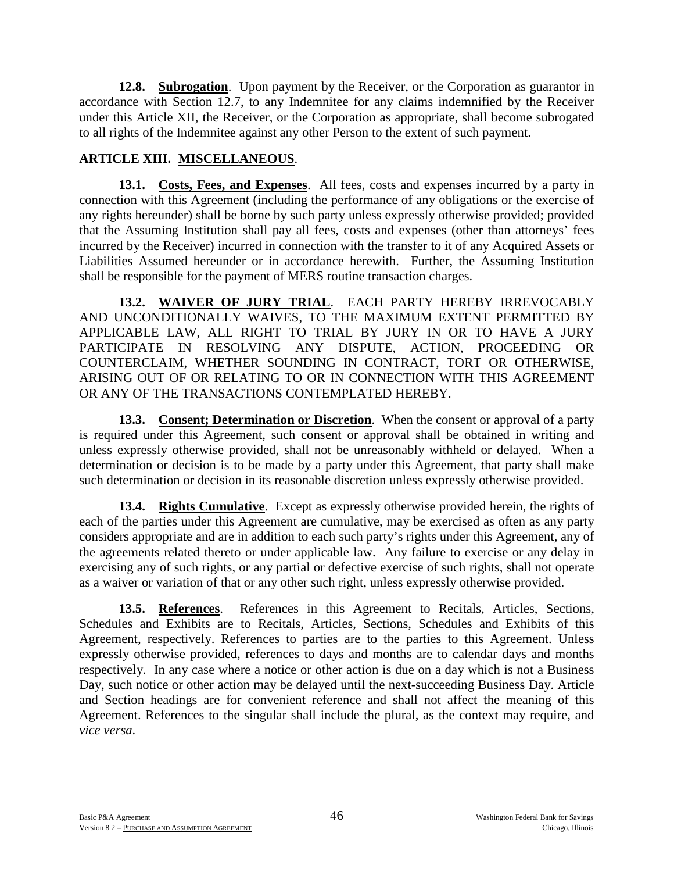**12.8. Subrogation**. Upon payment by the Receiver, or the Corporation as guarantor in accordance with Section 12.7, to any Indemnitee for any claims indemnified by the Receiver under this Article XII, the Receiver, or the Corporation as appropriate, shall become subrogated to all rights of the Indemnitee against any other Person to the extent of such payment.

# **ARTICLE XIII. MISCELLANEOUS**.

**13.1. Costs, Fees, and Expenses**. All fees, costs and expenses incurred by a party in connection with this Agreement (including the performance of any obligations or the exercise of any rights hereunder) shall be borne by such party unless expressly otherwise provided; provided that the Assuming Institution shall pay all fees, costs and expenses (other than attorneys' fees incurred by the Receiver) incurred in connection with the transfer to it of any Acquired Assets or Liabilities Assumed hereunder or in accordance herewith. Further, the Assuming Institution shall be responsible for the payment of MERS routine transaction charges.

**13.2. WAIVER OF JURY TRIAL**. EACH PARTY HEREBY IRREVOCABLY AND UNCONDITIONALLY WAIVES, TO THE MAXIMUM EXTENT PERMITTED BY APPLICABLE LAW, ALL RIGHT TO TRIAL BY JURY IN OR TO HAVE A JURY PARTICIPATE IN RESOLVING ANY DISPUTE, ACTION, PROCEEDING OR COUNTERCLAIM, WHETHER SOUNDING IN CONTRACT, TORT OR OTHERWISE, ARISING OUT OF OR RELATING TO OR IN CONNECTION WITH THIS AGREEMENT OR ANY OF THE TRANSACTIONS CONTEMPLATED HEREBY.

**13.3. Consent; Determination or Discretion**. When the consent or approval of a party is required under this Agreement, such consent or approval shall be obtained in writing and unless expressly otherwise provided, shall not be unreasonably withheld or delayed. When a determination or decision is to be made by a party under this Agreement, that party shall make such determination or decision in its reasonable discretion unless expressly otherwise provided.

**13.4. Rights Cumulative**. Except as expressly otherwise provided herein, the rights of each of the parties under this Agreement are cumulative, may be exercised as often as any party considers appropriate and are in addition to each such party's rights under this Agreement, any of the agreements related thereto or under applicable law. Any failure to exercise or any delay in exercising any of such rights, or any partial or defective exercise of such rights, shall not operate as a waiver or variation of that or any other such right, unless expressly otherwise provided.

**13.5. References**. References in this Agreement to Recitals, Articles, Sections, Schedules and Exhibits are to Recitals, Articles, Sections, Schedules and Exhibits of this Agreement, respectively. References to parties are to the parties to this Agreement. Unless expressly otherwise provided, references to days and months are to calendar days and months respectively. In any case where a notice or other action is due on a day which is not a Business Day, such notice or other action may be delayed until the next-succeeding Business Day. Article and Section headings are for convenient reference and shall not affect the meaning of this Agreement. References to the singular shall include the plural, as the context may require, and *vice versa*.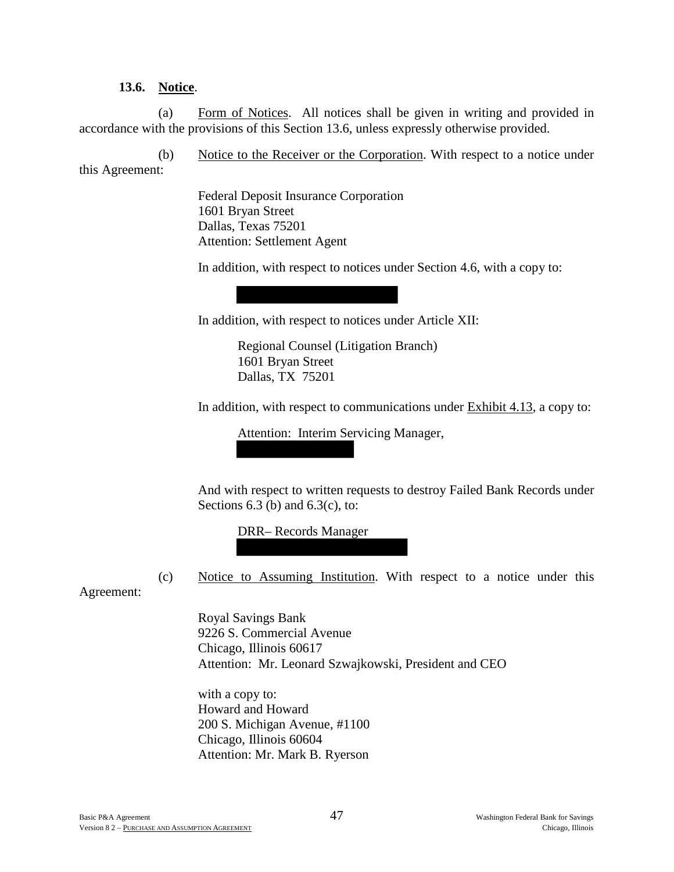### **13.6. Notice**.

(a) Form of Notices. All notices shall be given in writing and provided in accordance with the provisions of this Section 13.6, unless expressly otherwise provided.

(b) Notice to the Receiver or the Corporation. With respect to a notice under this Agreement:

> Federal Deposit Insurance Corporation 1601 Bryan Street Dallas, Texas 75201 Attention: Settlement Agent

In addition, with respect to notices under Section 4.6, with a copy to:

In addition, with respect to notices under Article XII:

Regional Counsel (Litigation Branch) 1601 Bryan Street Dallas, TX 75201

In addition, with respect to communications under Exhibit 4.13, a copy to:

Attention: Interim Servicing Manager,

And with respect to written requests to destroy Failed Bank Records under Sections  $6.3$  (b) and  $6.3$ (c), to:

DRR– Records Manager

(c) Notice to Assuming Institution. With respect to a notice under this

Agreement:

Royal Savings Bank 9226 S. Commercial Avenue Chicago, Illinois 60617 Attention: Mr. Leonard Szwajkowski, President and CEO

with a copy to: Howard and Howard 200 S. Michigan Avenue, #1100 Chicago, Illinois 60604 Attention: Mr. Mark B. Ryerson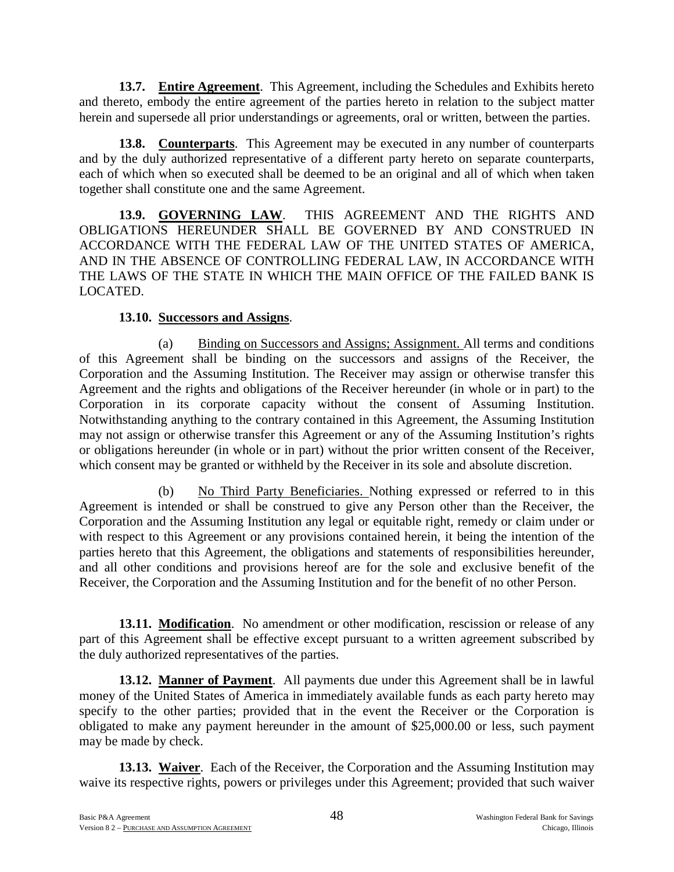**13.7. Entire Agreement**. This Agreement, including the Schedules and Exhibits hereto and thereto, embody the entire agreement of the parties hereto in relation to the subject matter herein and supersede all prior understandings or agreements, oral or written, between the parties.

**13.8. Counterparts**. This Agreement may be executed in any number of counterparts and by the duly authorized representative of a different party hereto on separate counterparts, each of which when so executed shall be deemed to be an original and all of which when taken together shall constitute one and the same Agreement.

**13.9. GOVERNING LAW**. THIS AGREEMENT AND THE RIGHTS AND OBLIGATIONS HEREUNDER SHALL BE GOVERNED BY AND CONSTRUED IN ACCORDANCE WITH THE FEDERAL LAW OF THE UNITED STATES OF AMERICA, AND IN THE ABSENCE OF CONTROLLING FEDERAL LAW, IN ACCORDANCE WITH THE LAWS OF THE STATE IN WHICH THE MAIN OFFICE OF THE FAILED BANK IS LOCATED.

### **13.10. Successors and Assigns**.

(a) Binding on Successors and Assigns; Assignment. All terms and conditions of this Agreement shall be binding on the successors and assigns of the Receiver, the Corporation and the Assuming Institution. The Receiver may assign or otherwise transfer this Agreement and the rights and obligations of the Receiver hereunder (in whole or in part) to the Corporation in its corporate capacity without the consent of Assuming Institution. Notwithstanding anything to the contrary contained in this Agreement, the Assuming Institution may not assign or otherwise transfer this Agreement or any of the Assuming Institution's rights or obligations hereunder (in whole or in part) without the prior written consent of the Receiver, which consent may be granted or withheld by the Receiver in its sole and absolute discretion.

(b) No Third Party Beneficiaries. Nothing expressed or referred to in this Agreement is intended or shall be construed to give any Person other than the Receiver, the Corporation and the Assuming Institution any legal or equitable right, remedy or claim under or with respect to this Agreement or any provisions contained herein, it being the intention of the parties hereto that this Agreement, the obligations and statements of responsibilities hereunder, and all other conditions and provisions hereof are for the sole and exclusive benefit of the Receiver, the Corporation and the Assuming Institution and for the benefit of no other Person.

**13.11. Modification**. No amendment or other modification, rescission or release of any part of this Agreement shall be effective except pursuant to a written agreement subscribed by the duly authorized representatives of the parties.

**13.12. Manner of Payment**. All payments due under this Agreement shall be in lawful money of the United States of America in immediately available funds as each party hereto may specify to the other parties; provided that in the event the Receiver or the Corporation is obligated to make any payment hereunder in the amount of \$25,000.00 or less, such payment may be made by check.

**13.13. Waiver**. Each of the Receiver, the Corporation and the Assuming Institution may waive its respective rights, powers or privileges under this Agreement; provided that such waiver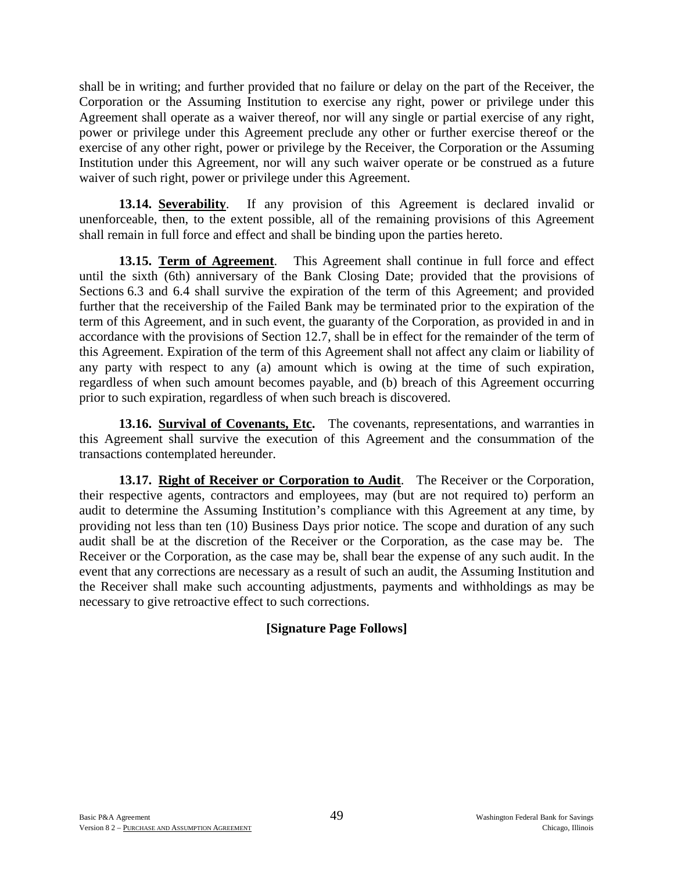shall be in writing; and further provided that no failure or delay on the part of the Receiver, the Corporation or the Assuming Institution to exercise any right, power or privilege under this Agreement shall operate as a waiver thereof, nor will any single or partial exercise of any right, power or privilege under this Agreement preclude any other or further exercise thereof or the exercise of any other right, power or privilege by the Receiver, the Corporation or the Assuming Institution under this Agreement, nor will any such waiver operate or be construed as a future waiver of such right, power or privilege under this Agreement.

**13.14. Severability**. If any provision of this Agreement is declared invalid or unenforceable, then, to the extent possible, all of the remaining provisions of this Agreement shall remain in full force and effect and shall be binding upon the parties hereto.

**13.15. Term of Agreement**. This Agreement shall continue in full force and effect until the sixth (6th) anniversary of the Bank Closing Date; provided that the provisions of Sections 6.3 and 6.4 shall survive the expiration of the term of this Agreement; and provided further that the receivership of the Failed Bank may be terminated prior to the expiration of the term of this Agreement, and in such event, the guaranty of the Corporation, as provided in and in accordance with the provisions of Section 12.7, shall be in effect for the remainder of the term of this Agreement. Expiration of the term of this Agreement shall not affect any claim or liability of any party with respect to any (a) amount which is owing at the time of such expiration, regardless of when such amount becomes payable, and (b) breach of this Agreement occurring prior to such expiration, regardless of when such breach is discovered.

**13.16. Survival of Covenants, Etc.** The covenants, representations, and warranties in this Agreement shall survive the execution of this Agreement and the consummation of the transactions contemplated hereunder.

**13.17. Right of Receiver or Corporation to Audit**. The Receiver or the Corporation, their respective agents, contractors and employees, may (but are not required to) perform an audit to determine the Assuming Institution's compliance with this Agreement at any time, by providing not less than ten (10) Business Days prior notice. The scope and duration of any such audit shall be at the discretion of the Receiver or the Corporation, as the case may be. The Receiver or the Corporation, as the case may be, shall bear the expense of any such audit. In the event that any corrections are necessary as a result of such an audit, the Assuming Institution and the Receiver shall make such accounting adjustments, payments and withholdings as may be necessary to give retroactive effect to such corrections.

### **[Signature Page Follows]**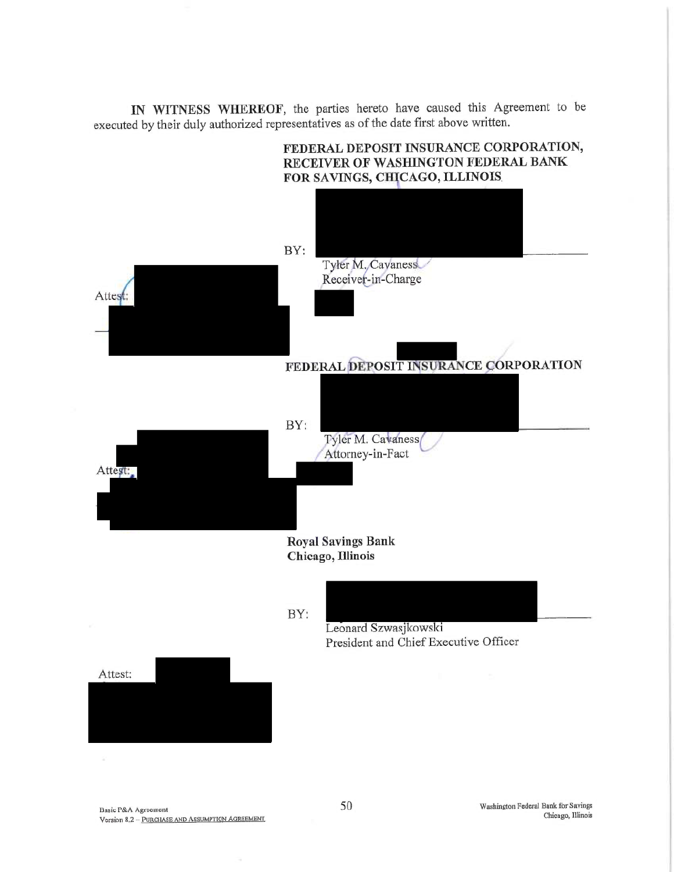IN WITNESS WHEREOF, the parties hereto have caused this Agreement to be executed by their duly authorized representatives as of the date first above written.

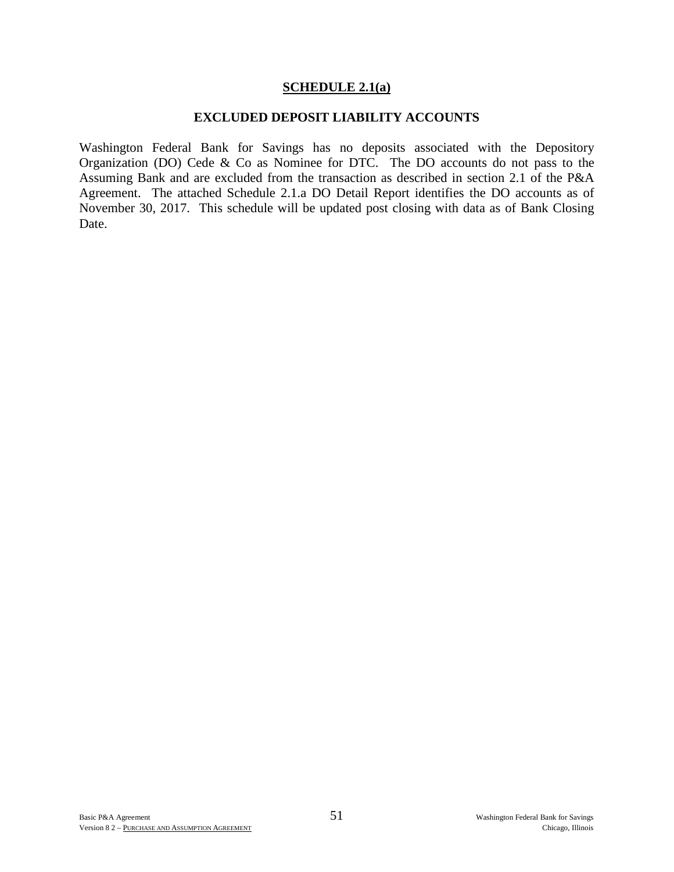### **SCHEDULE 2.1(a)**

#### **EXCLUDED DEPOSIT LIABILITY ACCOUNTS**

Washington Federal Bank for Savings has no deposits associated with the Depository Organization (DO) Cede & Co as Nominee for DTC. The DO accounts do not pass to the Assuming Bank and are excluded from the transaction as described in section 2.1 of the P&A Agreement. The attached Schedule 2.1.a DO Detail Report identifies the DO accounts as of November 30, 2017. This schedule will be updated post closing with data as of Bank Closing Date.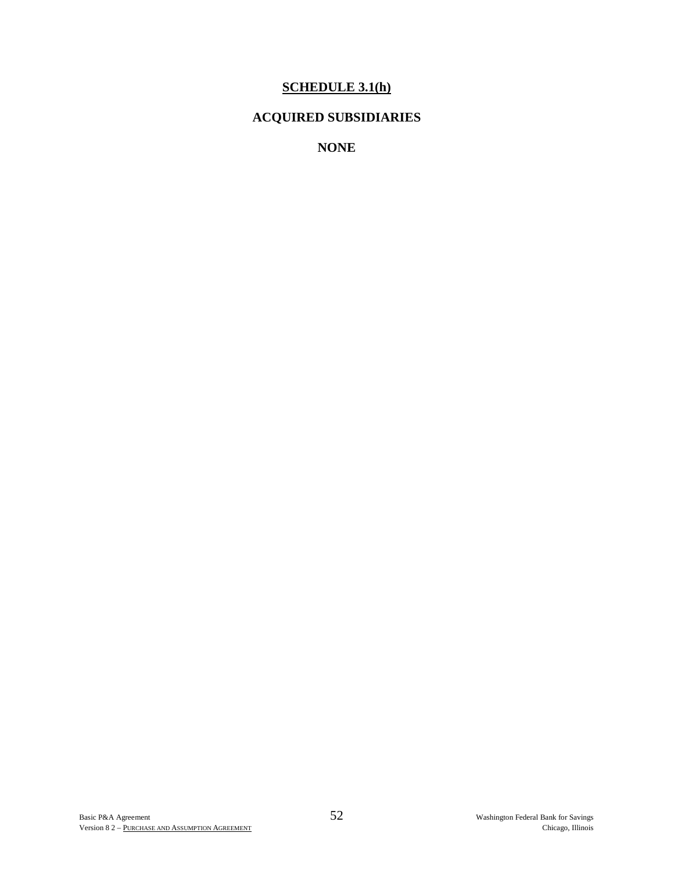# **SCHEDULE 3.1(h)**

# **ACQUIRED SUBSIDIARIES**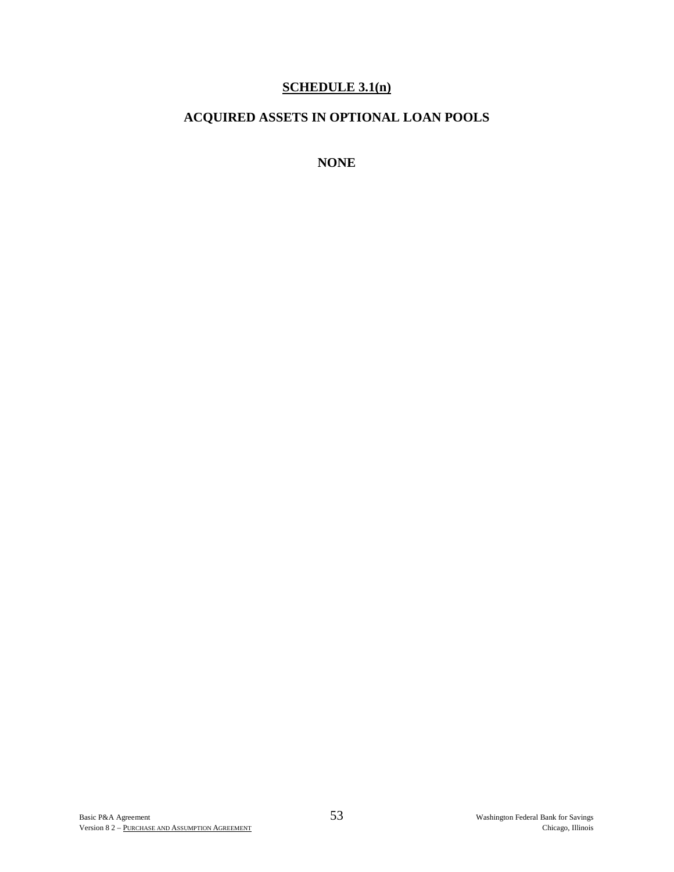# **SCHEDULE 3.1(n)**

# **ACQUIRED ASSETS IN OPTIONAL LOAN POOLS**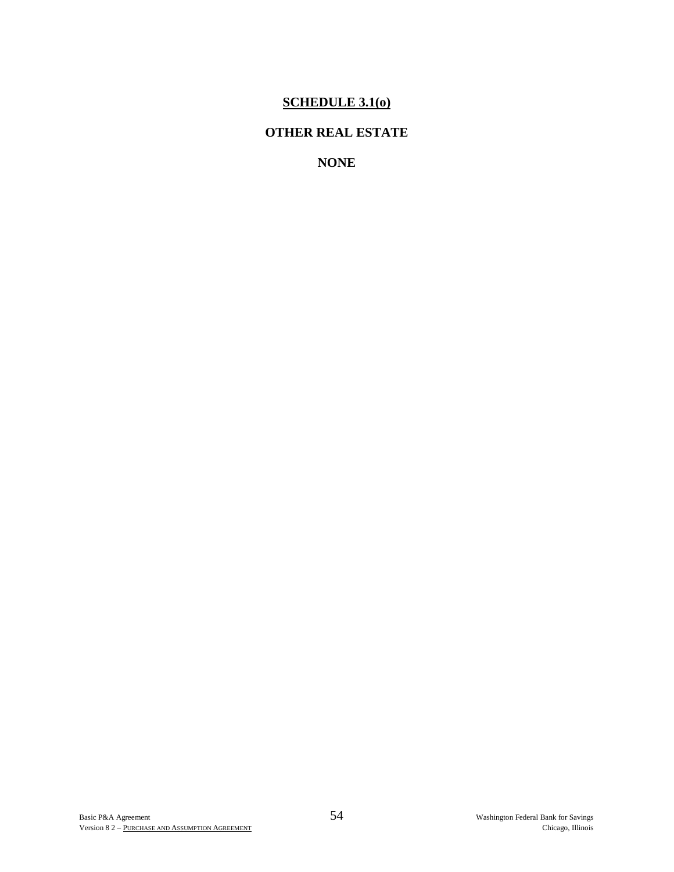# **SCHEDULE 3.1(o)**

# **OTHER REAL ESTATE**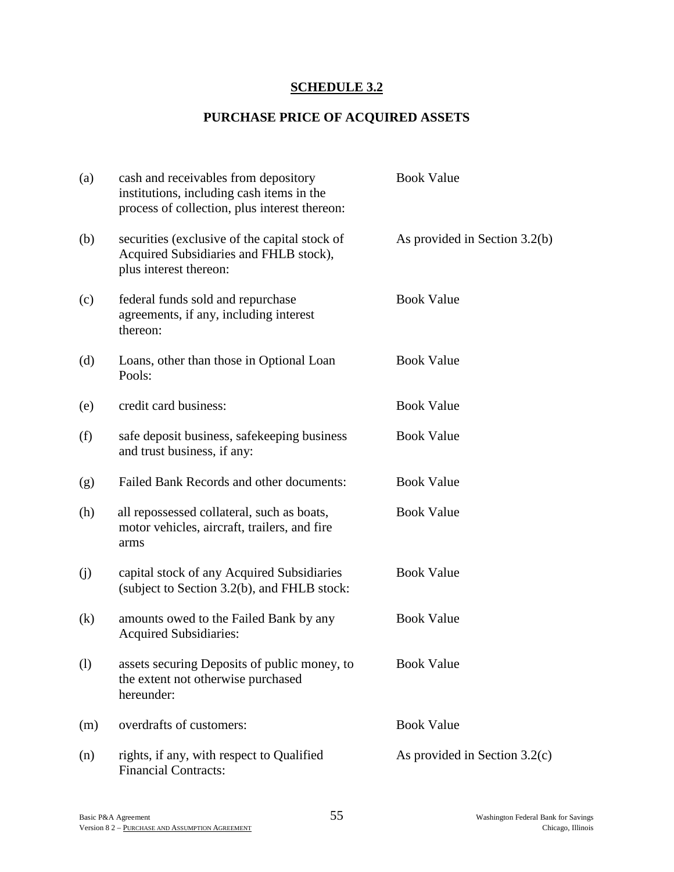# **SCHEDULE 3.2**

# **PURCHASE PRICE OF ACQUIRED ASSETS**

| (a) | cash and receivables from depository<br>institutions, including cash items in the<br>process of collection, plus interest thereon: | <b>Book Value</b>               |
|-----|------------------------------------------------------------------------------------------------------------------------------------|---------------------------------|
| (b) | securities (exclusive of the capital stock of<br>Acquired Subsidiaries and FHLB stock),<br>plus interest thereon:                  | As provided in Section 3.2(b)   |
| (c) | federal funds sold and repurchase<br>agreements, if any, including interest<br>thereon:                                            | <b>Book Value</b>               |
| (d) | Loans, other than those in Optional Loan<br>Pools:                                                                                 | <b>Book Value</b>               |
| (e) | credit card business:                                                                                                              | <b>Book Value</b>               |
| (f) | safe deposit business, safekeeping business<br>and trust business, if any:                                                         | <b>Book Value</b>               |
| (g) | Failed Bank Records and other documents:                                                                                           | <b>Book Value</b>               |
| (h) | all repossessed collateral, such as boats,<br>motor vehicles, aircraft, trailers, and fire<br>arms                                 | <b>Book Value</b>               |
| (j) | capital stock of any Acquired Subsidiaries<br>(subject to Section 3.2(b), and FHLB stock:                                          | <b>Book Value</b>               |
| (k) | amounts owed to the Failed Bank by any<br><b>Acquired Subsidiaries:</b>                                                            | <b>Book Value</b>               |
| (1) | assets securing Deposits of public money, to<br>the extent not otherwise purchased<br>hereunder:                                   | <b>Book Value</b>               |
| (m) | overdrafts of customers:                                                                                                           | <b>Book Value</b>               |
| (n) | rights, if any, with respect to Qualified<br><b>Financial Contracts:</b>                                                           | As provided in Section $3.2(c)$ |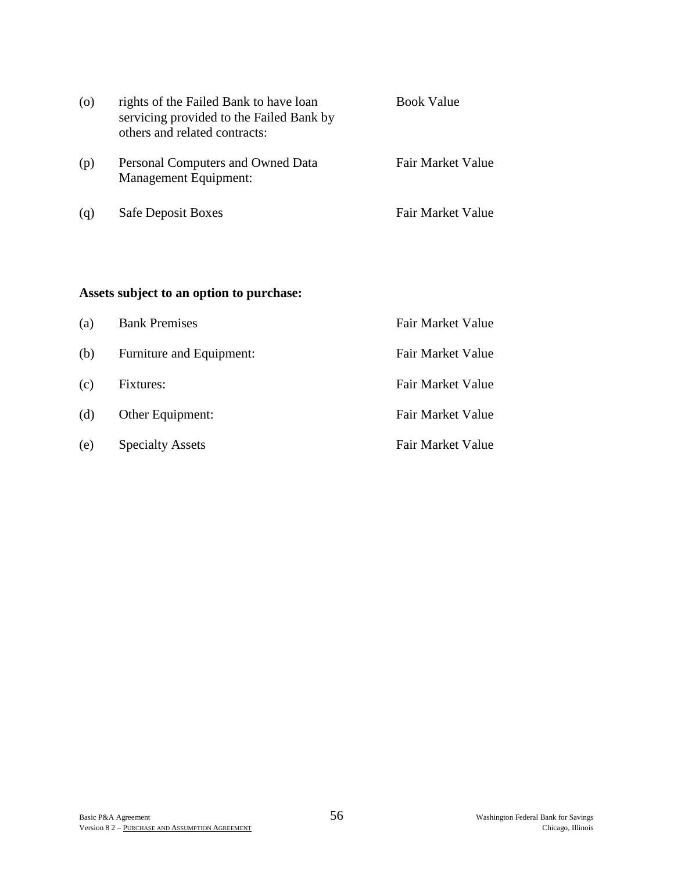| $\circ$ | rights of the Failed Bank to have loan<br>servicing provided to the Failed Bank by<br>others and related contracts: | <b>Book Value</b> |  |  |
|---------|---------------------------------------------------------------------------------------------------------------------|-------------------|--|--|
| (p)     | Personal Computers and Owned Data<br><b>Management Equipment:</b>                                                   | Fair Market Value |  |  |
| (q)     | <b>Safe Deposit Boxes</b>                                                                                           | Fair Market Value |  |  |

# **Assets subject to an option to purchase:**

| (a) | <b>Bank Premises</b>     | Fair Market Value |
|-----|--------------------------|-------------------|
| (b) | Furniture and Equipment: | Fair Market Value |
| (c) | Fixtures:                | Fair Market Value |
| (d) | Other Equipment:         | Fair Market Value |
| (e) | <b>Specialty Assets</b>  | Fair Market Value |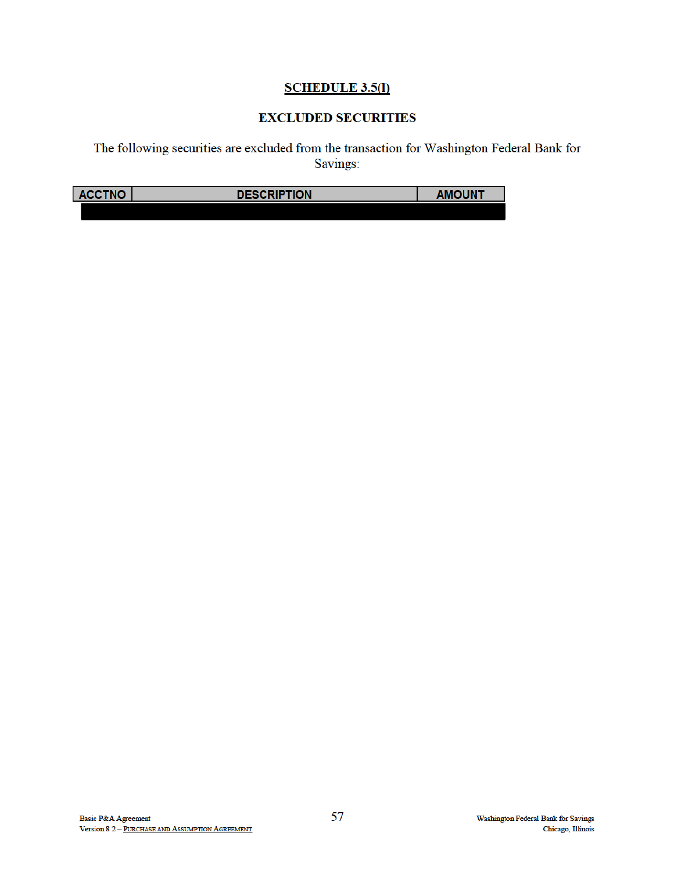# **SCHEDULE 3.5(1)**

# **EXCLUDED SECURITIES**

The following securities are excluded from the transaction for Washington Federal Bank for Savings:

| 'NIM<br><b>ACCT</b><br>NU | <b>CRIPTION</b><br>DESG | JUNT |  |
|---------------------------|-------------------------|------|--|
|                           |                         |      |  |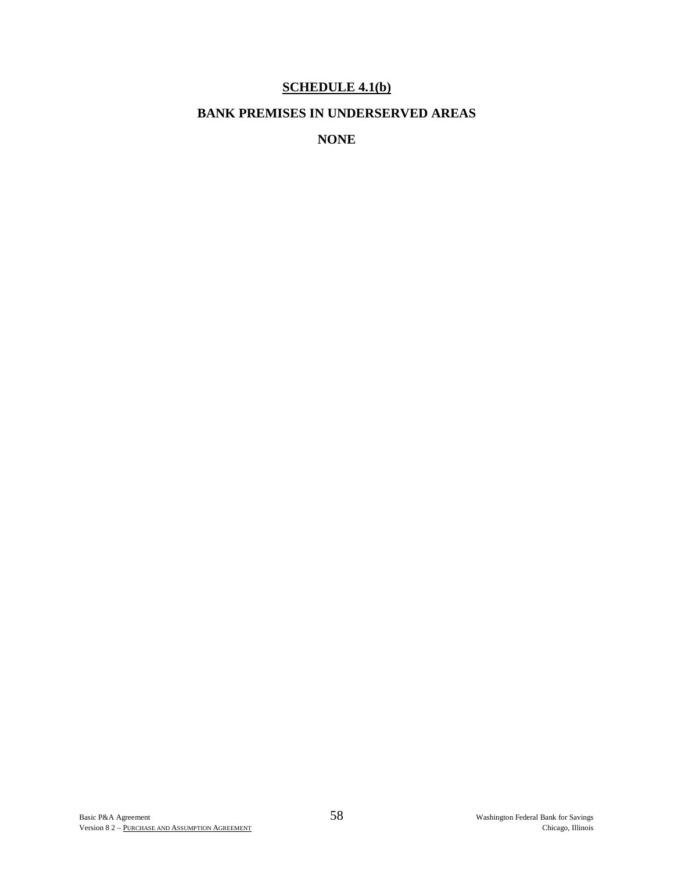# **SCHEDULE 4.1(b)**

# **BANK PREMISES IN UNDERSERVED AREAS**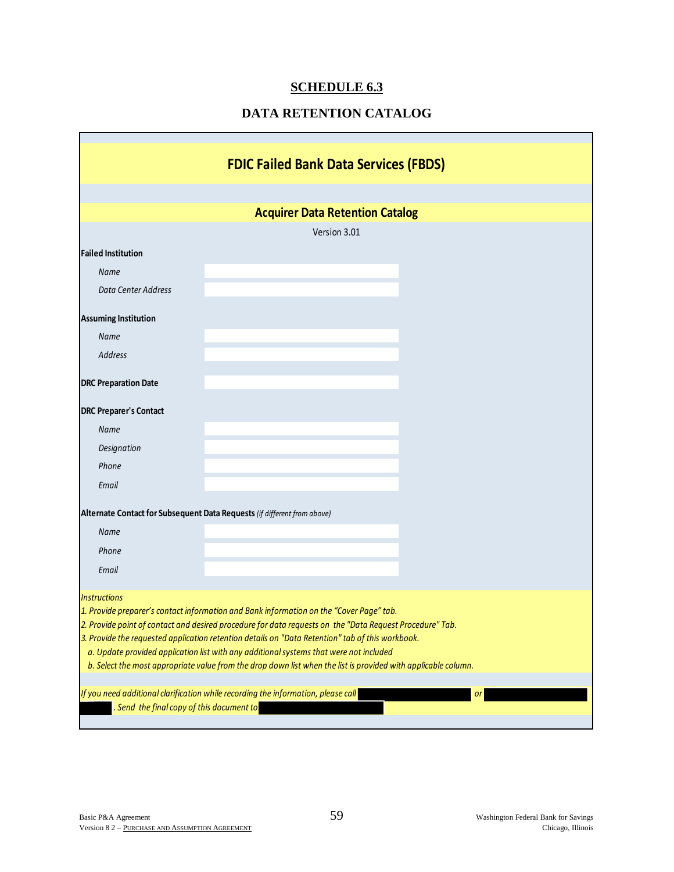# **SCHEDULE 6.3**

# **DATA RETENTION CATALOG**

|                                           | <b>FDIC Failed Bank Data Services (FBDS)</b>                                                                                                                                                        |    |
|-------------------------------------------|-----------------------------------------------------------------------------------------------------------------------------------------------------------------------------------------------------|----|
|                                           |                                                                                                                                                                                                     |    |
|                                           | <b>Acquirer Data Retention Catalog</b>                                                                                                                                                              |    |
|                                           | Version 3.01                                                                                                                                                                                        |    |
| <b>Failed Institution</b>                 |                                                                                                                                                                                                     |    |
| Name                                      |                                                                                                                                                                                                     |    |
| Data Center Address                       |                                                                                                                                                                                                     |    |
| <b>Assuming Institution</b>               |                                                                                                                                                                                                     |    |
| <b>Name</b>                               |                                                                                                                                                                                                     |    |
| <b>Address</b>                            |                                                                                                                                                                                                     |    |
| <b>DRC Preparation Date</b>               |                                                                                                                                                                                                     |    |
| <b>DRC Preparer's Contact</b>             |                                                                                                                                                                                                     |    |
| <b>Name</b>                               |                                                                                                                                                                                                     |    |
| Designation                               |                                                                                                                                                                                                     |    |
| Phone                                     |                                                                                                                                                                                                     |    |
| Email                                     |                                                                                                                                                                                                     |    |
|                                           | Alternate Contact for Subsequent Data Requests (if different from above)                                                                                                                            |    |
| <b>Name</b>                               |                                                                                                                                                                                                     |    |
| Phone                                     |                                                                                                                                                                                                     |    |
| Email                                     |                                                                                                                                                                                                     |    |
| <b>Instructions</b>                       |                                                                                                                                                                                                     |    |
|                                           | 1. Provide preparer's contact information and Bank information on the "Cover Page" tab.<br>2. Provide point of contact and desired procedure for data requests on the "Data Request Procedure" Tab. |    |
|                                           | 3. Provide the requested application retention details on "Data Retention" tab of this workbook.                                                                                                    |    |
|                                           | a. Update provided application list with any additional systems that were not included                                                                                                              |    |
|                                           | b. Select the most appropriate value from the drop down list when the list is provided with applicable column.                                                                                      |    |
|                                           | If you need additional clarification while recording the information, please call                                                                                                                   | or |
| . Send the final copy of this document to |                                                                                                                                                                                                     |    |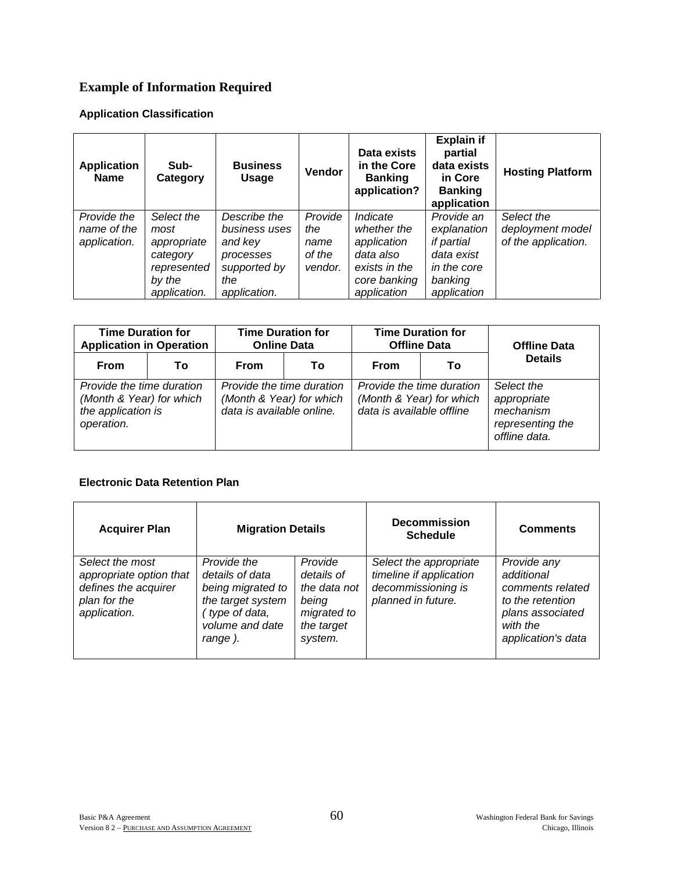# **Example of Information Required**

### **Application Classification**

| <b>Application</b><br><b>Name</b>          | Sub-<br>Category                                                                       | <b>Business</b><br>Usage                                                                     | <b>Vendor</b>                               | Data exists<br>in the Core<br><b>Banking</b><br>application?                                        | <b>Explain if</b><br>partial<br>data exists<br>in Core<br><b>Banking</b><br>application               | <b>Hosting Platform</b>                               |
|--------------------------------------------|----------------------------------------------------------------------------------------|----------------------------------------------------------------------------------------------|---------------------------------------------|-----------------------------------------------------------------------------------------------------|-------------------------------------------------------------------------------------------------------|-------------------------------------------------------|
| Provide the<br>name of the<br>application. | Select the<br>most<br>appropriate<br>category<br>represented<br>by the<br>application. | Describe the<br>business uses<br>and key<br>processes<br>supported by<br>the<br>application. | Provide<br>the<br>name<br>of the<br>vendor. | Indicate<br>whether the<br>application<br>data also<br>exists in the<br>core banking<br>application | Provide an<br>explanation<br><i>if partial</i><br>data exist<br>in the core<br>banking<br>application | Select the<br>deployment model<br>of the application. |

| <b>Time Duration for</b><br><b>Application in Operation</b>                               |    | <b>Time Duration for</b><br><b>Online Data</b>                                     |    | <b>Time Duration for</b><br><b>Offline Data</b>                                    |    | <b>Offline Data</b>                                                         |  |
|-------------------------------------------------------------------------------------------|----|------------------------------------------------------------------------------------|----|------------------------------------------------------------------------------------|----|-----------------------------------------------------------------------------|--|
| <b>From</b>                                                                               | Тο | From                                                                               | Τо | <b>From</b>                                                                        | Τo | <b>Details</b>                                                              |  |
| Provide the time duration<br>(Month & Year) for which<br>the application is<br>operation. |    | Provide the time duration<br>(Month & Year) for which<br>data is available online. |    | Provide the time duration<br>(Month & Year) for which<br>data is available offline |    | Select the<br>appropriate<br>mechanism<br>representing the<br>offline data. |  |

#### **Electronic Data Retention Plan**

| <b>Acquirer Plan</b>                                                                               | <b>Migration Details</b>                                                                                                 |                                                                                        | <b>Decommission</b><br><b>Schedule</b>                                                        | <b>Comments</b>                                                                                                         |
|----------------------------------------------------------------------------------------------------|--------------------------------------------------------------------------------------------------------------------------|----------------------------------------------------------------------------------------|-----------------------------------------------------------------------------------------------|-------------------------------------------------------------------------------------------------------------------------|
| Select the most<br>appropriate option that<br>defines the acquirer<br>plan for the<br>application. | Provide the<br>details of data<br>being migrated to<br>the target system<br>(type of data,<br>volume and date<br>range). | Provide<br>details of<br>the data not<br>being<br>migrated to<br>the target<br>system. | Select the appropriate<br>timeline if application<br>decommissioning is<br>planned in future. | Provide any<br>additional<br>comments related<br>to the retention<br>plans associated<br>with the<br>application's data |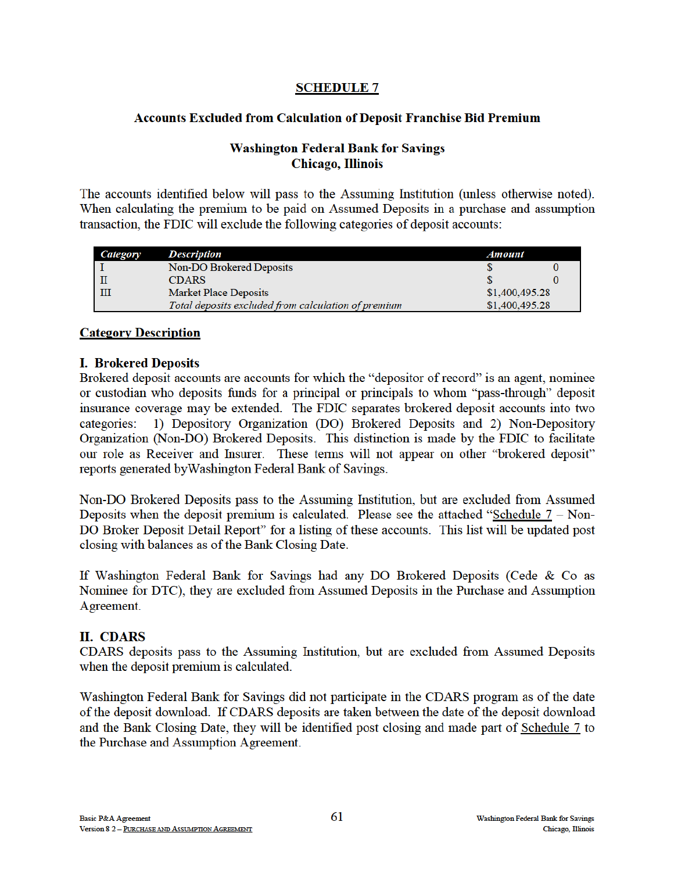### **SCHEDULE 7**

### **Accounts Excluded from Calculation of Deposit Franchise Bid Premium**

### **Washington Federal Bank for Savings** Chicago, Illinois

The accounts identified below will pass to the Assuming Institution (unless otherwise noted). When calculating the premium to be paid on Assumed Deposits in a purchase and assumption transaction, the FDIC will exclude the following categories of deposit accounts:

| Category | <b>Description</b>                                  | Amount         |  |
|----------|-----------------------------------------------------|----------------|--|
|          | Non-DO Brokered Deposits                            |                |  |
|          | <b>CDARS</b>                                        |                |  |
| III      | <b>Market Place Deposits</b>                        | \$1,400,495.28 |  |
|          | Total deposits excluded from calculation of premium | \$1,400,495.28 |  |

### **Category Description**

### **I. Brokered Deposits**

Brokered deposit accounts are accounts for which the "depositor of record" is an agent, nominee or custodian who deposits funds for a principal or principals to whom "pass-through" deposit insurance coverage may be extended. The FDIC separates brokered deposit accounts into two 1) Depository Organization (DO) Brokered Deposits and 2) Non-Depository categories: Organization (Non-DO) Brokered Deposits. This distinction is made by the FDIC to facilitate our role as Receiver and Insurer. These terms will not appear on other "brokered deposit" reports generated by Washington Federal Bank of Savings.

Non-DO Brokered Deposits pass to the Assuming Institution, but are excluded from Assumed Deposits when the deposit premium is calculated. Please see the attached "Schedule  $7 -$ Non-DO Broker Deposit Detail Report" for a listing of these accounts. This list will be updated post closing with balances as of the Bank Closing Date.

If Washington Federal Bank for Savings had any DO Brokered Deposits (Cede & Co as Nominee for DTC), they are excluded from Assumed Deposits in the Purchase and Assumption Agreement.

### **II. CDARS**

CDARS deposits pass to the Assuming Institution, but are excluded from Assumed Deposits when the deposit premium is calculated.

Washington Federal Bank for Savings did not participate in the CDARS program as of the date of the deposit download. If CDARS deposits are taken between the date of the deposit download and the Bank Closing Date, they will be identified post closing and made part of Schedule 7 to the Purchase and Assumption Agreement.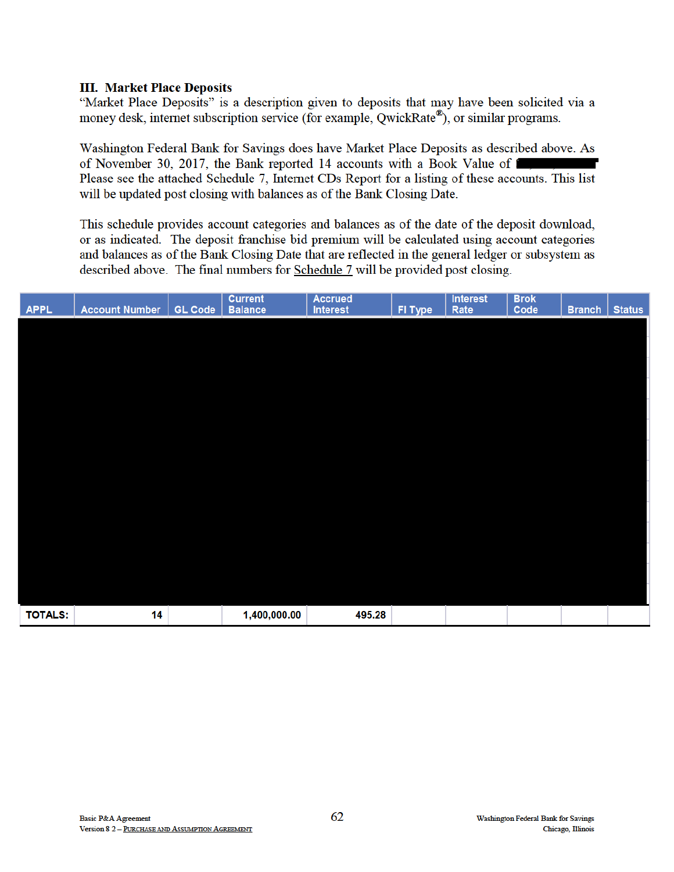### **III. Market Place Deposits**

"Market Place Deposits" is a description given to deposits that may have been solicited via a money desk, internet subscription service (for example, QwickRate®), or similar programs.

Washington Federal Bank for Savings does have Market Place Deposits as described above. As of November 30, 2017, the Bank reported 14 accounts with a Book Value of Please see the attached Schedule 7, Internet CDs Report for a listing of these accounts. This list will be updated post closing with balances as of the Bank Closing Date.

This schedule provides account categories and balances as of the date of the deposit download, or as indicated. The deposit franchise bid premium will be calculated using account categories and balances as of the Bank Closing Date that are reflected in the general ledger or subsystem as described above. The final numbers for Schedule 7 will be provided post closing.

| <b>APPL</b>    | <b>Account Number</b> | <b>GL Code</b> | <b>Current</b><br><b>Balance</b> | <b>Accrued</b><br><b>Interest</b> | FI Type | <b>Interest</b><br>Rate | <b>Brok</b><br>Code | <b>Branch</b> | <b>Status</b> |
|----------------|-----------------------|----------------|----------------------------------|-----------------------------------|---------|-------------------------|---------------------|---------------|---------------|
|                |                       |                |                                  |                                   |         |                         |                     |               |               |
|                |                       |                |                                  |                                   |         |                         |                     |               |               |
|                |                       |                |                                  |                                   |         |                         |                     |               |               |
|                |                       |                |                                  |                                   |         |                         |                     |               |               |
|                |                       |                |                                  |                                   |         |                         |                     |               |               |
|                |                       |                |                                  |                                   |         |                         |                     |               |               |
|                |                       |                |                                  |                                   |         |                         |                     |               |               |
|                |                       |                |                                  |                                   |         |                         |                     |               |               |
|                |                       |                |                                  |                                   |         |                         |                     |               |               |
|                |                       |                |                                  |                                   |         |                         |                     |               |               |
|                |                       |                |                                  |                                   |         |                         |                     |               |               |
| <b>TOTALS:</b> | 14                    |                | 1,400,000.00                     | 495.28                            |         |                         |                     |               |               |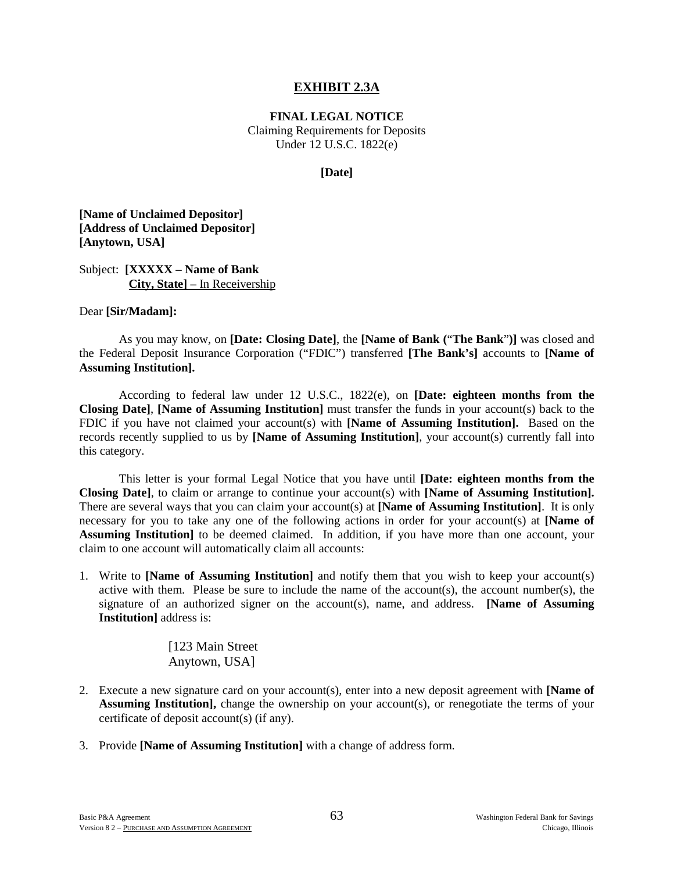### **EXHIBIT 2.3A**

**FINAL LEGAL NOTICE**

Claiming Requirements for Deposits Under 12 U.S.C. 1822(e)

#### **[Date]**

**[Name of Unclaimed Depositor] [Address of Unclaimed Depositor] [Anytown, USA]**

Subject: **[XXXXX – Name of Bank City, State]** – In Receivership

#### Dear **[Sir/Madam]:**

As you may know, on **[Date: Closing Date]**, the **[Name of Bank (**"**The Bank**"**)]** was closed and the Federal Deposit Insurance Corporation ("FDIC") transferred **[The Bank's]** accounts to **[Name of Assuming Institution].**

According to federal law under 12 U.S.C., 1822(e), on **[Date: eighteen months from the Closing Date]**, **[Name of Assuming Institution]** must transfer the funds in your account(s) back to the FDIC if you have not claimed your account(s) with **[Name of Assuming Institution].** Based on the records recently supplied to us by **[Name of Assuming Institution]**, your account(s) currently fall into this category.

This letter is your formal Legal Notice that you have until **[Date: eighteen months from the Closing Date]**, to claim or arrange to continue your account(s) with **[Name of Assuming Institution].** There are several ways that you can claim your account(s) at **[Name of Assuming Institution]**. It is only necessary for you to take any one of the following actions in order for your account(s) at **[Name of Assuming Institution]** to be deemed claimed. In addition, if you have more than one account, your claim to one account will automatically claim all accounts:

1. Write to **[Name of Assuming Institution]** and notify them that you wish to keep your account(s) active with them. Please be sure to include the name of the account(s), the account number(s), the signature of an authorized signer on the account(s), name, and address. **[Name of Assuming Institution]** address is:

> [123 Main Street Anytown, USA]

- 2. Execute a new signature card on your account(s), enter into a new deposit agreement with **[Name of Assuming Institution],** change the ownership on your account(s), or renegotiate the terms of your certificate of deposit account(s) (if any).
- 3. Provide **[Name of Assuming Institution]** with a change of address form.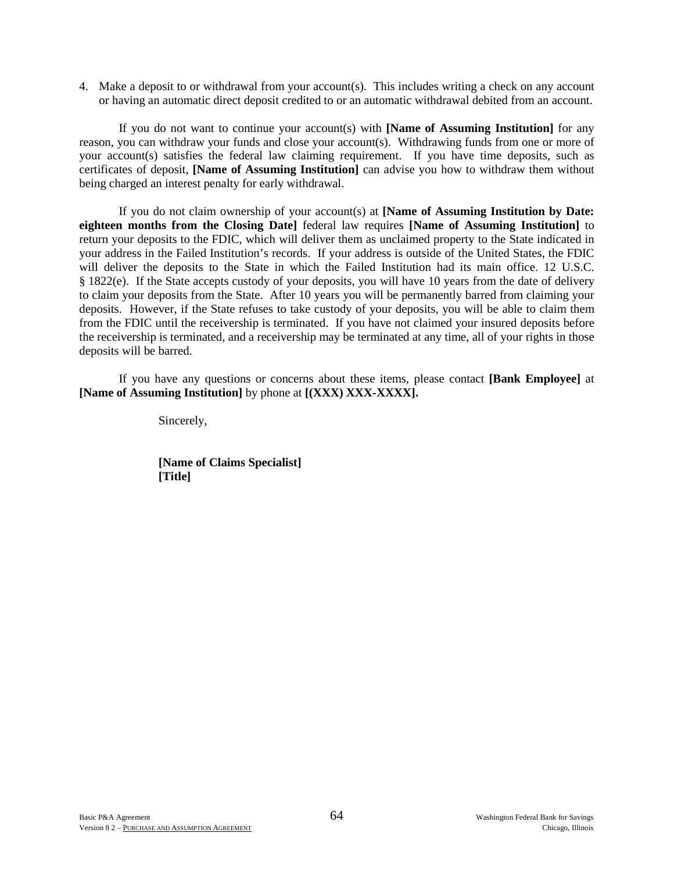4. Make a deposit to or withdrawal from your account(s). This includes writing a check on any account or having an automatic direct deposit credited to or an automatic withdrawal debited from an account.

If you do not want to continue your account(s) with **[Name of Assuming Institution]** for any reason, you can withdraw your funds and close your account(s). Withdrawing funds from one or more of your account(s) satisfies the federal law claiming requirement. If you have time deposits, such as certificates of deposit, **[Name of Assuming Institution]** can advise you how to withdraw them without being charged an interest penalty for early withdrawal.

If you do not claim ownership of your account(s) at **[Name of Assuming Institution by Date: eighteen months from the Closing Date]** federal law requires **[Name of Assuming Institution]** to return your deposits to the FDIC, which will deliver them as unclaimed property to the State indicated in your address in the Failed Institution's records. If your address is outside of the United States, the FDIC will deliver the deposits to the State in which the Failed Institution had its main office. 12 U.S.C. § 1822(e). If the State accepts custody of your deposits, you will have 10 years from the date of delivery to claim your deposits from the State. After 10 years you will be permanently barred from claiming your deposits. However, if the State refuses to take custody of your deposits, you will be able to claim them from the FDIC until the receivership is terminated. If you have not claimed your insured deposits before the receivership is terminated, and a receivership may be terminated at any time, all of your rights in those deposits will be barred.

If you have any questions or concerns about these items, please contact **[Bank Employee]** at **[Name of Assuming Institution]** by phone at **[(XXX) XXX-XXXX].**

Sincerely,

 **[Name of Claims Specialist] [Title]**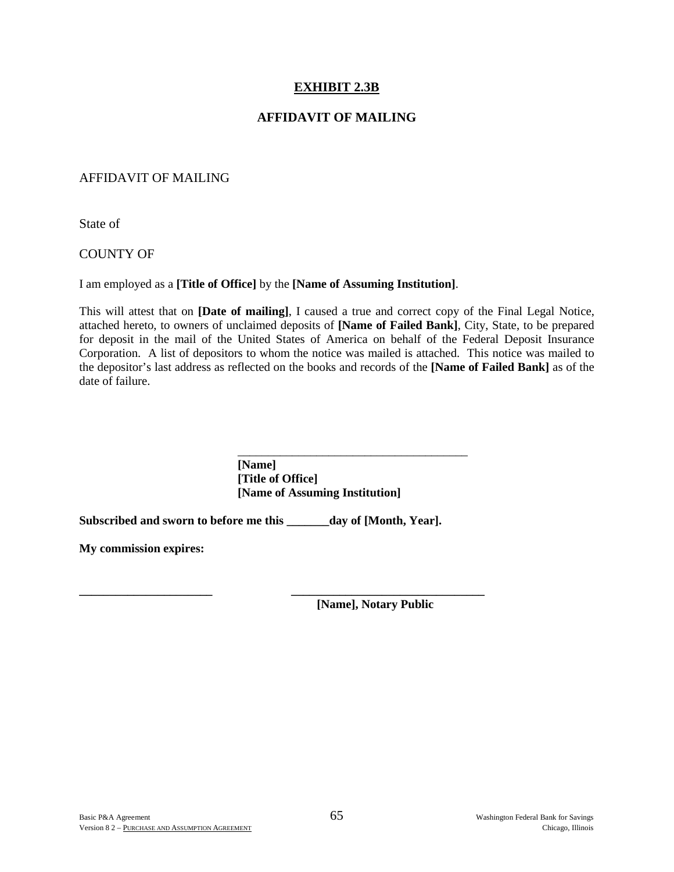### **EXHIBIT 2.3B**

### **AFFIDAVIT OF MAILING**

### AFFIDAVIT OF MAILING

State of

### COUNTY OF

I am employed as a **[Title of Office]** by the **[Name of Assuming Institution]**.

This will attest that on **[Date of mailing]**, I caused a true and correct copy of the Final Legal Notice, attached hereto, to owners of unclaimed deposits of **[Name of Failed Bank]**, City, State, to be prepared for deposit in the mail of the United States of America on behalf of the Federal Deposit Insurance Corporation. A list of depositors to whom the notice was mailed is attached. This notice was mailed to the depositor's last address as reflected on the books and records of the **[Name of Failed Bank]** as of the date of failure.

> **[Name] [Title of Office] [Name of Assuming Institution]**

**Subscribed and sworn to before me this \_\_\_\_\_\_\_day of [Month, Year].** 

 $\overline{\phantom{a}}$  ,  $\overline{\phantom{a}}$  ,  $\overline{\phantom{a}}$  ,  $\overline{\phantom{a}}$  ,  $\overline{\phantom{a}}$  ,  $\overline{\phantom{a}}$  ,  $\overline{\phantom{a}}$  ,  $\overline{\phantom{a}}$  ,  $\overline{\phantom{a}}$  ,  $\overline{\phantom{a}}$  ,  $\overline{\phantom{a}}$  ,  $\overline{\phantom{a}}$  ,  $\overline{\phantom{a}}$  ,  $\overline{\phantom{a}}$  ,  $\overline{\phantom{a}}$  ,  $\overline{\phantom{a}}$ 

**My commission expires:**

**\_\_\_\_\_\_\_\_\_\_\_\_\_\_\_\_\_\_\_\_\_\_ \_\_\_\_\_\_\_\_\_\_\_\_\_\_\_\_\_\_\_\_\_\_\_\_\_\_\_\_\_\_\_\_ [Name], Notary Public**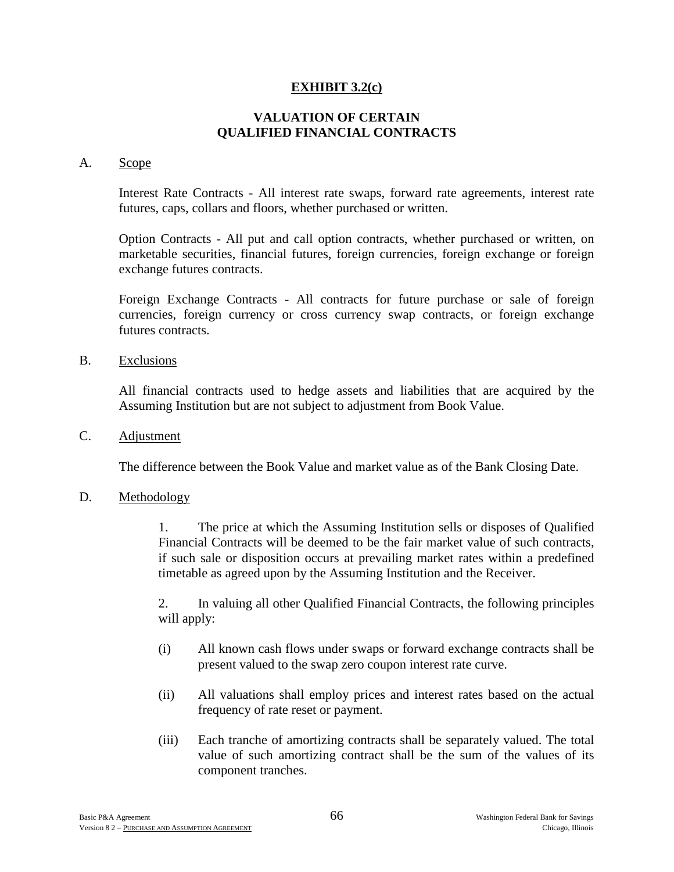### **EXHIBIT 3.2(c)**

### **VALUATION OF CERTAIN QUALIFIED FINANCIAL CONTRACTS**

### A. Scope

Interest Rate Contracts - All interest rate swaps, forward rate agreements, interest rate futures, caps, collars and floors, whether purchased or written.

Option Contracts - All put and call option contracts, whether purchased or written, on marketable securities, financial futures, foreign currencies, foreign exchange or foreign exchange futures contracts.

Foreign Exchange Contracts - All contracts for future purchase or sale of foreign currencies, foreign currency or cross currency swap contracts, or foreign exchange futures contracts.

B. Exclusions

All financial contracts used to hedge assets and liabilities that are acquired by the Assuming Institution but are not subject to adjustment from Book Value.

C. Adjustment

The difference between the Book Value and market value as of the Bank Closing Date.

### D. Methodology

1. The price at which the Assuming Institution sells or disposes of Qualified Financial Contracts will be deemed to be the fair market value of such contracts, if such sale or disposition occurs at prevailing market rates within a predefined timetable as agreed upon by the Assuming Institution and the Receiver.

2. In valuing all other Qualified Financial Contracts, the following principles will apply:

- (i) All known cash flows under swaps or forward exchange contracts shall be present valued to the swap zero coupon interest rate curve.
- (ii) All valuations shall employ prices and interest rates based on the actual frequency of rate reset or payment.
- (iii) Each tranche of amortizing contracts shall be separately valued. The total value of such amortizing contract shall be the sum of the values of its component tranches.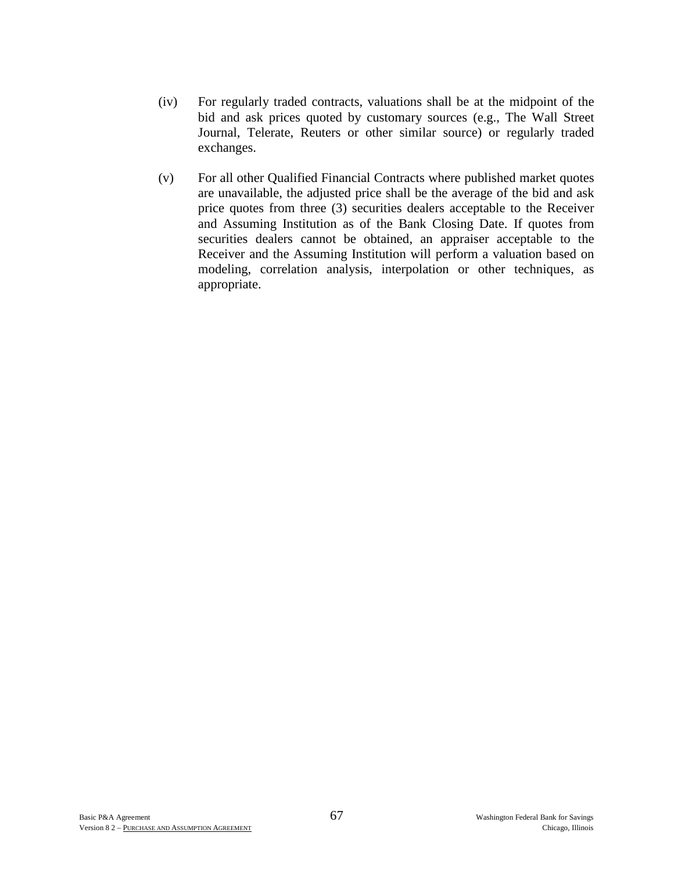- (iv) For regularly traded contracts, valuations shall be at the midpoint of the bid and ask prices quoted by customary sources (e.g., The Wall Street Journal, Telerate, Reuters or other similar source) or regularly traded exchanges.
- (v) For all other Qualified Financial Contracts where published market quotes are unavailable, the adjusted price shall be the average of the bid and ask price quotes from three (3) securities dealers acceptable to the Receiver and Assuming Institution as of the Bank Closing Date. If quotes from securities dealers cannot be obtained, an appraiser acceptable to the Receiver and the Assuming Institution will perform a valuation based on modeling, correlation analysis, interpolation or other techniques, as appropriate.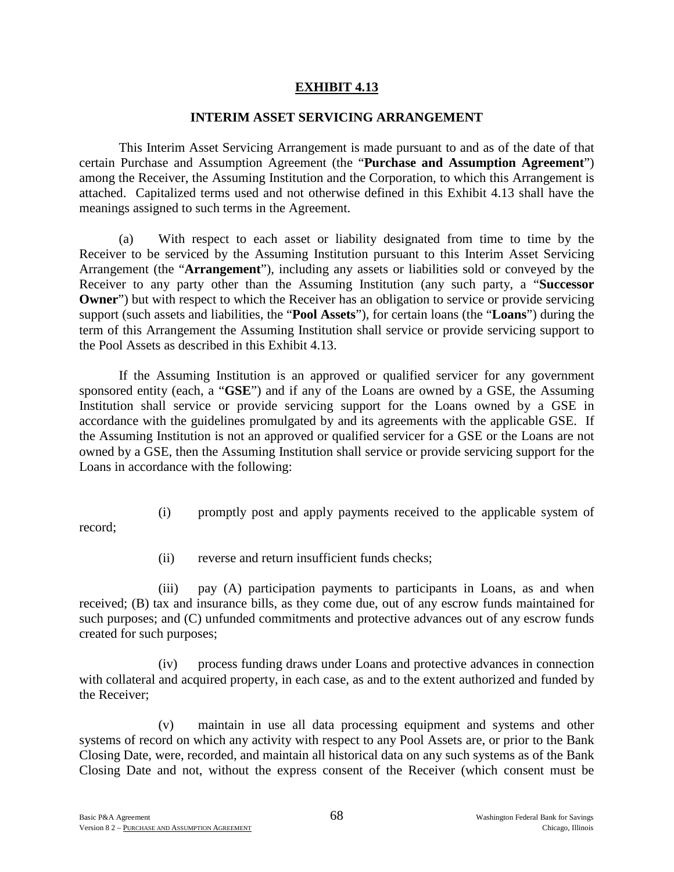### **EXHIBIT 4.13**

### **INTERIM ASSET SERVICING ARRANGEMENT**

This Interim Asset Servicing Arrangement is made pursuant to and as of the date of that certain Purchase and Assumption Agreement (the "**Purchase and Assumption Agreement**") among the Receiver, the Assuming Institution and the Corporation, to which this Arrangement is attached. Capitalized terms used and not otherwise defined in this Exhibit 4.13 shall have the meanings assigned to such terms in the Agreement.

(a) With respect to each asset or liability designated from time to time by the Receiver to be serviced by the Assuming Institution pursuant to this Interim Asset Servicing Arrangement (the "**Arrangement**"), including any assets or liabilities sold or conveyed by the Receiver to any party other than the Assuming Institution (any such party, a "**Successor Owner**") but with respect to which the Receiver has an obligation to service or provide servicing support (such assets and liabilities, the "**Pool Assets**"), for certain loans (the "**Loans**") during the term of this Arrangement the Assuming Institution shall service or provide servicing support to the Pool Assets as described in this Exhibit 4.13.

If the Assuming Institution is an approved or qualified servicer for any government sponsored entity (each, a "**GSE**") and if any of the Loans are owned by a GSE, the Assuming Institution shall service or provide servicing support for the Loans owned by a GSE in accordance with the guidelines promulgated by and its agreements with the applicable GSE. If the Assuming Institution is not an approved or qualified servicer for a GSE or the Loans are not owned by a GSE, then the Assuming Institution shall service or provide servicing support for the Loans in accordance with the following:

- record;
- (i) promptly post and apply payments received to the applicable system of
- (ii) reverse and return insufficient funds checks;

(iii) pay (A) participation payments to participants in Loans, as and when received; (B) tax and insurance bills, as they come due, out of any escrow funds maintained for such purposes; and (C) unfunded commitments and protective advances out of any escrow funds created for such purposes;

(iv) process funding draws under Loans and protective advances in connection with collateral and acquired property, in each case, as and to the extent authorized and funded by the Receiver;

(v) maintain in use all data processing equipment and systems and other systems of record on which any activity with respect to any Pool Assets are, or prior to the Bank Closing Date, were, recorded, and maintain all historical data on any such systems as of the Bank Closing Date and not, without the express consent of the Receiver (which consent must be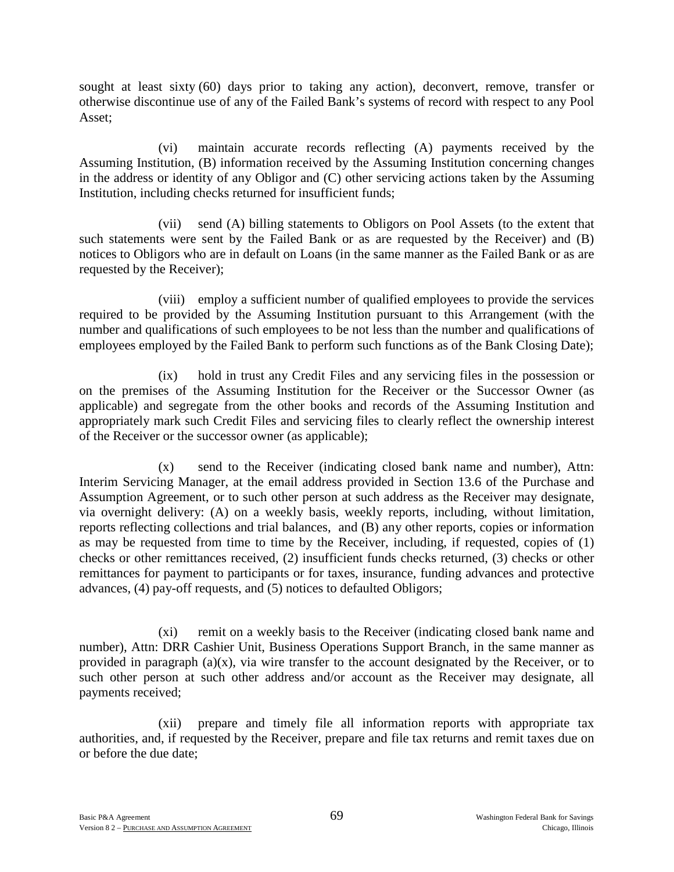sought at least sixty (60) days prior to taking any action), deconvert, remove, transfer or otherwise discontinue use of any of the Failed Bank's systems of record with respect to any Pool Asset;

(vi) maintain accurate records reflecting (A) payments received by the Assuming Institution, (B) information received by the Assuming Institution concerning changes in the address or identity of any Obligor and (C) other servicing actions taken by the Assuming Institution, including checks returned for insufficient funds;

(vii) send (A) billing statements to Obligors on Pool Assets (to the extent that such statements were sent by the Failed Bank or as are requested by the Receiver) and (B) notices to Obligors who are in default on Loans (in the same manner as the Failed Bank or as are requested by the Receiver);

(viii) employ a sufficient number of qualified employees to provide the services required to be provided by the Assuming Institution pursuant to this Arrangement (with the number and qualifications of such employees to be not less than the number and qualifications of employees employed by the Failed Bank to perform such functions as of the Bank Closing Date);

(ix) hold in trust any Credit Files and any servicing files in the possession or on the premises of the Assuming Institution for the Receiver or the Successor Owner (as applicable) and segregate from the other books and records of the Assuming Institution and appropriately mark such Credit Files and servicing files to clearly reflect the ownership interest of the Receiver or the successor owner (as applicable);

(x) send to the Receiver (indicating closed bank name and number), Attn: Interim Servicing Manager, at the email address provided in Section 13.6 of the Purchase and Assumption Agreement, or to such other person at such address as the Receiver may designate, via overnight delivery: (A) on a weekly basis, weekly reports, including, without limitation, reports reflecting collections and trial balances, and (B) any other reports, copies or information as may be requested from time to time by the Receiver, including, if requested, copies of (1) checks or other remittances received, (2) insufficient funds checks returned, (3) checks or other remittances for payment to participants or for taxes, insurance, funding advances and protective advances, (4) pay-off requests, and (5) notices to defaulted Obligors;

(xi) remit on a weekly basis to the Receiver (indicating closed bank name and number), Attn: DRR Cashier Unit, Business Operations Support Branch, in the same manner as provided in paragraph (a)(x), via wire transfer to the account designated by the Receiver, or to such other person at such other address and/or account as the Receiver may designate, all payments received;

(xii) prepare and timely file all information reports with appropriate tax authorities, and, if requested by the Receiver, prepare and file tax returns and remit taxes due on or before the due date;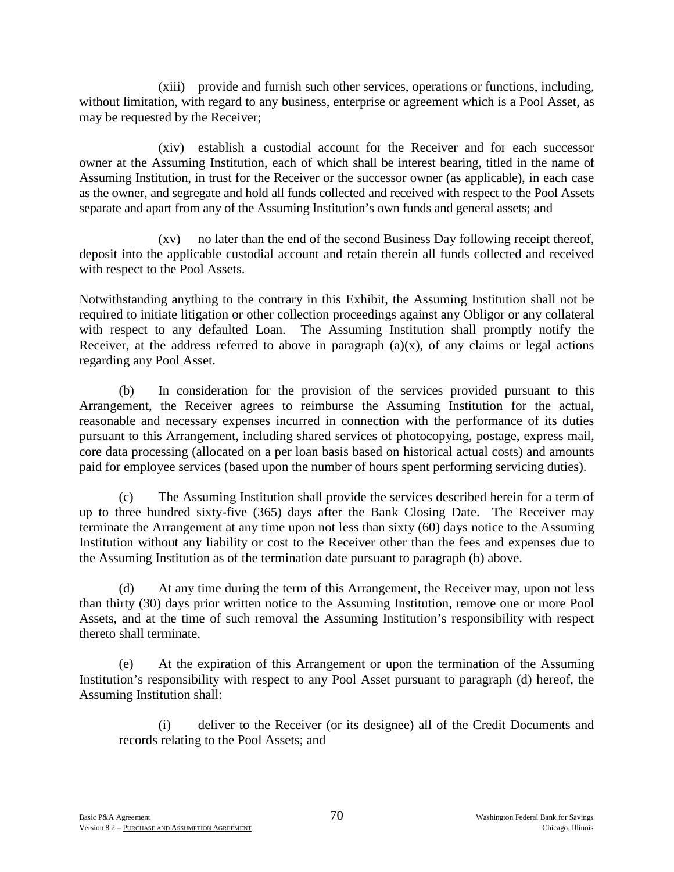(xiii) provide and furnish such other services, operations or functions, including, without limitation, with regard to any business, enterprise or agreement which is a Pool Asset, as may be requested by the Receiver;

(xiv) establish a custodial account for the Receiver and for each successor owner at the Assuming Institution, each of which shall be interest bearing, titled in the name of Assuming Institution, in trust for the Receiver or the successor owner (as applicable), in each case as the owner, and segregate and hold all funds collected and received with respect to the Pool Assets separate and apart from any of the Assuming Institution's own funds and general assets; and

(xv) no later than the end of the second Business Day following receipt thereof, deposit into the applicable custodial account and retain therein all funds collected and received with respect to the Pool Assets.

Notwithstanding anything to the contrary in this Exhibit, the Assuming Institution shall not be required to initiate litigation or other collection proceedings against any Obligor or any collateral with respect to any defaulted Loan. The Assuming Institution shall promptly notify the Receiver, at the address referred to above in paragraph  $(a)(x)$ , of any claims or legal actions regarding any Pool Asset.

(b) In consideration for the provision of the services provided pursuant to this Arrangement, the Receiver agrees to reimburse the Assuming Institution for the actual, reasonable and necessary expenses incurred in connection with the performance of its duties pursuant to this Arrangement, including shared services of photocopying, postage, express mail, core data processing (allocated on a per loan basis based on historical actual costs) and amounts paid for employee services (based upon the number of hours spent performing servicing duties).

(c) The Assuming Institution shall provide the services described herein for a term of up to three hundred sixty-five (365) days after the Bank Closing Date. The Receiver may terminate the Arrangement at any time upon not less than sixty (60) days notice to the Assuming Institution without any liability or cost to the Receiver other than the fees and expenses due to the Assuming Institution as of the termination date pursuant to paragraph (b) above.

(d) At any time during the term of this Arrangement, the Receiver may, upon not less than thirty (30) days prior written notice to the Assuming Institution, remove one or more Pool Assets, and at the time of such removal the Assuming Institution's responsibility with respect thereto shall terminate.

(e) At the expiration of this Arrangement or upon the termination of the Assuming Institution's responsibility with respect to any Pool Asset pursuant to paragraph (d) hereof, the Assuming Institution shall:

(i) deliver to the Receiver (or its designee) all of the Credit Documents and records relating to the Pool Assets; and